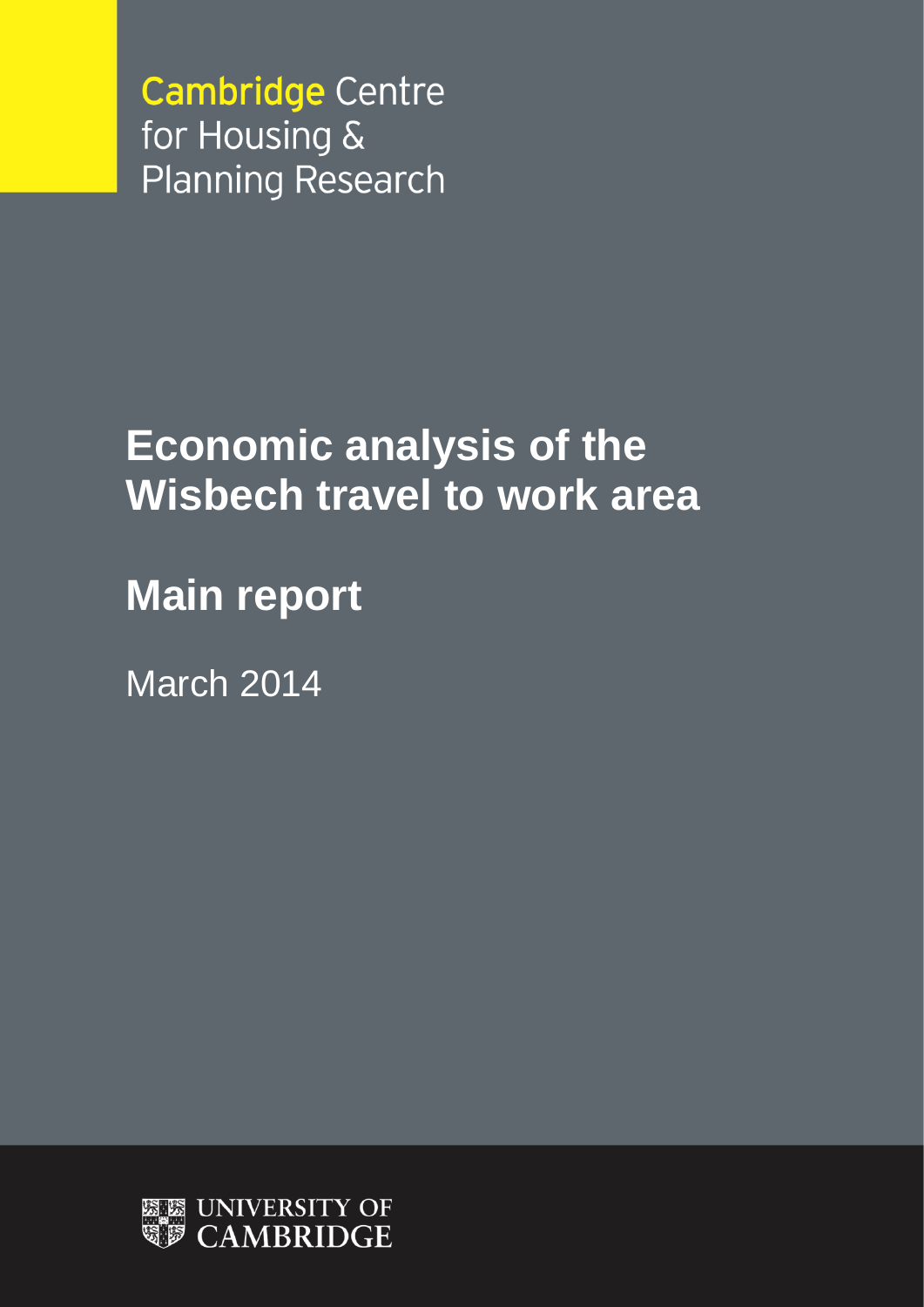**Cambridge Centre** for Housing & **Planning Research** 

# **Economic analysis of the Wisbech travel to work area**

**Main report**

March 2014

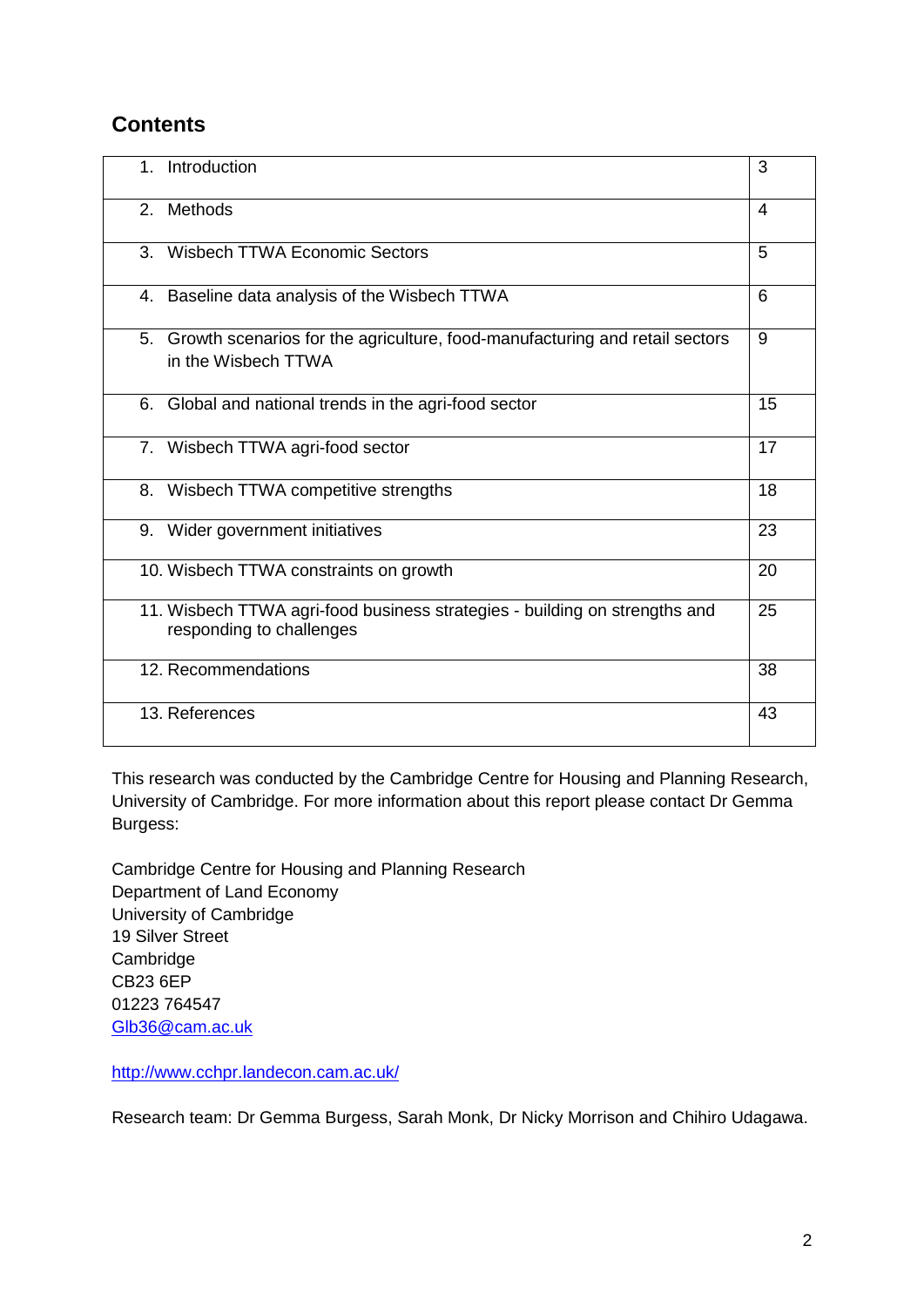# **Contents**

| 1.             | Introduction                                                                                           | 3  |
|----------------|--------------------------------------------------------------------------------------------------------|----|
| 2 <sub>1</sub> | Methods                                                                                                | 4  |
| 3.             | <b>Wisbech TTWA Economic Sectors</b>                                                                   | 5  |
| 4.             | Baseline data analysis of the Wisbech TTWA                                                             | 6  |
|                | 5. Growth scenarios for the agriculture, food-manufacturing and retail sectors<br>in the Wisbech TTWA  | 9  |
| 6.             | Global and national trends in the agri-food sector                                                     | 15 |
|                | 7. Wisbech TTWA agri-food sector                                                                       | 17 |
| 8.             | Wisbech TTWA competitive strengths                                                                     | 18 |
| 9.             | Wider government initiatives                                                                           | 23 |
|                | 10. Wisbech TTWA constraints on growth                                                                 | 20 |
|                | 11. Wisbech TTWA agri-food business strategies - building on strengths and<br>responding to challenges | 25 |
|                | 12. Recommendations                                                                                    | 38 |
|                | 13. References                                                                                         | 43 |

This research was conducted by the Cambridge Centre for Housing and Planning Research, University of Cambridge. For more information about this report please contact Dr Gemma Burgess:

Cambridge Centre for Housing and Planning Research Department of Land Economy University of Cambridge 19 Silver Street **Cambridge** CB23 6EP 01223 764547 [Glb36@cam.ac.uk](mailto:Glb36@cam.ac.uk)

<http://www.cchpr.landecon.cam.ac.uk/>

Research team: Dr Gemma Burgess, Sarah Monk, Dr Nicky Morrison and Chihiro Udagawa.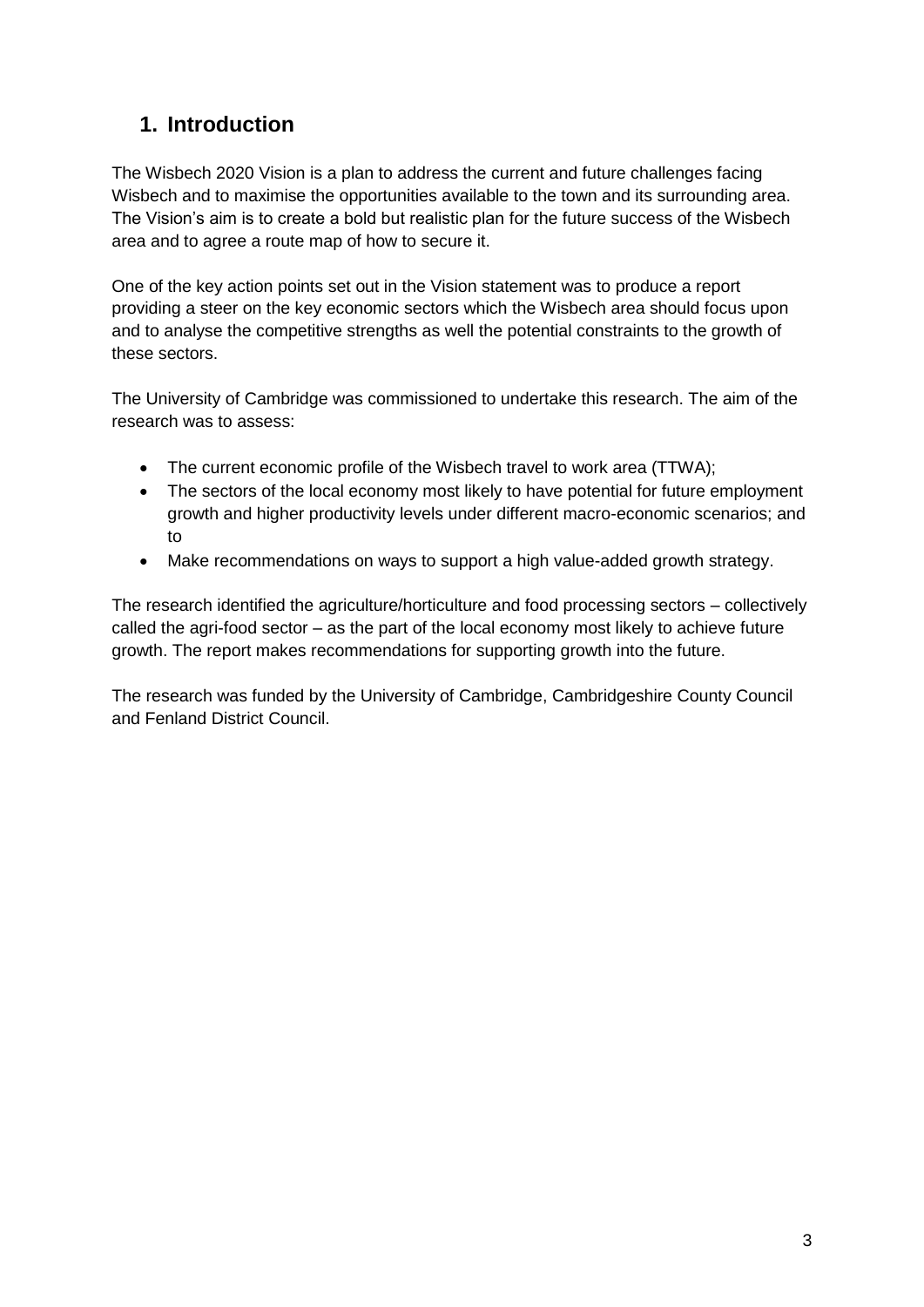# **1. Introduction**

The Wisbech 2020 Vision is a plan to address the current and future challenges facing Wisbech and to maximise the opportunities available to the town and its surrounding area. The Vision's aim is to create a bold but realistic plan for the future success of the Wisbech area and to agree a route map of how to secure it.

One of the key action points set out in the Vision statement was to produce a report providing a steer on the key economic sectors which the Wisbech area should focus upon and to analyse the competitive strengths as well the potential constraints to the growth of these sectors.

The University of Cambridge was commissioned to undertake this research. The aim of the research was to assess:

- The current economic profile of the Wisbech travel to work area (TTWA);
- The sectors of the local economy most likely to have potential for future employment growth and higher productivity levels under different macro-economic scenarios; and to
- Make recommendations on ways to support a high value-added growth strategy.

The research identified the agriculture/horticulture and food processing sectors – collectively called the agri-food sector – as the part of the local economy most likely to achieve future growth. The report makes recommendations for supporting growth into the future.

The research was funded by the University of Cambridge, Cambridgeshire County Council and Fenland District Council.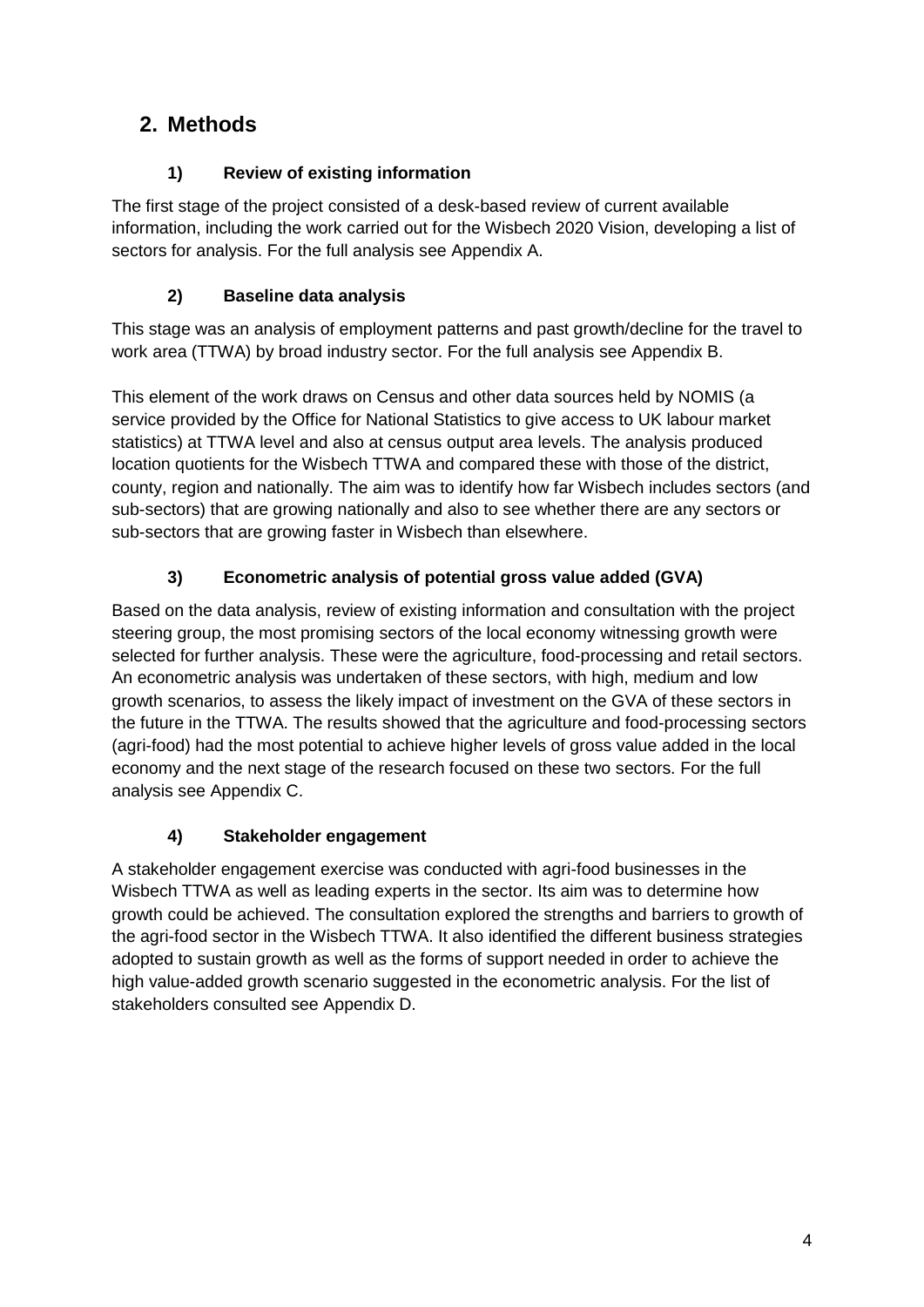# **2. Methods**

# **1) Review of existing information**

The first stage of the project consisted of a desk-based review of current available information, including the work carried out for the Wisbech 2020 Vision, developing a list of sectors for analysis. For the full analysis see Appendix A.

# **2) Baseline data analysis**

This stage was an analysis of employment patterns and past growth/decline for the travel to work area (TTWA) by broad industry sector. For the full analysis see Appendix B.

This element of the work draws on Census and other data sources held by NOMIS (a service provided by the Office for National Statistics to give access to UK labour market statistics) at TTWA level and also at census output area levels. The analysis produced location quotients for the Wisbech TTWA and compared these with those of the district, county, region and nationally. The aim was to identify how far Wisbech includes sectors (and sub-sectors) that are growing nationally and also to see whether there are any sectors or sub-sectors that are growing faster in Wisbech than elsewhere.

# **3) Econometric analysis of potential gross value added (GVA)**

Based on the data analysis, review of existing information and consultation with the project steering group, the most promising sectors of the local economy witnessing growth were selected for further analysis. These were the agriculture, food-processing and retail sectors. An econometric analysis was undertaken of these sectors, with high, medium and low growth scenarios, to assess the likely impact of investment on the GVA of these sectors in the future in the TTWA. The results showed that the agriculture and food-processing sectors (agri-food) had the most potential to achieve higher levels of gross value added in the local economy and the next stage of the research focused on these two sectors. For the full analysis see Appendix C.

# **4) Stakeholder engagement**

A stakeholder engagement exercise was conducted with agri-food businesses in the Wisbech TTWA as well as leading experts in the sector. Its aim was to determine how growth could be achieved. The consultation explored the strengths and barriers to growth of the agri-food sector in the Wisbech TTWA. It also identified the different business strategies adopted to sustain growth as well as the forms of support needed in order to achieve the high value-added growth scenario suggested in the econometric analysis. For the list of stakeholders consulted see Appendix D.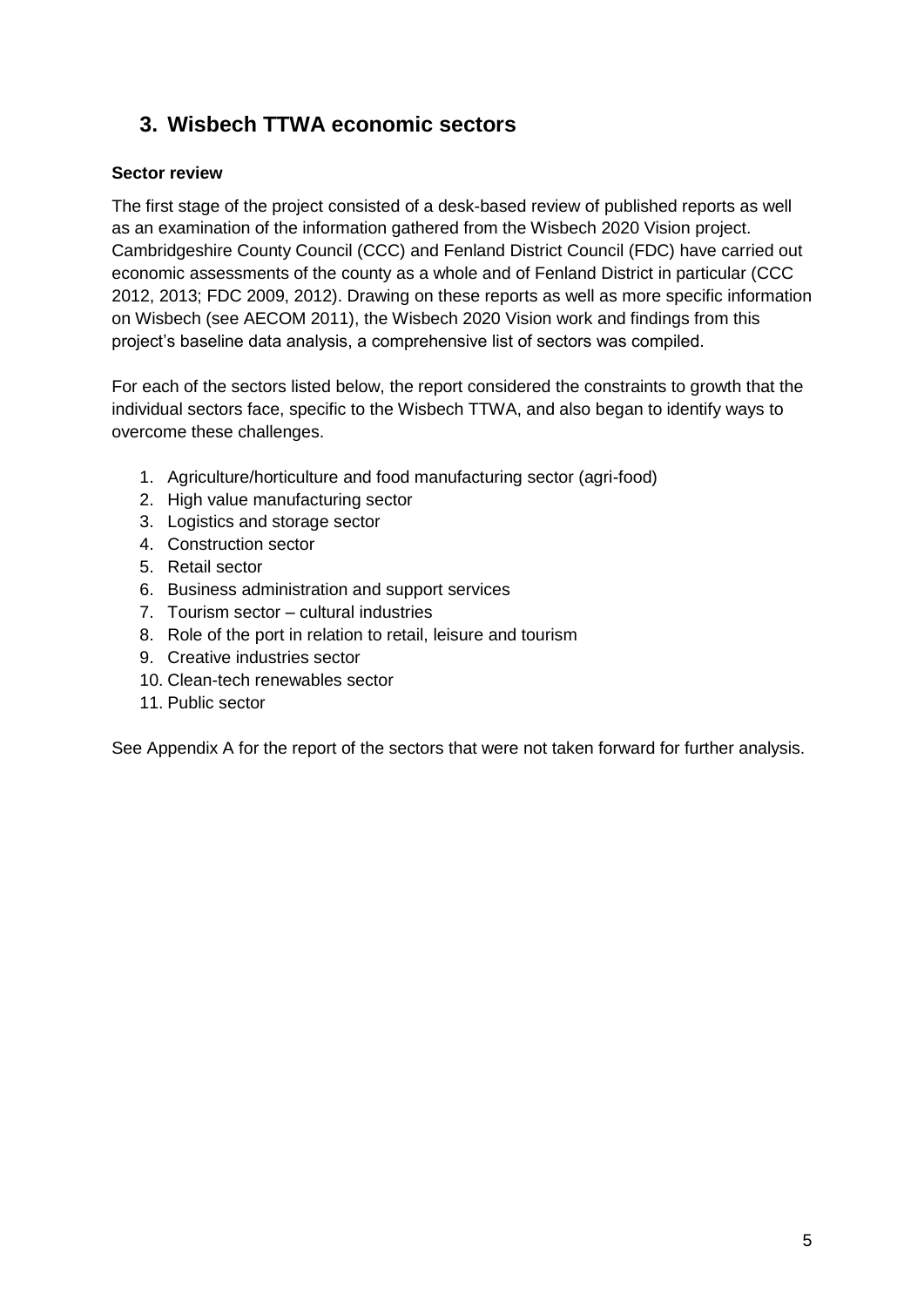# **3. Wisbech TTWA economic sectors**

### **Sector review**

The first stage of the project consisted of a desk-based review of published reports as well as an examination of the information gathered from the Wisbech 2020 Vision project. Cambridgeshire County Council (CCC) and Fenland District Council (FDC) have carried out economic assessments of the county as a whole and of Fenland District in particular (CCC 2012, 2013; FDC 2009, 2012). Drawing on these reports as well as more specific information on Wisbech (see AECOM 2011), the Wisbech 2020 Vision work and findings from this project's baseline data analysis, a comprehensive list of sectors was compiled.

For each of the sectors listed below, the report considered the constraints to growth that the individual sectors face, specific to the Wisbech TTWA, and also began to identify ways to overcome these challenges.

- 1. Agriculture/horticulture and food manufacturing sector (agri-food)
- 2. High value manufacturing sector
- 3. Logistics and storage sector
- 4. Construction sector
- 5. Retail sector
- 6. Business administration and support services
- 7. Tourism sector cultural industries
- 8. Role of the port in relation to retail, leisure and tourism
- 9. Creative industries sector
- 10. Clean-tech renewables sector
- 11. Public sector

See Appendix A for the report of the sectors that were not taken forward for further analysis.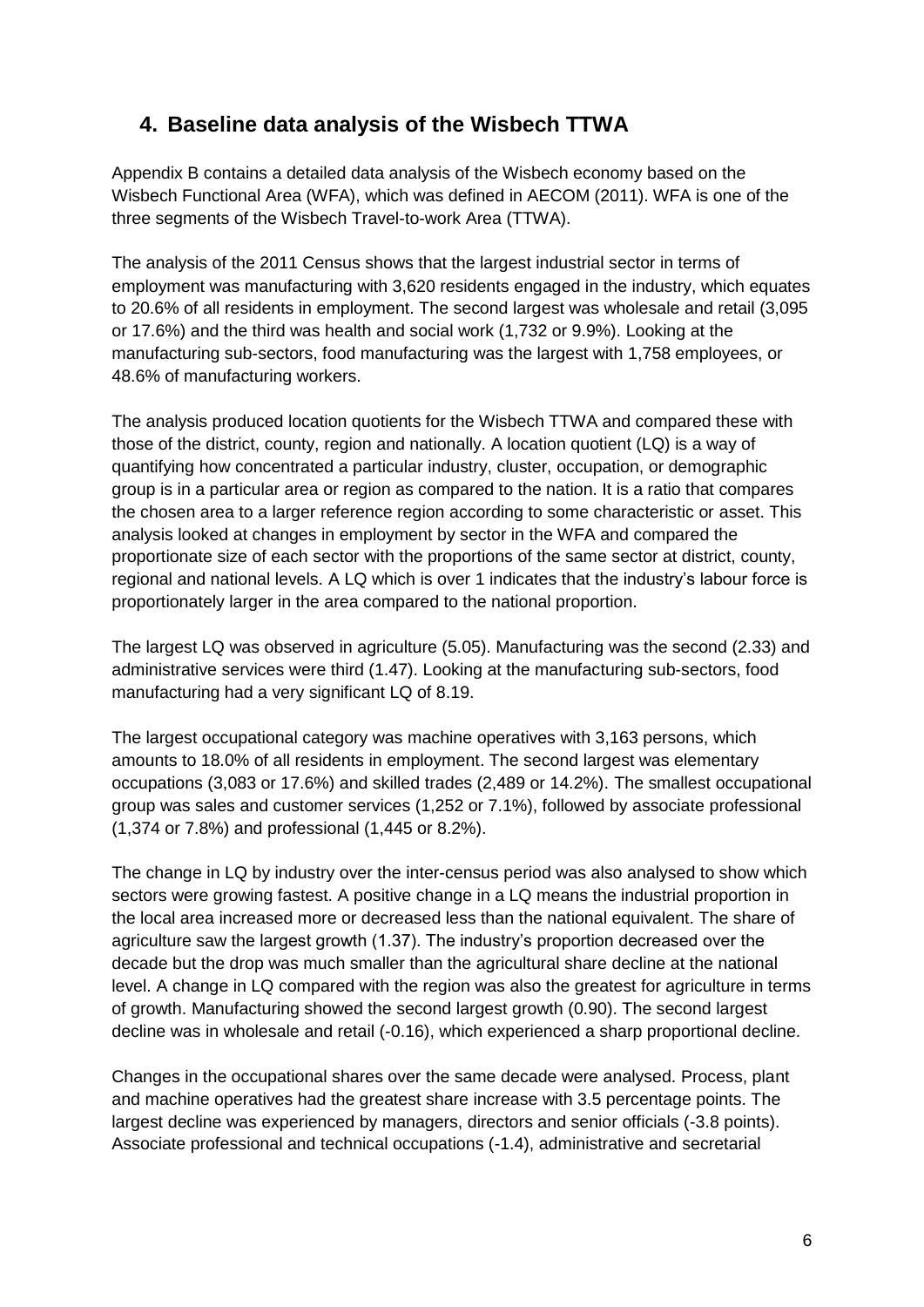# **4. Baseline data analysis of the Wisbech TTWA**

Appendix B contains a detailed data analysis of the Wisbech economy based on the Wisbech Functional Area (WFA), which was defined in AECOM (2011). WFA is one of the three segments of the Wisbech Travel-to-work Area (TTWA).

The analysis of the 2011 Census shows that the largest industrial sector in terms of employment was manufacturing with 3,620 residents engaged in the industry, which equates to 20.6% of all residents in employment. The second largest was wholesale and retail (3,095 or 17.6%) and the third was health and social work (1,732 or 9.9%). Looking at the manufacturing sub-sectors, food manufacturing was the largest with 1,758 employees, or 48.6% of manufacturing workers.

The analysis produced location quotients for the Wisbech TTWA and compared these with those of the district, county, region and nationally. A location quotient (LQ) is a way of quantifying how concentrated a particular industry, cluster, occupation, or demographic group is in a particular area or region as compared to the nation. It is a ratio that compares the chosen area to a larger reference region according to some characteristic or asset. This analysis looked at changes in employment by sector in the WFA and compared the proportionate size of each sector with the proportions of the same sector at district, county, regional and national levels. A LQ which is over 1 indicates that the industry's labour force is proportionately larger in the area compared to the national proportion.

The largest LQ was observed in agriculture (5.05). Manufacturing was the second (2.33) and administrative services were third (1.47). Looking at the manufacturing sub-sectors, food manufacturing had a very significant LQ of 8.19.

The largest occupational category was machine operatives with 3,163 persons, which amounts to 18.0% of all residents in employment. The second largest was elementary occupations (3,083 or 17.6%) and skilled trades (2,489 or 14.2%). The smallest occupational group was sales and customer services (1,252 or 7.1%), followed by associate professional (1,374 or 7.8%) and professional (1,445 or 8.2%).

The change in LQ by industry over the inter-census period was also analysed to show which sectors were growing fastest. A positive change in a LQ means the industrial proportion in the local area increased more or decreased less than the national equivalent. The share of agriculture saw the largest growth (1.37). The industry's proportion decreased over the decade but the drop was much smaller than the agricultural share decline at the national level. A change in LQ compared with the region was also the greatest for agriculture in terms of growth. Manufacturing showed the second largest growth (0.90). The second largest decline was in wholesale and retail (-0.16), which experienced a sharp proportional decline.

Changes in the occupational shares over the same decade were analysed. Process, plant and machine operatives had the greatest share increase with 3.5 percentage points. The largest decline was experienced by managers, directors and senior officials (-3.8 points). Associate professional and technical occupations (-1.4), administrative and secretarial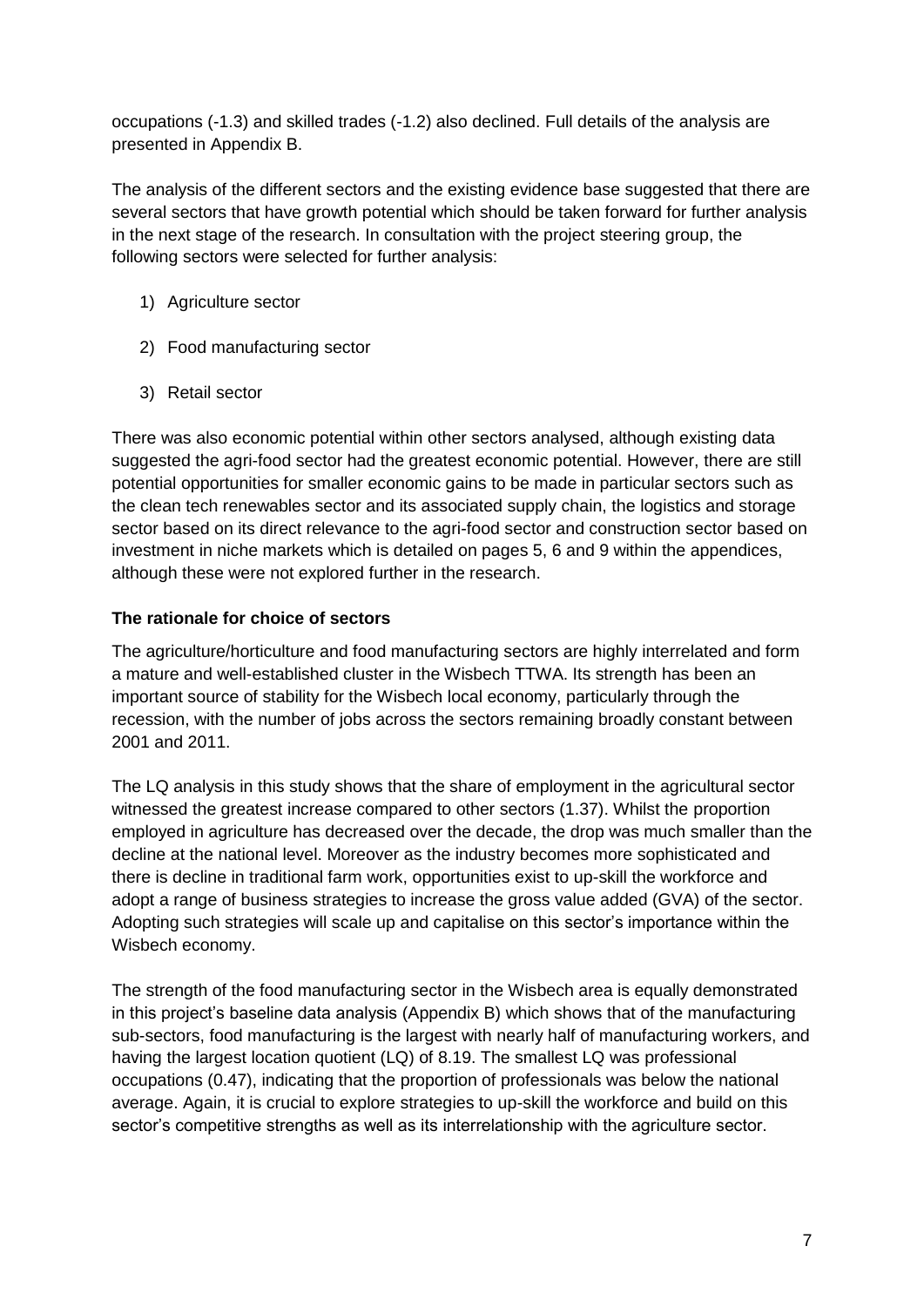occupations (-1.3) and skilled trades (-1.2) also declined. Full details of the analysis are presented in Appendix B.

The analysis of the different sectors and the existing evidence base suggested that there are several sectors that have growth potential which should be taken forward for further analysis in the next stage of the research. In consultation with the project steering group, the following sectors were selected for further analysis:

- 1) Agriculture sector
- 2) Food manufacturing sector
- 3) Retail sector

There was also economic potential within other sectors analysed, although existing data suggested the agri-food sector had the greatest economic potential. However, there are still potential opportunities for smaller economic gains to be made in particular sectors such as the clean tech renewables sector and its associated supply chain, the logistics and storage sector based on its direct relevance to the agri-food sector and construction sector based on investment in niche markets which is detailed on pages 5, 6 and 9 within the appendices, although these were not explored further in the research.

### **The rationale for choice of sectors**

The agriculture/horticulture and food manufacturing sectors are highly interrelated and form a mature and well-established cluster in the Wisbech TTWA. Its strength has been an important source of stability for the Wisbech local economy, particularly through the recession, with the number of jobs across the sectors remaining broadly constant between 2001 and 2011.

The LQ analysis in this study shows that the share of employment in the agricultural sector witnessed the greatest increase compared to other sectors (1.37). Whilst the proportion employed in agriculture has decreased over the decade, the drop was much smaller than the decline at the national level. Moreover as the industry becomes more sophisticated and there is decline in traditional farm work, opportunities exist to up-skill the workforce and adopt a range of business strategies to increase the gross value added (GVA) of the sector. Adopting such strategies will scale up and capitalise on this sector's importance within the Wisbech economy.

The strength of the food manufacturing sector in the Wisbech area is equally demonstrated in this project's baseline data analysis (Appendix B) which shows that of the manufacturing sub-sectors, food manufacturing is the largest with nearly half of manufacturing workers, and having the largest location quotient (LQ) of 8.19. The smallest LQ was professional occupations (0.47), indicating that the proportion of professionals was below the national average. Again, it is crucial to explore strategies to up-skill the workforce and build on this sector's competitive strengths as well as its interrelationship with the agriculture sector.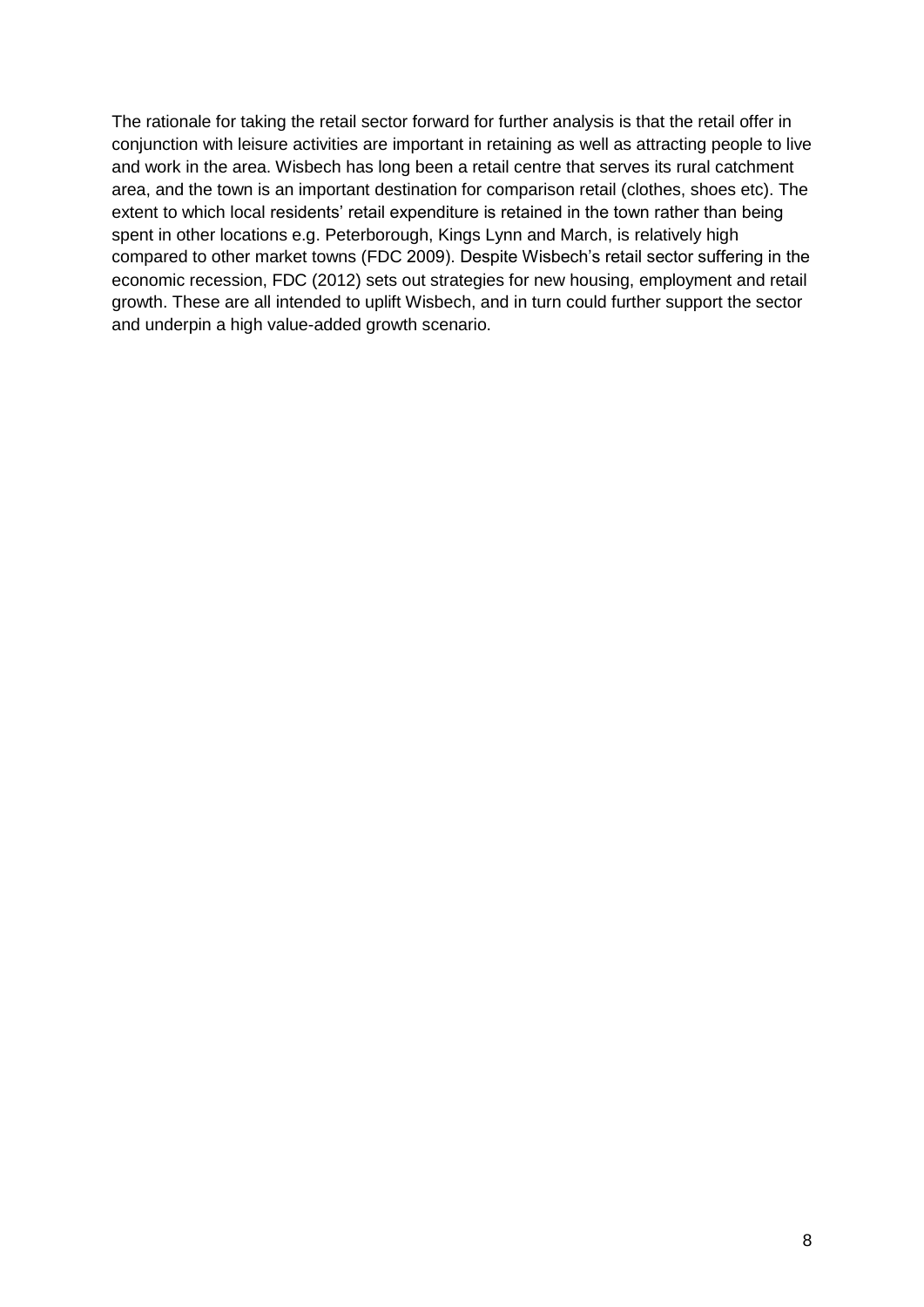The rationale for taking the retail sector forward for further analysis is that the retail offer in conjunction with leisure activities are important in retaining as well as attracting people to live and work in the area. Wisbech has long been a retail centre that serves its rural catchment area, and the town is an important destination for comparison retail (clothes, shoes etc). The extent to which local residents' retail expenditure is retained in the town rather than being spent in other locations e.g. Peterborough, Kings Lynn and March, is relatively high compared to other market towns (FDC 2009). Despite Wisbech's retail sector suffering in the economic recession, FDC (2012) sets out strategies for new housing, employment and retail growth. These are all intended to uplift Wisbech, and in turn could further support the sector and underpin a high value-added growth scenario.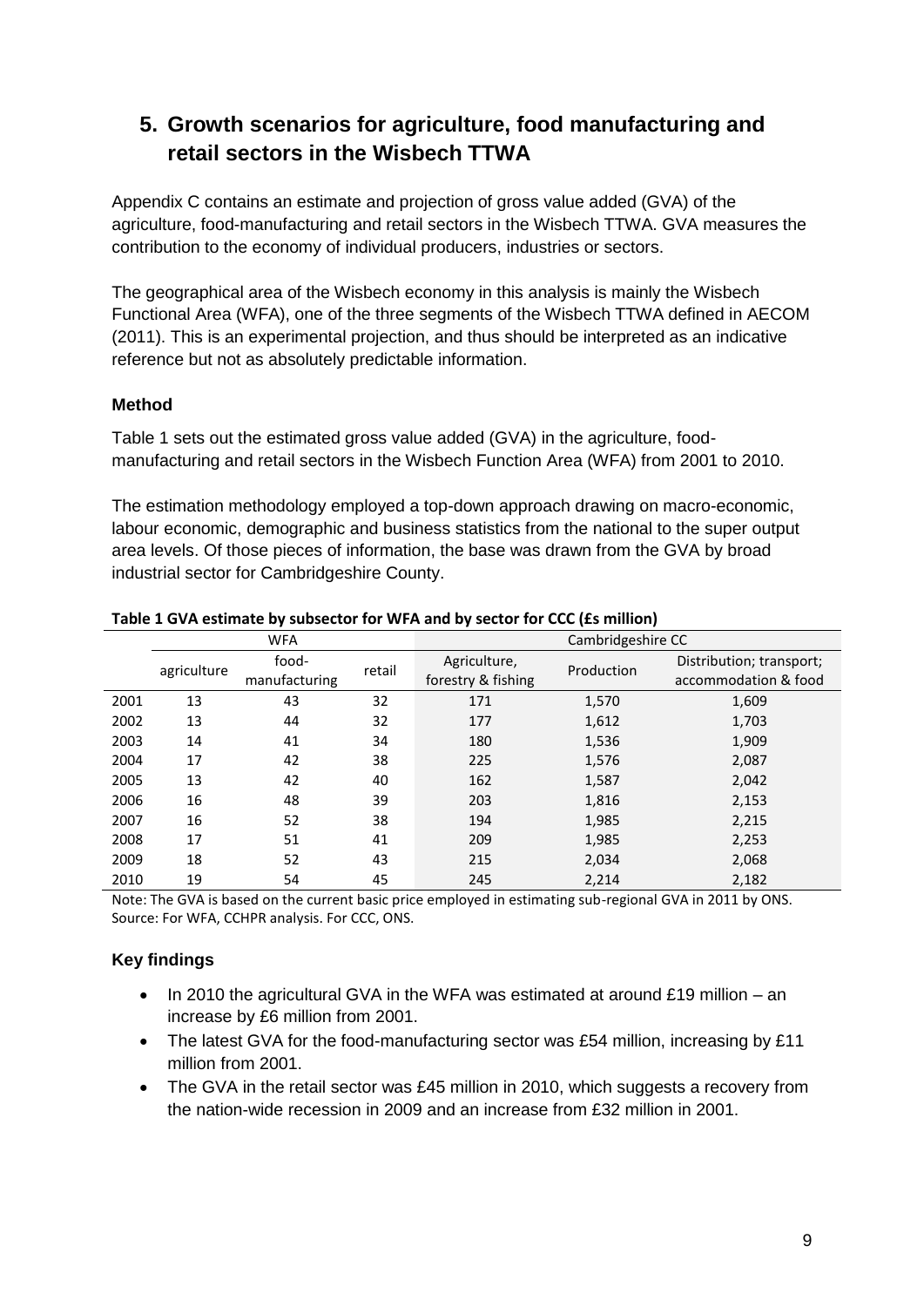# **5. Growth scenarios for agriculture, food manufacturing and retail sectors in the Wisbech TTWA**

Appendix C contains an estimate and projection of gross value added (GVA) of the agriculture, food-manufacturing and retail sectors in the Wisbech TTWA. GVA measures the contribution to the economy of individual producers, industries or sectors.

The geographical area of the Wisbech economy in this analysis is mainly the Wisbech Functional Area (WFA), one of the three segments of the Wisbech TTWA defined in AECOM (2011). This is an experimental projection, and thus should be interpreted as an indicative reference but not as absolutely predictable information.

### **Method**

Table 1 sets out the estimated gross value added (GVA) in the agriculture, foodmanufacturing and retail sectors in the Wisbech Function Area (WFA) from 2001 to 2010.

The estimation methodology employed a top-down approach drawing on macro-economic, labour economic, demographic and business statistics from the national to the super output area levels. Of those pieces of information, the base was drawn from the GVA by broad industrial sector for Cambridgeshire County.

|      | <b>WFA</b>  |                        |        | Cambridgeshire CC                  |            |                                                  |  |
|------|-------------|------------------------|--------|------------------------------------|------------|--------------------------------------------------|--|
|      | agriculture | food-<br>manufacturing | retail | Agriculture,<br>forestry & fishing | Production | Distribution; transport;<br>accommodation & food |  |
| 2001 | 13          | 43                     | 32     | 171                                | 1,570      | 1,609                                            |  |
| 2002 | 13          | 44                     | 32     | 177                                | 1,612      | 1,703                                            |  |
| 2003 | 14          | 41                     | 34     | 180                                | 1,536      | 1,909                                            |  |
| 2004 | 17          | 42                     | 38     | 225                                | 1,576      | 2,087                                            |  |
| 2005 | 13          | 42                     | 40     | 162                                | 1,587      | 2,042                                            |  |
| 2006 | 16          | 48                     | 39     | 203                                | 1,816      | 2,153                                            |  |
| 2007 | 16          | 52                     | 38     | 194                                | 1,985      | 2,215                                            |  |
| 2008 | 17          | 51                     | 41     | 209                                | 1,985      | 2,253                                            |  |
| 2009 | 18          | 52                     | 43     | 215                                | 2,034      | 2,068                                            |  |
| 2010 | 19          | 54                     | 45     | 245                                | 2,214      | 2,182                                            |  |

#### **Table 1 GVA estimate by subsector for WFA and by sector for CCC (£s million)**

Note: The GVA is based on the current basic price employed in estimating sub-regional GVA in 2011 by ONS. Source: For WFA, CCHPR analysis. For CCC, ONS.

### **Key findings**

- $\bullet$  In 2010 the agricultural GVA in the WFA was estimated at around £19 million an increase by £6 million from 2001.
- The latest GVA for the food-manufacturing sector was £54 million, increasing by £11 million from 2001.
- The GVA in the retail sector was £45 million in 2010, which suggests a recovery from the nation-wide recession in 2009 and an increase from £32 million in 2001.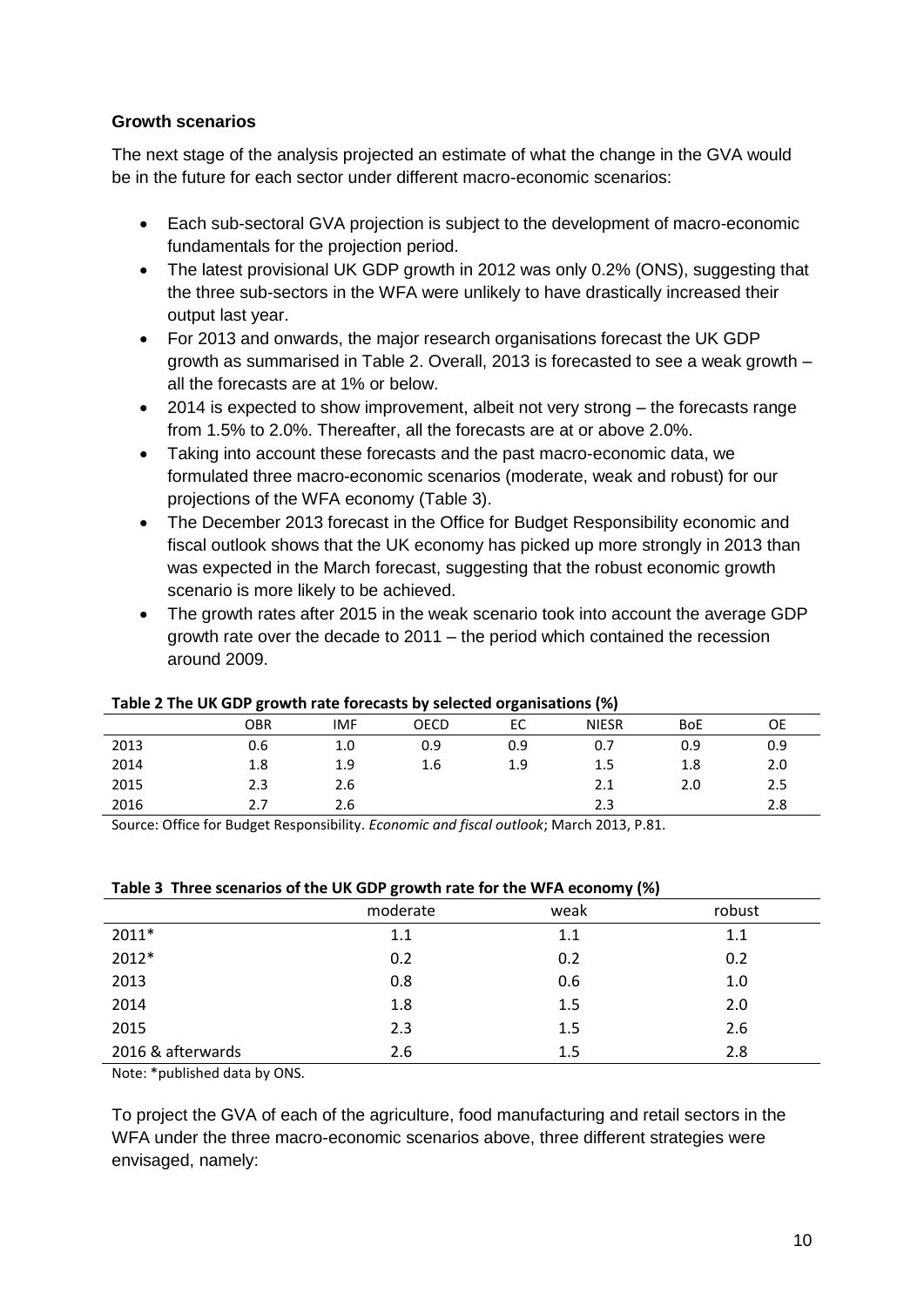#### **Growth scenarios**

The next stage of the analysis projected an estimate of what the change in the GVA would be in the future for each sector under different macro-economic scenarios:

- Each sub-sectoral GVA projection is subject to the development of macro-economic fundamentals for the projection period.
- The latest provisional UK GDP growth in 2012 was only 0.2% (ONS), suggesting that the three sub-sectors in the WFA were unlikely to have drastically increased their output last year.
- For 2013 and onwards, the major research organisations forecast the UK GDP growth as summarised in Table 2. Overall, 2013 is forecasted to see a weak growth – all the forecasts are at 1% or below.
- 2014 is expected to show improvement, albeit not very strong the forecasts range from 1.5% to 2.0%. Thereafter, all the forecasts are at or above 2.0%.
- Taking into account these forecasts and the past macro-economic data, we formulated three macro-economic scenarios (moderate, weak and robust) for our projections of the WFA economy (Table 3).
- The December 2013 forecast in the Office for Budget Responsibility economic and fiscal outlook shows that the UK economy has picked up more strongly in 2013 than was expected in the March forecast, suggesting that the robust economic growth scenario is more likely to be achieved.
- The growth rates after 2015 in the weak scenario took into account the average GDP growth rate over the decade to 2011 – the period which contained the recession around 2009.

| Table 2 The OK ODE GLOWEN Tate TOLECASTS by SCIECTED OI RAILISATIONS (70) |     |            |      |     |              |            |     |
|---------------------------------------------------------------------------|-----|------------|------|-----|--------------|------------|-----|
|                                                                           | OBR | <b>IMF</b> | OECD |     | <b>NIESR</b> | <b>BoE</b> | OE  |
| 2013                                                                      | 0.6 | 1.0        | 0.9  | 0.9 | 0.7          | 0.9        | 0.9 |
| 2014                                                                      | 1.8 | 1.9        | 1.6  | 1.9 | 1.5          | 1.8        | 2.0 |
| 2015                                                                      | 2.3 | 2.6        |      |     | 2.1          | 2.0        | 2.5 |
| 2016                                                                      | 2.7 | 2.6        |      |     | 2.3          |            | 2.8 |

#### **Table 2 The UK GDP growth rate forecasts by selected organisations (%)**

Source: Office for Budget Responsibility. *Economic and fiscal outlook*; March 2013, P.81.

#### **Table 3 Three scenarios of the UK GDP growth rate for the WFA economy (%)**

|                   | moderate | .<br>weak | robust |
|-------------------|----------|-----------|--------|
| $2011*$           | 1.1      | 1.1       | 1.1    |
| 2012*             | 0.2      | 0.2       | 0.2    |
| 2013              | 0.8      | 0.6       | 1.0    |
| 2014              | 1.8      | 1.5       | 2.0    |
| 2015              | 2.3      | 1.5       | 2.6    |
| 2016 & afterwards | 2.6      | 1.5       | 2.8    |

Note: \*published data by ONS.

To project the GVA of each of the agriculture, food manufacturing and retail sectors in the WFA under the three macro-economic scenarios above, three different strategies were envisaged, namely: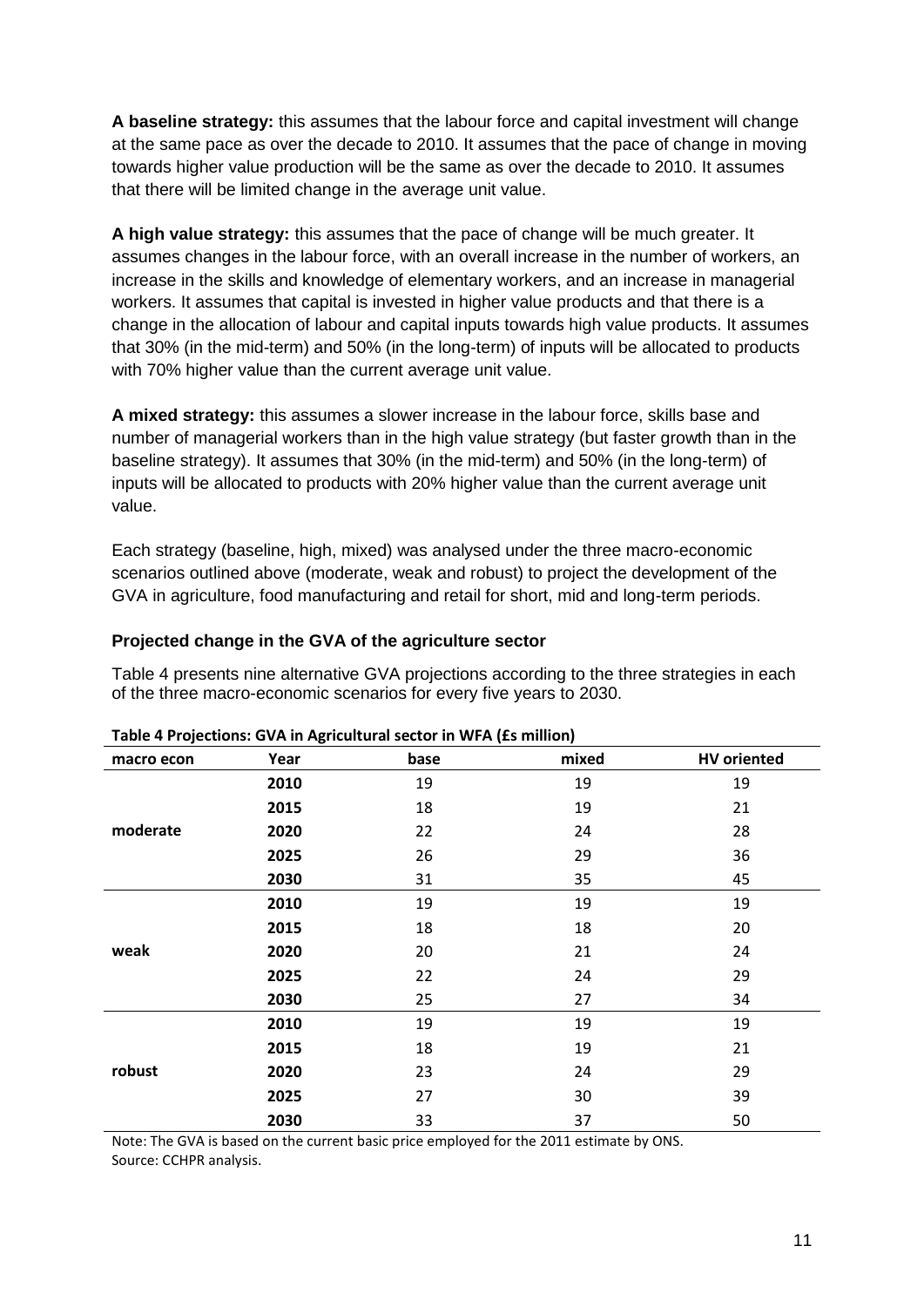**A baseline strategy:** this assumes that the labour force and capital investment will change at the same pace as over the decade to 2010. It assumes that the pace of change in moving towards higher value production will be the same as over the decade to 2010. It assumes that there will be limited change in the average unit value.

**A high value strategy:** this assumes that the pace of change will be much greater. It assumes changes in the labour force, with an overall increase in the number of workers, an increase in the skills and knowledge of elementary workers, and an increase in managerial workers. It assumes that capital is invested in higher value products and that there is a change in the allocation of labour and capital inputs towards high value products. It assumes that 30% (in the mid-term) and 50% (in the long-term) of inputs will be allocated to products with 70% higher value than the current average unit value.

**A mixed strategy:** this assumes a slower increase in the labour force, skills base and number of managerial workers than in the high value strategy (but faster growth than in the baseline strategy). It assumes that 30% (in the mid-term) and 50% (in the long-term) of inputs will be allocated to products with 20% higher value than the current average unit value.

Each strategy (baseline, high, mixed) was analysed under the three macro-economic scenarios outlined above (moderate, weak and robust) to project the development of the GVA in agriculture, food manufacturing and retail for short, mid and long-term periods.

#### **Projected change in the GVA of the agriculture sector**

Table 4 presents nine alternative GVA projections according to the three strategies in each of the three macro-economic scenarios for every five years to 2030.

| macro econ | Year | base | mixed | <b>HV</b> oriented |
|------------|------|------|-------|--------------------|
|            | 2010 | 19   | 19    | 19                 |
|            | 2015 | 18   | 19    | 21                 |
| moderate   | 2020 | 22   | 24    | 28                 |
|            | 2025 | 26   | 29    | 36                 |
|            | 2030 | 31   | 35    | 45                 |
|            | 2010 | 19   | 19    | 19                 |
|            | 2015 | 18   | 18    | 20                 |
| weak       | 2020 | 20   | 21    | 24                 |
|            | 2025 | 22   | 24    | 29                 |
|            | 2030 | 25   | 27    | 34                 |
|            | 2010 | 19   | 19    | 19                 |
|            | 2015 | 18   | 19    | 21                 |
| robust     | 2020 | 23   | 24    | 29                 |
|            | 2025 | 27   | 30    | 39                 |
|            | 2030 | 33   | 37    | 50                 |

#### **Table 4 Projections: GVA in Agricultural sector in WFA (£s million)**

Note: The GVA is based on the current basic price employed for the 2011 estimate by ONS. Source: CCHPR analysis.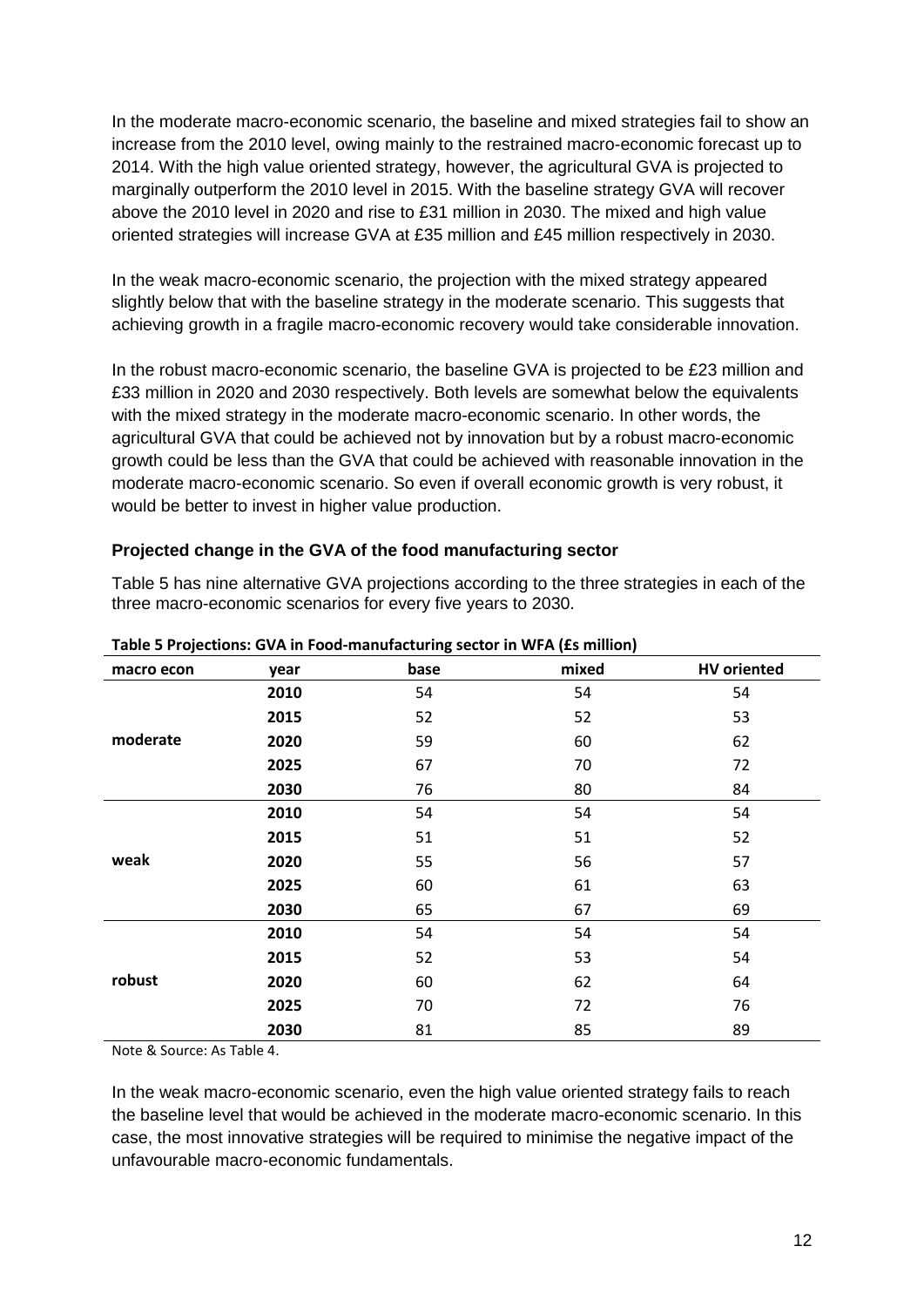In the moderate macro-economic scenario, the baseline and mixed strategies fail to show an increase from the 2010 level, owing mainly to the restrained macro-economic forecast up to 2014. With the high value oriented strategy, however, the agricultural GVA is projected to marginally outperform the 2010 level in 2015. With the baseline strategy GVA will recover above the 2010 level in 2020 and rise to £31 million in 2030. The mixed and high value oriented strategies will increase GVA at £35 million and £45 million respectively in 2030.

In the weak macro-economic scenario, the projection with the mixed strategy appeared slightly below that with the baseline strategy in the moderate scenario. This suggests that achieving growth in a fragile macro-economic recovery would take considerable innovation.

In the robust macro-economic scenario, the baseline GVA is projected to be £23 million and £33 million in 2020 and 2030 respectively. Both levels are somewhat below the equivalents with the mixed strategy in the moderate macro-economic scenario. In other words, the agricultural GVA that could be achieved not by innovation but by a robust macro-economic growth could be less than the GVA that could be achieved with reasonable innovation in the moderate macro-economic scenario. So even if overall economic growth is very robust, it would be better to invest in higher value production.

#### **Projected change in the GVA of the food manufacturing sector**

Table 5 has nine alternative GVA projections according to the three strategies in each of the three macro-economic scenarios for every five years to 2030.

| macro econ | year | base | mixed | <b>HV</b> oriented |  |
|------------|------|------|-------|--------------------|--|
|            | 2010 | 54   | 54    | 54                 |  |
|            | 2015 | 52   | 52    | 53                 |  |
| moderate   | 2020 | 59   | 60    | 62                 |  |
|            | 2025 | 67   | 70    | 72                 |  |
|            | 2030 | 76   | 80    | 84                 |  |
|            | 2010 | 54   | 54    | 54                 |  |
|            | 2015 | 51   | 51    | 52                 |  |
| weak       | 2020 | 55   | 56    | 57                 |  |
|            | 2025 | 60   | 61    | 63                 |  |
|            | 2030 | 65   | 67    | 69                 |  |
|            | 2010 | 54   | 54    | 54                 |  |
|            | 2015 | 52   | 53    | 54                 |  |
| robust     | 2020 | 60   | 62    | 64                 |  |
|            | 2025 | 70   | 72    | 76                 |  |
|            | 2030 | 81   | 85    | 89                 |  |

**Table 5 Projections: GVA in Food-manufacturing sector in WFA (£s million)**

Note & Source: As Table 4.

In the weak macro-economic scenario, even the high value oriented strategy fails to reach the baseline level that would be achieved in the moderate macro-economic scenario. In this case, the most innovative strategies will be required to minimise the negative impact of the unfavourable macro-economic fundamentals.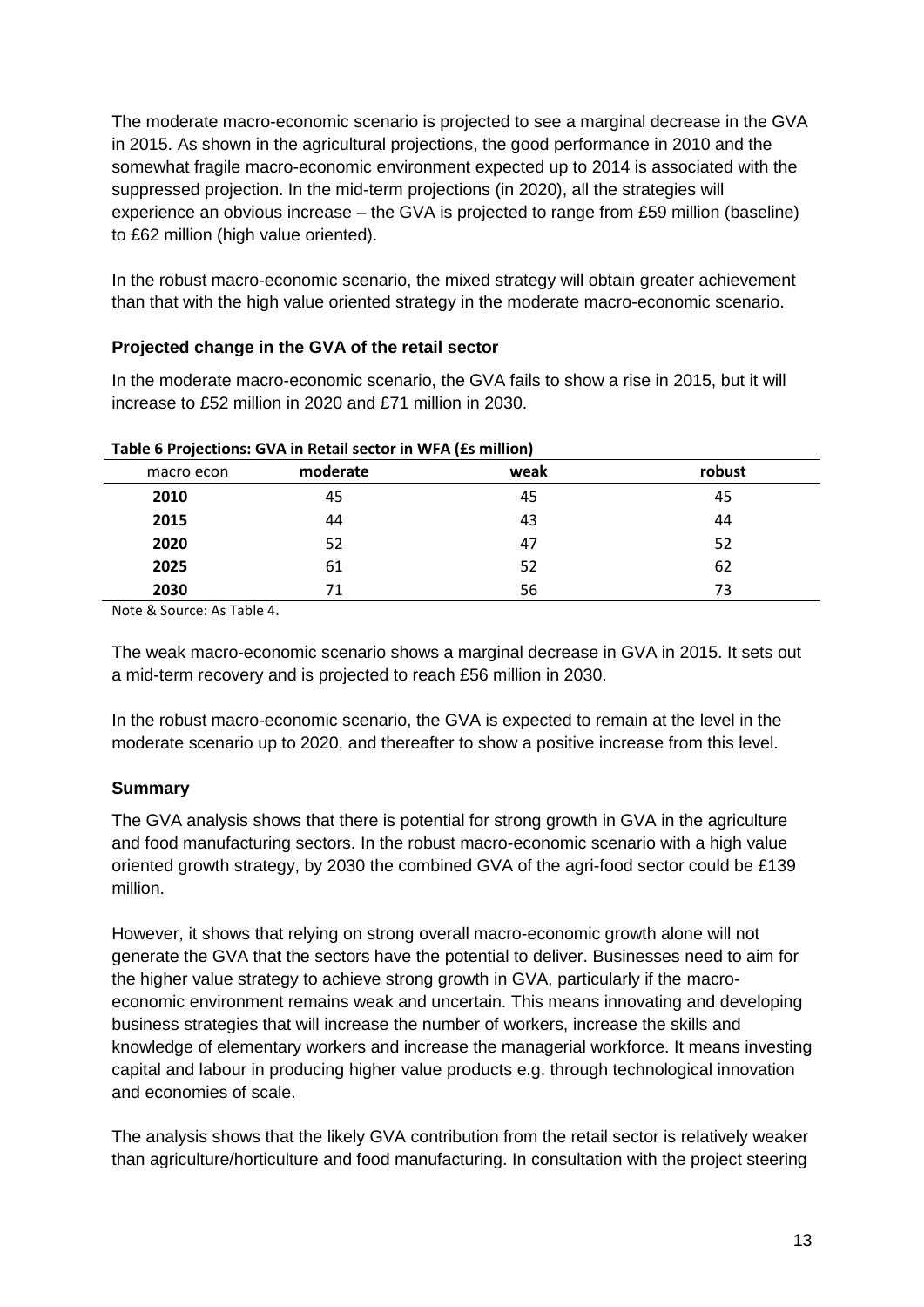The moderate macro-economic scenario is projected to see a marginal decrease in the GVA in 2015. As shown in the agricultural projections, the good performance in 2010 and the somewhat fragile macro-economic environment expected up to 2014 is associated with the suppressed projection. In the mid-term projections (in 2020), all the strategies will experience an obvious increase – the GVA is projected to range from £59 million (baseline) to £62 million (high value oriented).

In the robust macro-economic scenario, the mixed strategy will obtain greater achievement than that with the high value oriented strategy in the moderate macro-economic scenario.

### **Projected change in the GVA of the retail sector**

In the moderate macro-economic scenario, the GVA fails to show a rise in 2015, but it will increase to £52 million in 2020 and £71 million in 2030.

| . <del>.</del><br><br>, , , , , , , , , , , , , , , , , , , , |          |      |        |  |  |
|---------------------------------------------------------------|----------|------|--------|--|--|
| macro econ                                                    | moderate | weak | robust |  |  |
| 2010                                                          | 45       | 45   | 45     |  |  |
| 2015                                                          | 44       | 43   | 44     |  |  |
| 2020                                                          | 52       | 47   | 52     |  |  |
| 2025                                                          | 61       | 52   | 62     |  |  |
| 2030                                                          | 71       | 56   | 73     |  |  |

#### **Table 6 Projections: GVA in Retail sector in WFA (£s million)**

Note & Source: As Table 4.

The weak macro-economic scenario shows a marginal decrease in GVA in 2015. It sets out a mid-term recovery and is projected to reach £56 million in 2030.

In the robust macro-economic scenario, the GVA is expected to remain at the level in the moderate scenario up to 2020, and thereafter to show a positive increase from this level.

### **Summary**

The GVA analysis shows that there is potential for strong growth in GVA in the agriculture and food manufacturing sectors. In the robust macro-economic scenario with a high value oriented growth strategy, by 2030 the combined GVA of the agri-food sector could be £139 million.

However, it shows that relying on strong overall macro-economic growth alone will not generate the GVA that the sectors have the potential to deliver. Businesses need to aim for the higher value strategy to achieve strong growth in GVA, particularly if the macroeconomic environment remains weak and uncertain. This means innovating and developing business strategies that will increase the number of workers, increase the skills and knowledge of elementary workers and increase the managerial workforce. It means investing capital and labour in producing higher value products e.g. through technological innovation and economies of scale.

The analysis shows that the likely GVA contribution from the retail sector is relatively weaker than agriculture/horticulture and food manufacturing. In consultation with the project steering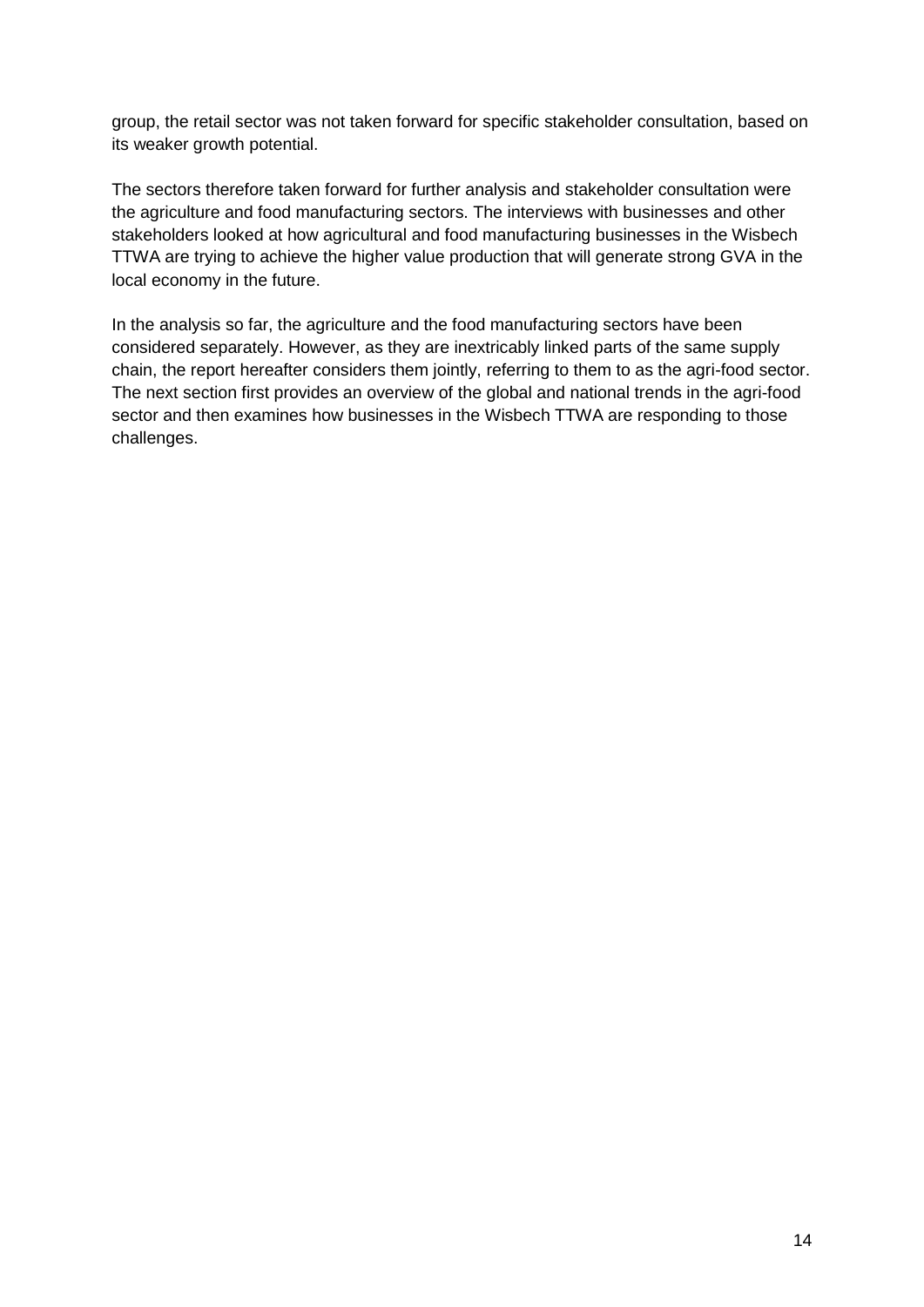group, the retail sector was not taken forward for specific stakeholder consultation, based on its weaker growth potential.

The sectors therefore taken forward for further analysis and stakeholder consultation were the agriculture and food manufacturing sectors. The interviews with businesses and other stakeholders looked at how agricultural and food manufacturing businesses in the Wisbech TTWA are trying to achieve the higher value production that will generate strong GVA in the local economy in the future.

In the analysis so far, the agriculture and the food manufacturing sectors have been considered separately. However, as they are inextricably linked parts of the same supply chain, the report hereafter considers them jointly, referring to them to as the agri-food sector. The next section first provides an overview of the global and national trends in the agri-food sector and then examines how businesses in the Wisbech TTWA are responding to those challenges.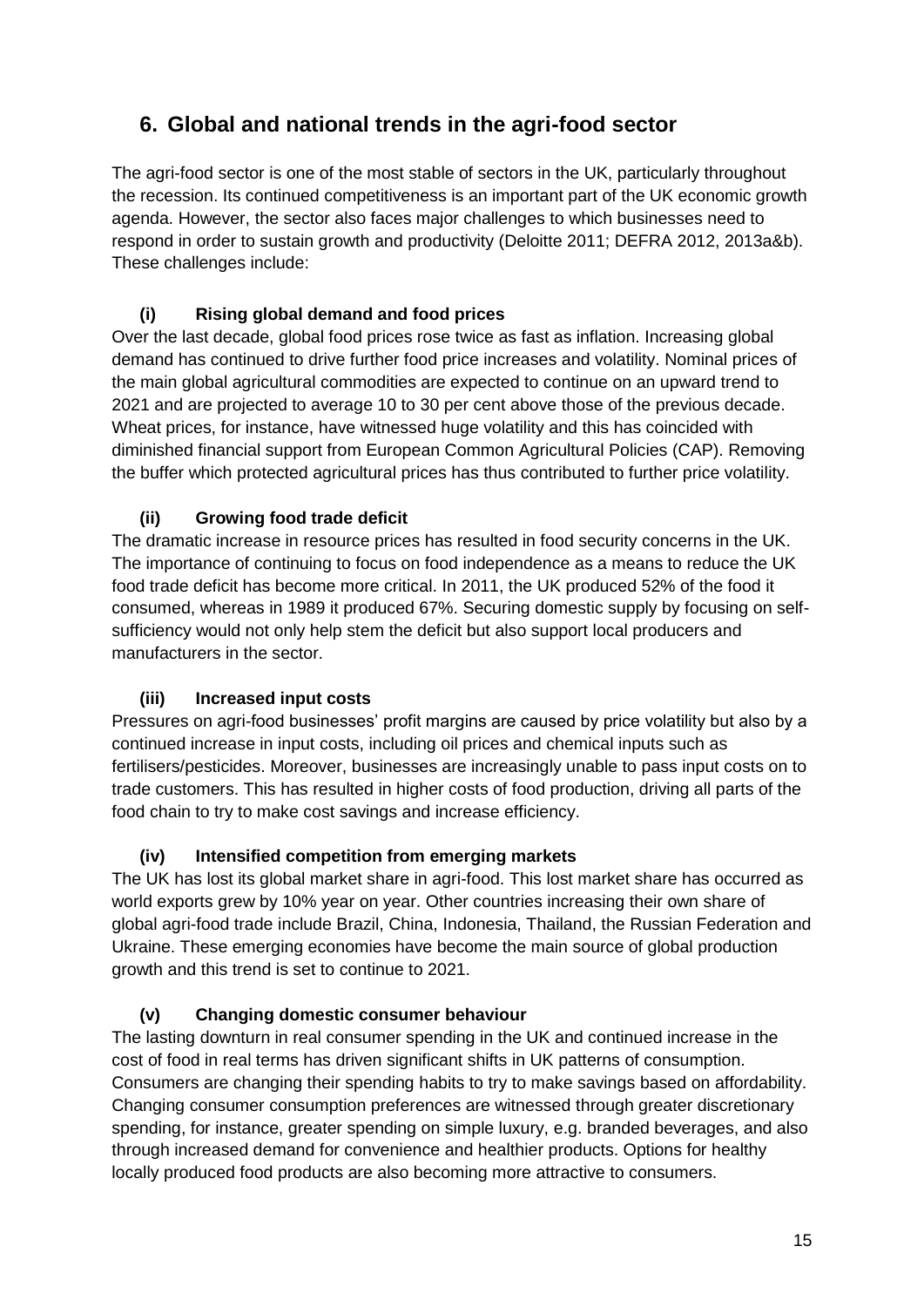# **6. Global and national trends in the agri-food sector**

The agri-food sector is one of the most stable of sectors in the UK, particularly throughout the recession. Its continued competitiveness is an important part of the UK economic growth agenda. However, the sector also faces major challenges to which businesses need to respond in order to sustain growth and productivity (Deloitte 2011; DEFRA 2012, 2013a&b). These challenges include:

# **(i) Rising global demand and food prices**

Over the last decade, global food prices rose twice as fast as inflation. Increasing global demand has continued to drive further food price increases and volatility. Nominal prices of the main global agricultural commodities are expected to continue on an upward trend to 2021 and are projected to average 10 to 30 per cent above those of the previous decade. Wheat prices, for instance, have witnessed huge volatility and this has coincided with diminished financial support from European Common Agricultural Policies (CAP). Removing the buffer which protected agricultural prices has thus contributed to further price volatility.

# **(ii) Growing food trade deficit**

The dramatic increase in resource prices has resulted in food security concerns in the UK. The importance of continuing to focus on food independence as a means to reduce the UK food trade deficit has become more critical. In 2011, the UK produced 52% of the food it consumed, whereas in 1989 it produced 67%. Securing domestic supply by focusing on selfsufficiency would not only help stem the deficit but also support local producers and manufacturers in the sector.

### **(iii) Increased input costs**

Pressures on agri-food businesses' profit margins are caused by price volatility but also by a continued increase in input costs, including oil prices and chemical inputs such as fertilisers/pesticides. Moreover, businesses are increasingly unable to pass input costs on to trade customers. This has resulted in higher costs of food production, driving all parts of the food chain to try to make cost savings and increase efficiency.

### **(iv) Intensified competition from emerging markets**

The UK has lost its global market share in agri-food. This lost market share has occurred as world exports grew by 10% year on year. Other countries increasing their own share of global agri-food trade include Brazil, China, Indonesia, Thailand, the Russian Federation and Ukraine. These emerging economies have become the main source of global production growth and this trend is set to continue to 2021.

### **(v) Changing domestic consumer behaviour**

The lasting downturn in real consumer spending in the UK and continued increase in the cost of food in real terms has driven significant shifts in UK patterns of consumption. Consumers are changing their spending habits to try to make savings based on affordability. Changing consumer consumption preferences are witnessed through greater discretionary spending, for instance, greater spending on simple luxury, e.g. branded beverages, and also through increased demand for convenience and healthier products. Options for healthy locally produced food products are also becoming more attractive to consumers.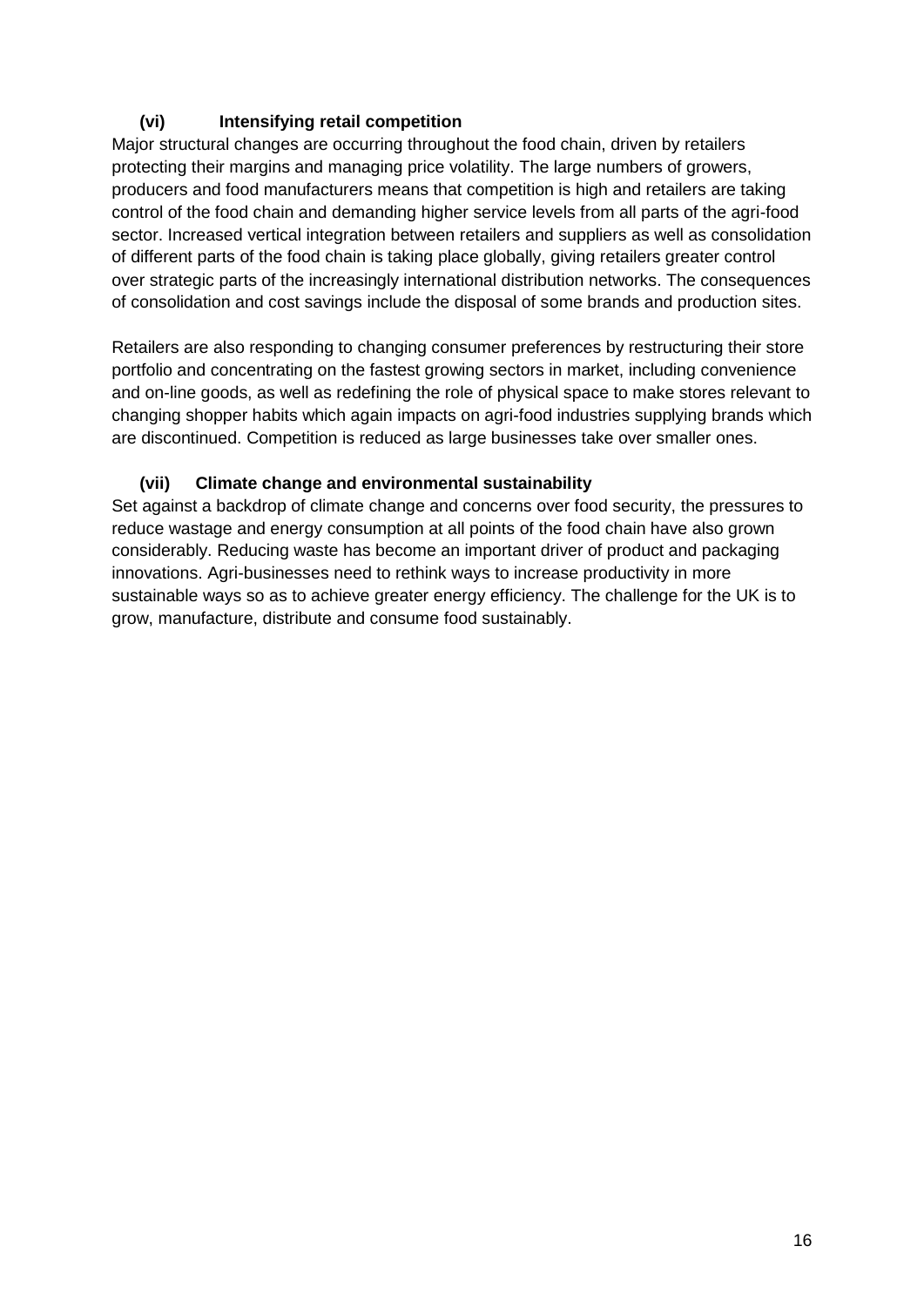# **(vi) Intensifying retail competition**

Major structural changes are occurring throughout the food chain, driven by retailers protecting their margins and managing price volatility. The large numbers of growers, producers and food manufacturers means that competition is high and retailers are taking control of the food chain and demanding higher service levels from all parts of the agri-food sector. Increased vertical integration between retailers and suppliers as well as consolidation of different parts of the food chain is taking place globally, giving retailers greater control over strategic parts of the increasingly international distribution networks. The consequences of consolidation and cost savings include the disposal of some brands and production sites.

Retailers are also responding to changing consumer preferences by restructuring their store portfolio and concentrating on the fastest growing sectors in market, including convenience and on-line goods, as well as redefining the role of physical space to make stores relevant to changing shopper habits which again impacts on agri-food industries supplying brands which are discontinued. Competition is reduced as large businesses take over smaller ones.

### **(vii) Climate change and environmental sustainability**

Set against a backdrop of climate change and concerns over food security, the pressures to reduce wastage and energy consumption at all points of the food chain have also grown considerably. Reducing waste has become an important driver of product and packaging innovations. Agri-businesses need to rethink ways to increase productivity in more sustainable ways so as to achieve greater energy efficiency. The challenge for the UK is to grow, manufacture, distribute and consume food sustainably.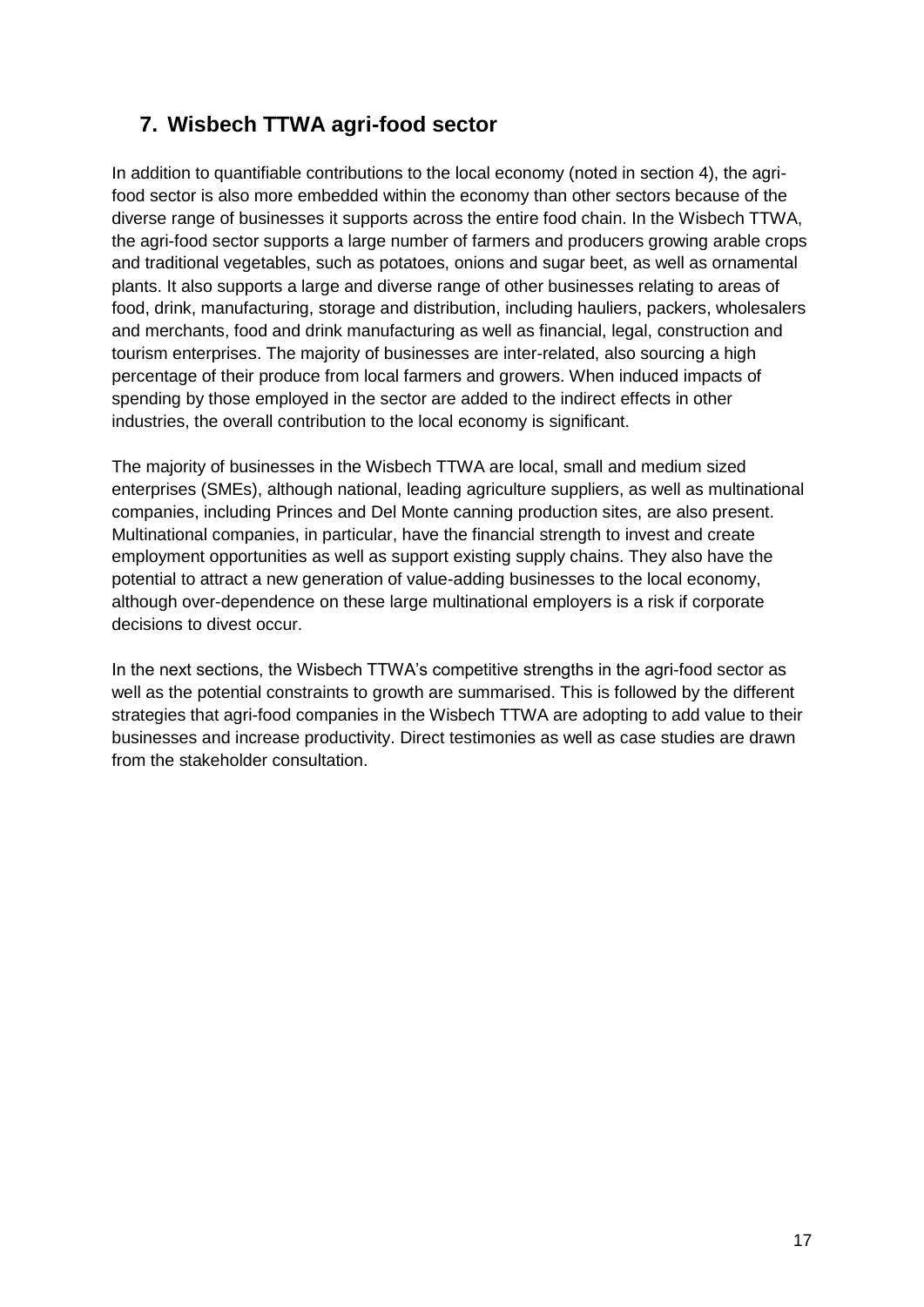# **7. Wisbech TTWA agri-food sector**

In addition to quantifiable contributions to the local economy (noted in section 4), the agrifood sector is also more embedded within the economy than other sectors because of the diverse range of businesses it supports across the entire food chain. In the Wisbech TTWA, the agri-food sector supports a large number of farmers and producers growing arable crops and traditional vegetables, such as potatoes, onions and sugar beet, as well as ornamental plants. It also supports a large and diverse range of other businesses relating to areas of food, drink, manufacturing, storage and distribution, including hauliers, packers, wholesalers and merchants, food and drink manufacturing as well as financial, legal, construction and tourism enterprises. The majority of businesses are inter-related, also sourcing a high percentage of their produce from local farmers and growers. When induced impacts of spending by those employed in the sector are added to the indirect effects in other industries, the overall contribution to the local economy is significant.

The majority of businesses in the Wisbech TTWA are local, small and medium sized enterprises (SMEs), although national, leading agriculture suppliers, as well as multinational companies, including Princes and Del Monte canning production sites, are also present. Multinational companies, in particular, have the financial strength to invest and create employment opportunities as well as support existing supply chains. They also have the potential to attract a new generation of value-adding businesses to the local economy, although over-dependence on these large multinational employers is a risk if corporate decisions to divest occur.

In the next sections, the Wisbech TTWA's competitive strengths in the agri-food sector as well as the potential constraints to growth are summarised. This is followed by the different strategies that agri-food companies in the Wisbech TTWA are adopting to add value to their businesses and increase productivity. Direct testimonies as well as case studies are drawn from the stakeholder consultation.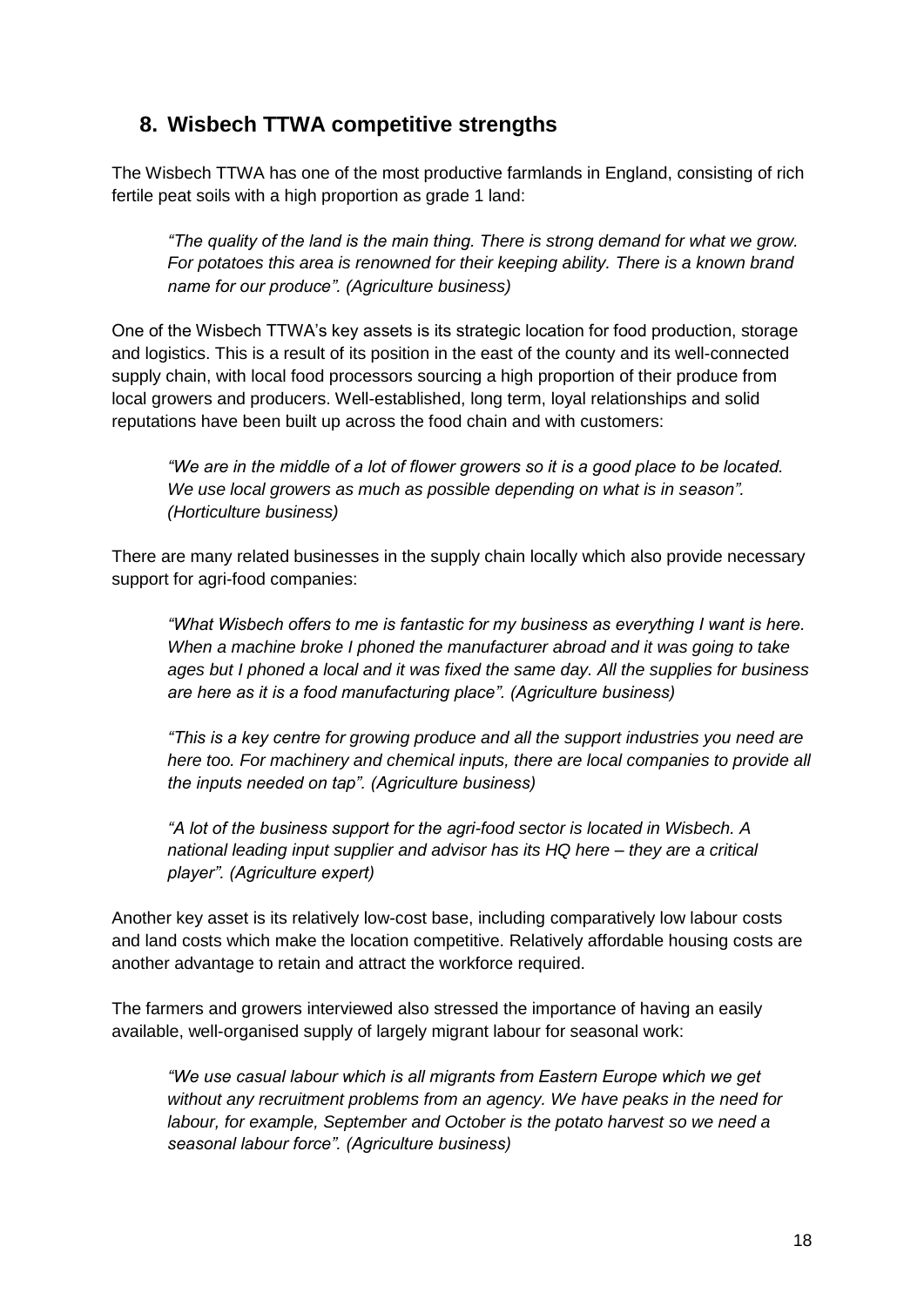# **8. Wisbech TTWA competitive strengths**

The Wisbech TTWA has one of the most productive farmlands in England, consisting of rich fertile peat soils with a high proportion as grade 1 land:

*"The quality of the land is the main thing. There is strong demand for what we grow. For potatoes this area is renowned for their keeping ability. There is a known brand name for our produce". (Agriculture business)* 

One of the Wisbech TTWA's key assets is its strategic location for food production, storage and logistics. This is a result of its position in the east of the county and its well-connected supply chain, with local food processors sourcing a high proportion of their produce from local growers and producers. Well-established, long term, loyal relationships and solid reputations have been built up across the food chain and with customers:

*"We are in the middle of a lot of flower growers so it is a good place to be located. We use local growers as much as possible depending on what is in season". (Horticulture business)*

There are many related businesses in the supply chain locally which also provide necessary support for agri-food companies:

*"What Wisbech offers to me is fantastic for my business as everything I want is here. When a machine broke I phoned the manufacturer abroad and it was going to take ages but I phoned a local and it was fixed the same day. All the supplies for business are here as it is a food manufacturing place". (Agriculture business)*

*"This is a key centre for growing produce and all the support industries you need are here too. For machinery and chemical inputs, there are local companies to provide all the inputs needed on tap". (Agriculture business)*

*"A lot of the business support for the agri-food sector is located in Wisbech. A national leading input supplier and advisor has its HQ here – they are a critical player". (Agriculture expert)*

Another key asset is its relatively low-cost base, including comparatively low labour costs and land costs which make the location competitive. Relatively affordable housing costs are another advantage to retain and attract the workforce required.

The farmers and growers interviewed also stressed the importance of having an easily available, well-organised supply of largely migrant labour for seasonal work:

*"We use casual labour which is all migrants from Eastern Europe which we get without any recruitment problems from an agency. We have peaks in the need for labour, for example, September and October is the potato harvest so we need a seasonal labour force". (Agriculture business)*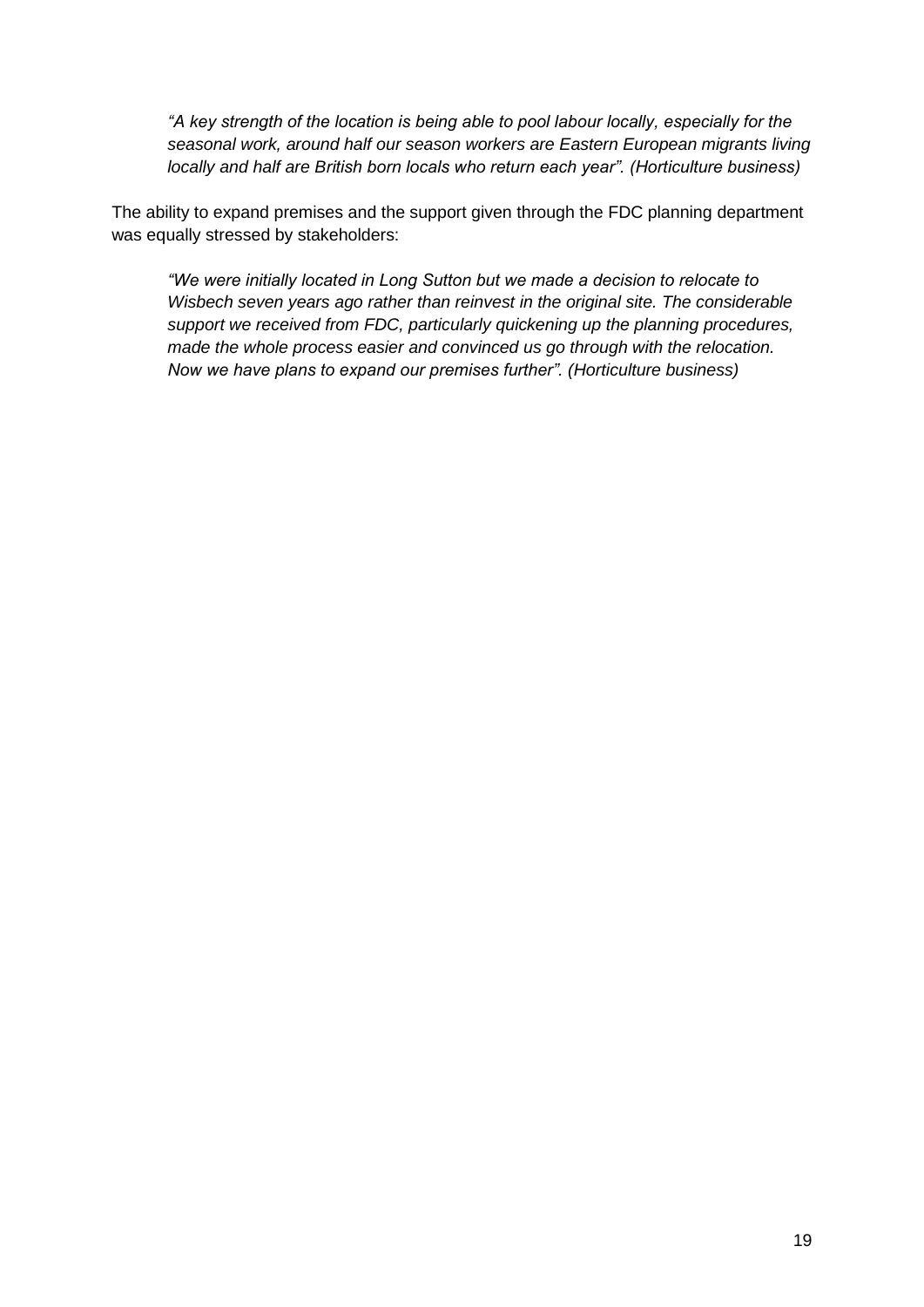*"A key strength of the location is being able to pool labour locally, especially for the seasonal work, around half our season workers are Eastern European migrants living locally and half are British born locals who return each year". (Horticulture business)*

The ability to expand premises and the support given through the FDC planning department was equally stressed by stakeholders:

*"We were initially located in Long Sutton but we made a decision to relocate to Wisbech seven years ago rather than reinvest in the original site. The considerable support we received from FDC, particularly quickening up the planning procedures, made the whole process easier and convinced us go through with the relocation. Now we have plans to expand our premises further". (Horticulture business)*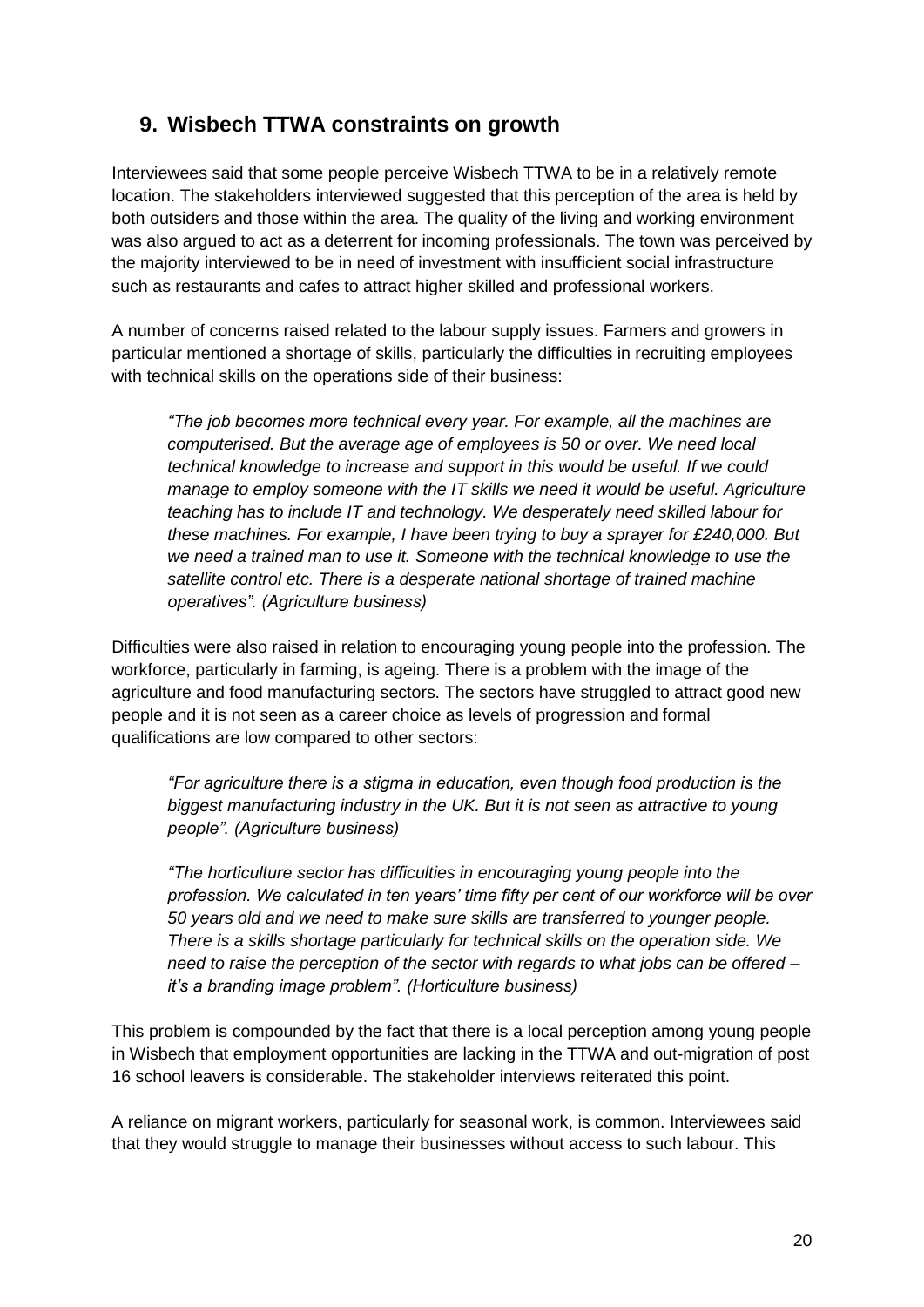# **9. Wisbech TTWA constraints on growth**

Interviewees said that some people perceive Wisbech TTWA to be in a relatively remote location. The stakeholders interviewed suggested that this perception of the area is held by both outsiders and those within the area. The quality of the living and working environment was also argued to act as a deterrent for incoming professionals. The town was perceived by the majority interviewed to be in need of investment with insufficient social infrastructure such as restaurants and cafes to attract higher skilled and professional workers.

A number of concerns raised related to the labour supply issues. Farmers and growers in particular mentioned a shortage of skills, particularly the difficulties in recruiting employees with technical skills on the operations side of their business:

*"The job becomes more technical every year. For example, all the machines are computerised. But the average age of employees is 50 or over. We need local technical knowledge to increase and support in this would be useful. If we could manage to employ someone with the IT skills we need it would be useful. Agriculture teaching has to include IT and technology. We desperately need skilled labour for these machines. For example, I have been trying to buy a sprayer for £240,000. But we need a trained man to use it. Someone with the technical knowledge to use the satellite control etc. There is a desperate national shortage of trained machine operatives". (Agriculture business)*

Difficulties were also raised in relation to encouraging young people into the profession. The workforce, particularly in farming, is ageing. There is a problem with the image of the agriculture and food manufacturing sectors. The sectors have struggled to attract good new people and it is not seen as a career choice as levels of progression and formal qualifications are low compared to other sectors:

*"For agriculture there is a stigma in education, even though food production is the biggest manufacturing industry in the UK. But it is not seen as attractive to young people". (Agriculture business)*

*"The horticulture sector has difficulties in encouraging young people into the profession. We calculated in ten years' time fifty per cent of our workforce will be over 50 years old and we need to make sure skills are transferred to younger people. There is a skills shortage particularly for technical skills on the operation side. We need to raise the perception of the sector with regards to what jobs can be offered – it's a branding image problem". (Horticulture business)*

This problem is compounded by the fact that there is a local perception among young people in Wisbech that employment opportunities are lacking in the TTWA and out-migration of post 16 school leavers is considerable. The stakeholder interviews reiterated this point.

A reliance on migrant workers, particularly for seasonal work, is common. Interviewees said that they would struggle to manage their businesses without access to such labour. This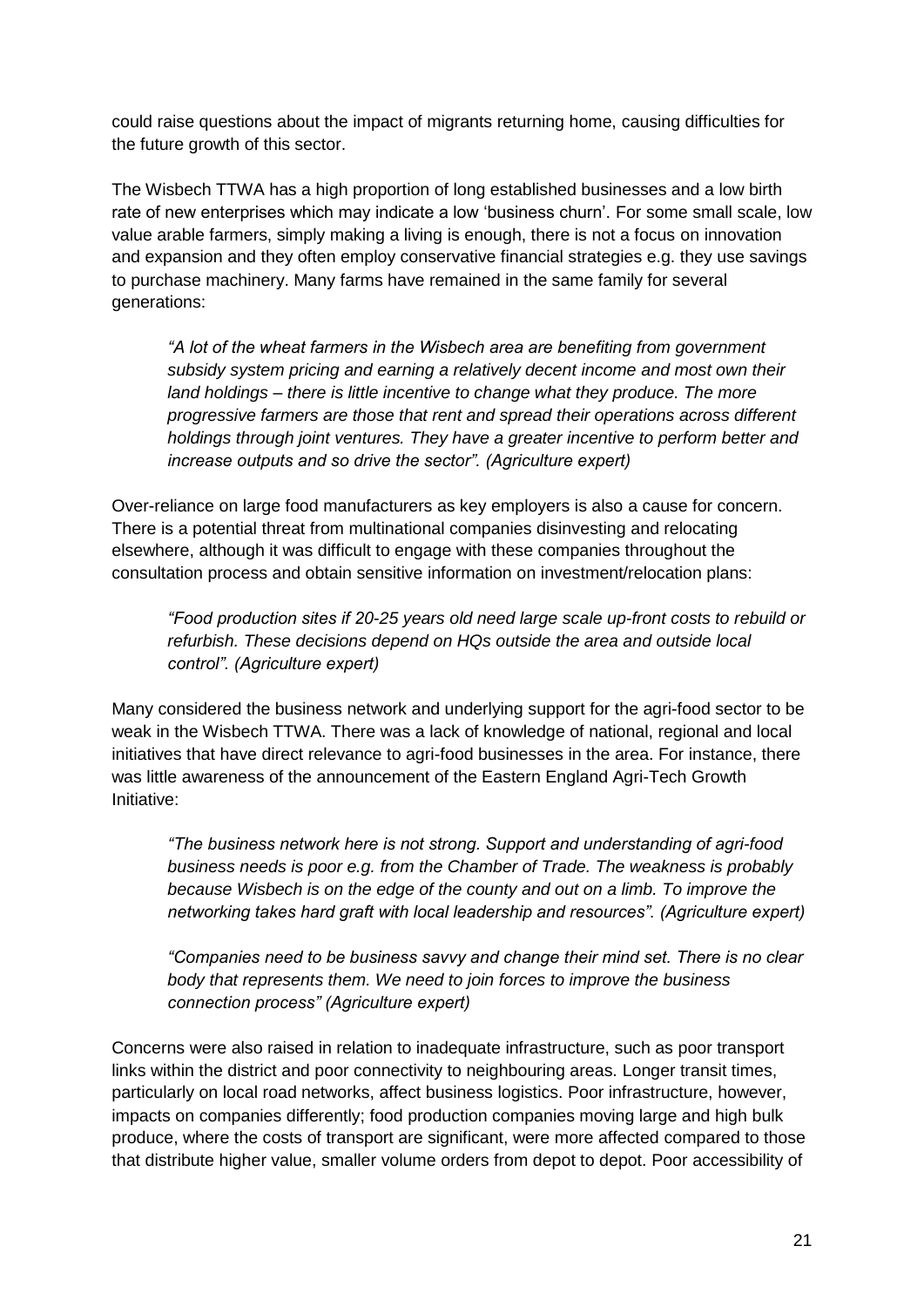could raise questions about the impact of migrants returning home, causing difficulties for the future growth of this sector.

The Wisbech TTWA has a high proportion of long established businesses and a low birth rate of new enterprises which may indicate a low 'business churn'. For some small scale, low value arable farmers, simply making a living is enough, there is not a focus on innovation and expansion and they often employ conservative financial strategies e.g. they use savings to purchase machinery. Many farms have remained in the same family for several generations:

*"A lot of the wheat farmers in the Wisbech area are benefiting from government subsidy system pricing and earning a relatively decent income and most own their land holdings – there is little incentive to change what they produce. The more progressive farmers are those that rent and spread their operations across different holdings through joint ventures. They have a greater incentive to perform better and increase outputs and so drive the sector". (Agriculture expert)*

Over-reliance on large food manufacturers as key employers is also a cause for concern. There is a potential threat from multinational companies disinvesting and relocating elsewhere, although it was difficult to engage with these companies throughout the consultation process and obtain sensitive information on investment/relocation plans:

*"Food production sites if 20-25 years old need large scale up-front costs to rebuild or refurbish. These decisions depend on HQs outside the area and outside local control". (Agriculture expert)*

Many considered the business network and underlying support for the agri-food sector to be weak in the Wisbech TTWA. There was a lack of knowledge of national, regional and local initiatives that have direct relevance to agri-food businesses in the area. For instance, there was little awareness of the announcement of the Eastern England Agri-Tech Growth Initiative:

*"The business network here is not strong. Support and understanding of agri-food business needs is poor e.g. from the Chamber of Trade. The weakness is probably because Wisbech is on the edge of the county and out on a limb. To improve the networking takes hard graft with local leadership and resources". (Agriculture expert)*

*"Companies need to be business savvy and change their mind set. There is no clear body that represents them. We need to join forces to improve the business connection process" (Agriculture expert)*

Concerns were also raised in relation to inadequate infrastructure, such as poor transport links within the district and poor connectivity to neighbouring areas. Longer transit times, particularly on local road networks, affect business logistics. Poor infrastructure, however, impacts on companies differently; food production companies moving large and high bulk produce, where the costs of transport are significant, were more affected compared to those that distribute higher value, smaller volume orders from depot to depot. Poor accessibility of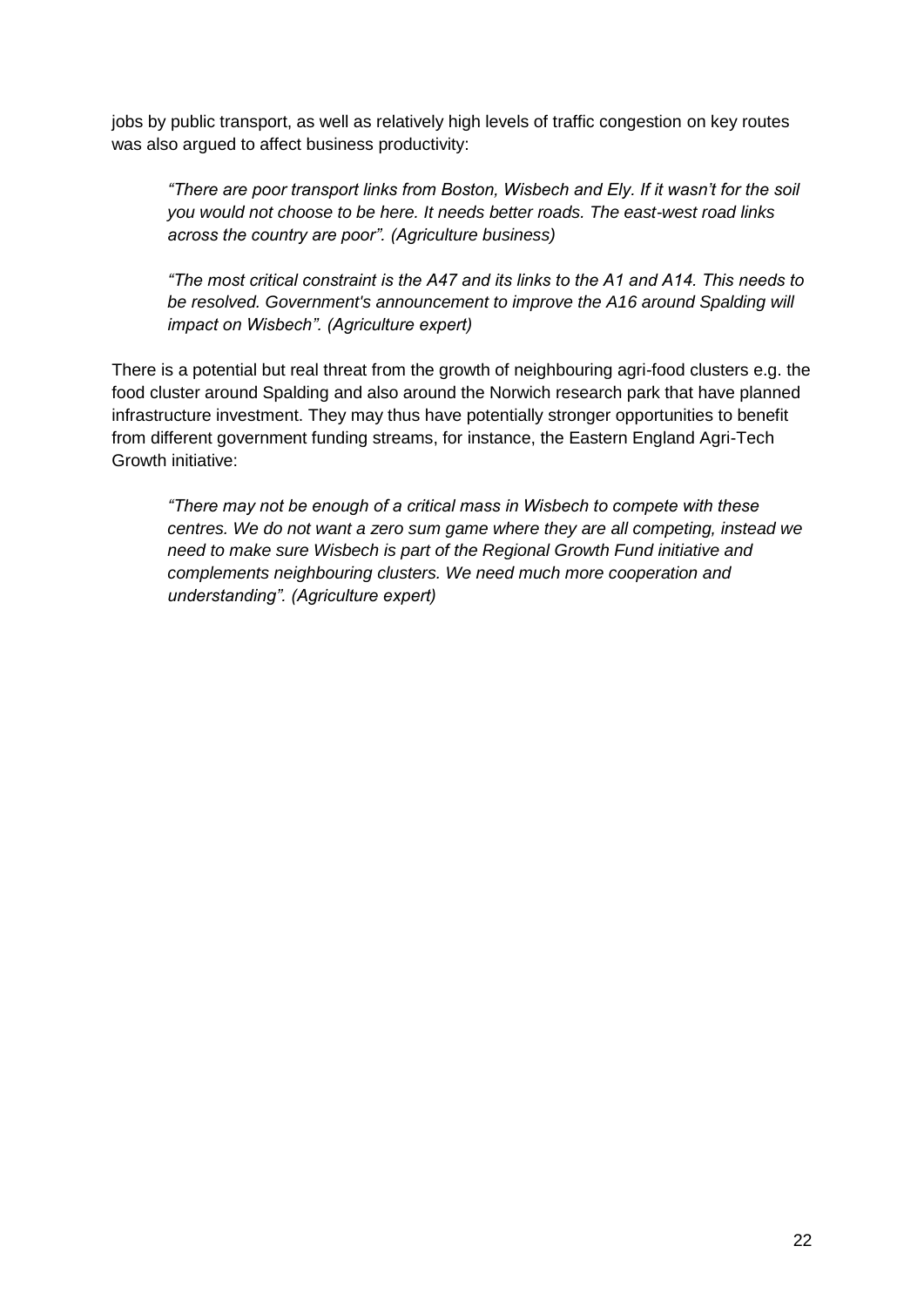jobs by public transport, as well as relatively high levels of traffic congestion on key routes was also argued to affect business productivity:

*"There are poor transport links from Boston, Wisbech and Ely. If it wasn't for the soil you would not choose to be here. It needs better roads. The east-west road links across the country are poor". (Agriculture business)*

*"The most critical constraint is the A47 and its links to the A1 and A14. This needs to be resolved. Government's announcement to improve the A16 around Spalding will impact on Wisbech". (Agriculture expert)*

There is a potential but real threat from the growth of neighbouring agri-food clusters e.g. the food cluster around Spalding and also around the Norwich research park that have planned infrastructure investment. They may thus have potentially stronger opportunities to benefit from different government funding streams, for instance, the Eastern England Agri-Tech Growth initiative:

*"There may not be enough of a critical mass in Wisbech to compete with these centres. We do not want a zero sum game where they are all competing, instead we need to make sure Wisbech is part of the Regional Growth Fund initiative and complements neighbouring clusters. We need much more cooperation and understanding". (Agriculture expert)*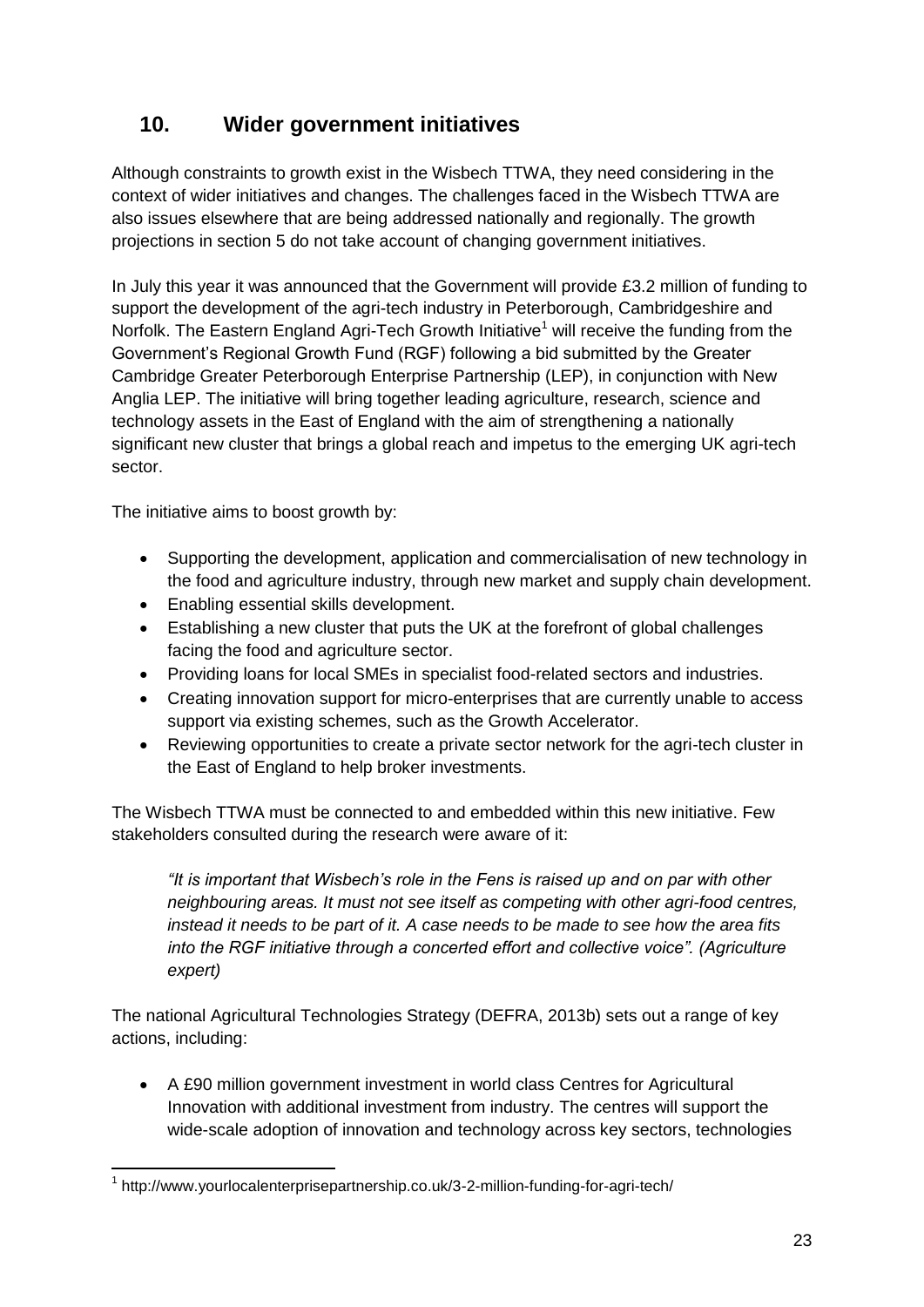# **10. Wider government initiatives**

Although constraints to growth exist in the Wisbech TTWA, they need considering in the context of wider initiatives and changes. The challenges faced in the Wisbech TTWA are also issues elsewhere that are being addressed nationally and regionally. The growth projections in section 5 do not take account of changing government initiatives.

In July this year it was announced that the Government will provide £3.2 million of funding to support the development of the agri-tech industry in Peterborough, Cambridgeshire and Norfolk. The Eastern England Agri-Tech Growth Initiative<sup>1</sup> will receive the funding from the Government's Regional Growth Fund (RGF) following a bid submitted by the Greater Cambridge Greater Peterborough Enterprise Partnership (LEP), in conjunction with New Anglia LEP. The initiative will bring together leading agriculture, research, science and technology assets in the East of England with the aim of strengthening a nationally significant new cluster that brings a global reach and impetus to the emerging UK agri-tech sector.

The initiative aims to boost growth by:

- Supporting the development, application and commercialisation of new technology in the food and agriculture industry, through new market and supply chain development.
- Enabling essential skills development.
- Establishing a new cluster that puts the UK at the forefront of global challenges facing the food and agriculture sector.
- Providing loans for local SMEs in specialist food-related sectors and industries.
- Creating innovation support for micro-enterprises that are currently unable to access support via existing schemes, such as the Growth Accelerator.
- Reviewing opportunities to create a private sector network for the agri-tech cluster in the East of England to help broker investments.

The Wisbech TTWA must be connected to and embedded within this new initiative. Few stakeholders consulted during the research were aware of it:

*"It is important that Wisbech's role in the Fens is raised up and on par with other neighbouring areas. It must not see itself as competing with other agri-food centres, instead it needs to be part of it. A case needs to be made to see how the area fits into the RGF initiative through a concerted effort and collective voice". (Agriculture expert)*

The national Agricultural Technologies Strategy (DEFRA, 2013b) sets out a range of key actions, including:

 A £90 million government investment in world class Centres for Agricultural Innovation with additional investment from industry. The centres will support the wide-scale adoption of innovation and technology across key sectors, technologies

<sup>1</sup> <sup>1</sup> http://www.yourlocalenterprisepartnership.co.uk/3-2-million-funding-for-agri-tech/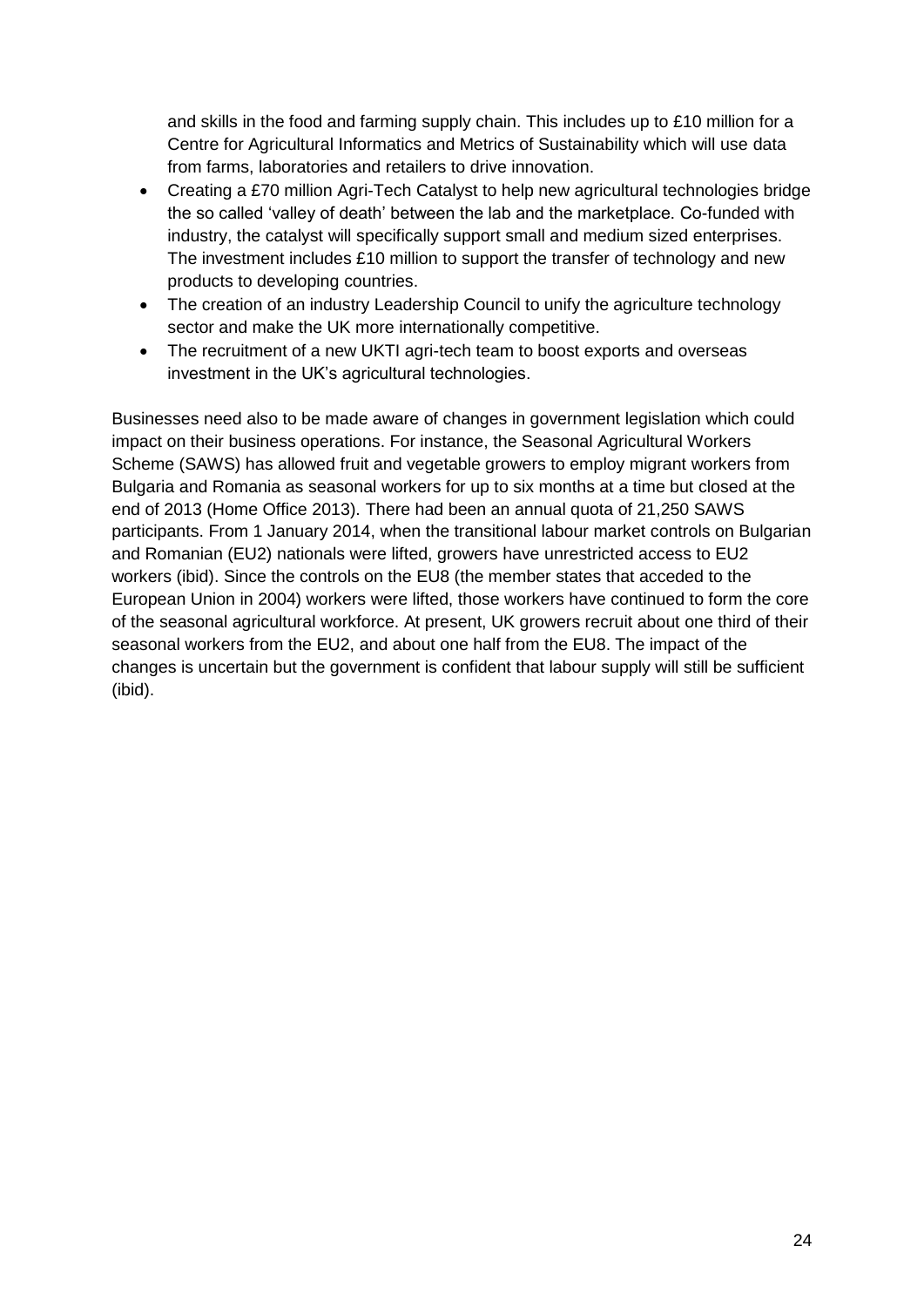and skills in the food and farming supply chain. This includes up to £10 million for a Centre for Agricultural Informatics and Metrics of Sustainability which will use data from farms, laboratories and retailers to drive innovation.

- Creating a £70 million Agri-Tech Catalyst to help new agricultural technologies bridge the so called 'valley of death' between the lab and the marketplace. Co-funded with industry, the catalyst will specifically support small and medium sized enterprises. The investment includes £10 million to support the transfer of technology and new products to developing countries.
- The creation of an industry Leadership Council to unify the agriculture technology sector and make the UK more internationally competitive.
- The recruitment of a new UKTI agri-tech team to boost exports and overseas investment in the UK's agricultural technologies.

Businesses need also to be made aware of changes in government legislation which could impact on their business operations. For instance, the Seasonal Agricultural Workers Scheme (SAWS) has allowed fruit and vegetable growers to employ migrant workers from Bulgaria and Romania as seasonal workers for up to six months at a time but closed at the end of 2013 (Home Office 2013). There had been an annual quota of 21,250 SAWS participants. From 1 January 2014, when the transitional labour market controls on Bulgarian and Romanian (EU2) nationals were lifted, growers have unrestricted access to EU2 workers (ibid). Since the controls on the EU8 (the member states that acceded to the European Union in 2004) workers were lifted, those workers have continued to form the core of the seasonal agricultural workforce. At present, UK growers recruit about one third of their seasonal workers from the EU2, and about one half from the EU8. The impact of the changes is uncertain but the government is confident that labour supply will still be sufficient (ibid).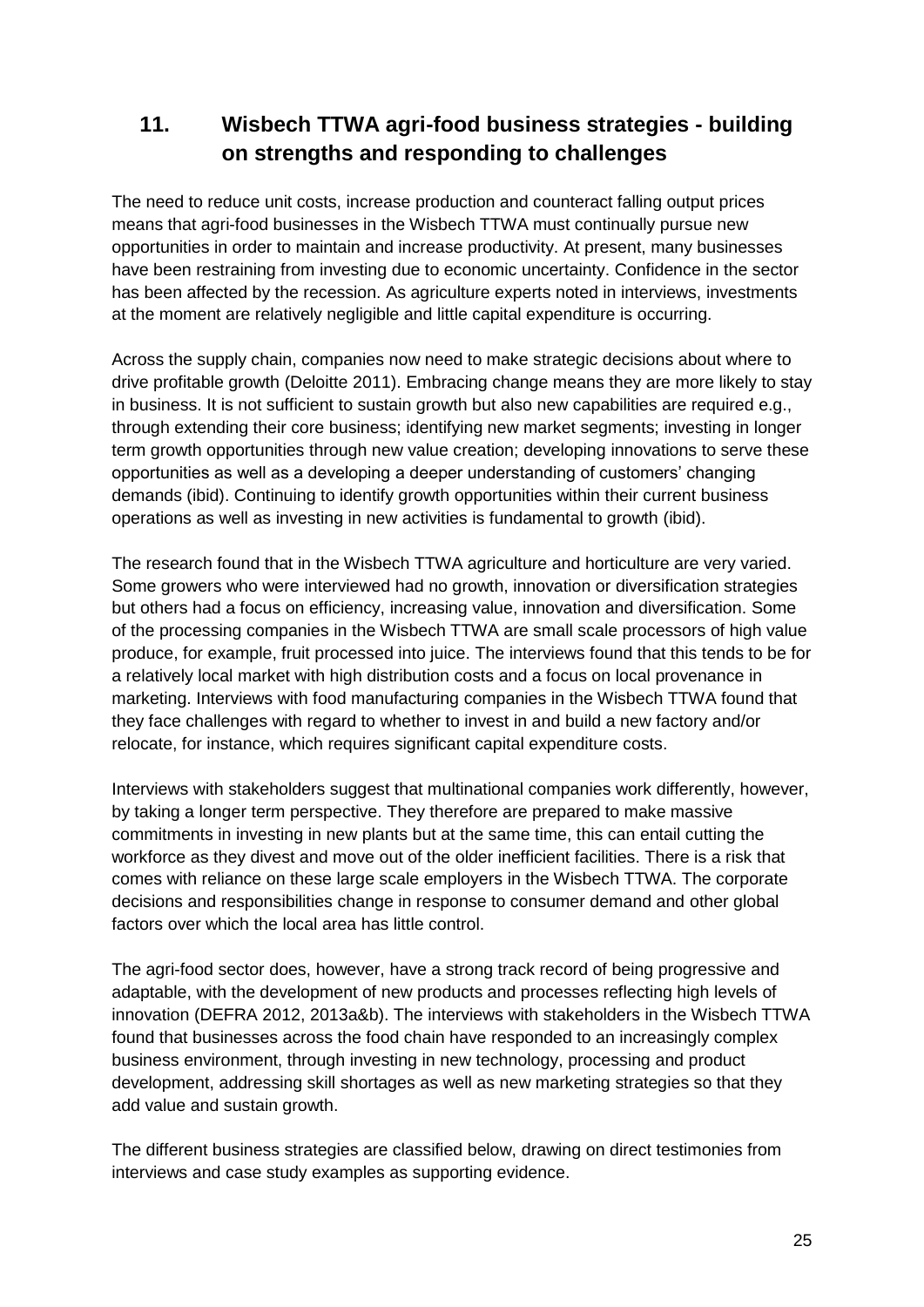# **11. Wisbech TTWA agri-food business strategies - building on strengths and responding to challenges**

The need to reduce unit costs, increase production and counteract falling output prices means that agri-food businesses in the Wisbech TTWA must continually pursue new opportunities in order to maintain and increase productivity. At present, many businesses have been restraining from investing due to economic uncertainty. Confidence in the sector has been affected by the recession. As agriculture experts noted in interviews, investments at the moment are relatively negligible and little capital expenditure is occurring.

Across the supply chain, companies now need to make strategic decisions about where to drive profitable growth (Deloitte 2011). Embracing change means they are more likely to stay in business. It is not sufficient to sustain growth but also new capabilities are required e.g., through extending their core business; identifying new market segments; investing in longer term growth opportunities through new value creation; developing innovations to serve these opportunities as well as a developing a deeper understanding of customers' changing demands (ibid). Continuing to identify growth opportunities within their current business operations as well as investing in new activities is fundamental to growth (ibid).

The research found that in the Wisbech TTWA agriculture and horticulture are very varied. Some growers who were interviewed had no growth, innovation or diversification strategies but others had a focus on efficiency, increasing value, innovation and diversification. Some of the processing companies in the Wisbech TTWA are small scale processors of high value produce, for example, fruit processed into juice. The interviews found that this tends to be for a relatively local market with high distribution costs and a focus on local provenance in marketing. Interviews with food manufacturing companies in the Wisbech TTWA found that they face challenges with regard to whether to invest in and build a new factory and/or relocate, for instance, which requires significant capital expenditure costs.

Interviews with stakeholders suggest that multinational companies work differently, however, by taking a longer term perspective. They therefore are prepared to make massive commitments in investing in new plants but at the same time, this can entail cutting the workforce as they divest and move out of the older inefficient facilities. There is a risk that comes with reliance on these large scale employers in the Wisbech TTWA. The corporate decisions and responsibilities change in response to consumer demand and other global factors over which the local area has little control.

The agri-food sector does, however, have a strong track record of being progressive and adaptable, with the development of new products and processes reflecting high levels of innovation (DEFRA 2012, 2013a&b). The interviews with stakeholders in the Wisbech TTWA found that businesses across the food chain have responded to an increasingly complex business environment, through investing in new technology, processing and product development, addressing skill shortages as well as new marketing strategies so that they add value and sustain growth.

The different business strategies are classified below, drawing on direct testimonies from interviews and case study examples as supporting evidence.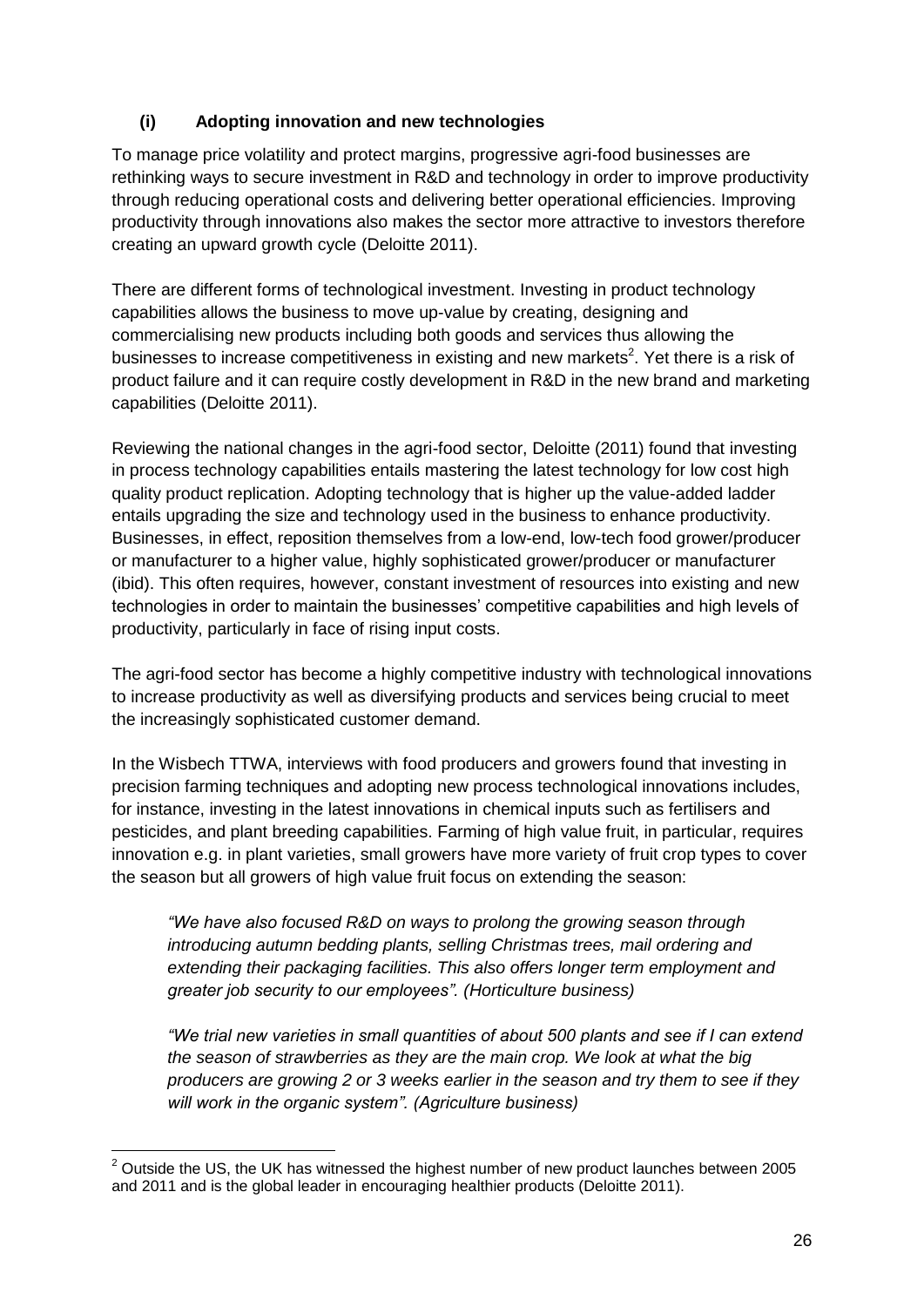### **(i) Adopting innovation and new technologies**

To manage price volatility and protect margins, progressive agri-food businesses are rethinking ways to secure investment in R&D and technology in order to improve productivity through reducing operational costs and delivering better operational efficiencies. Improving productivity through innovations also makes the sector more attractive to investors therefore creating an upward growth cycle (Deloitte 2011).

There are different forms of technological investment. Investing in product technology capabilities allows the business to move up-value by creating, designing and commercialising new products including both goods and services thus allowing the businesses to increase competitiveness in existing and new markets<sup>2</sup>. Yet there is a risk of product failure and it can require costly development in R&D in the new brand and marketing capabilities (Deloitte 2011).

Reviewing the national changes in the agri-food sector, Deloitte (2011) found that investing in process technology capabilities entails mastering the latest technology for low cost high quality product replication. Adopting technology that is higher up the value-added ladder entails upgrading the size and technology used in the business to enhance productivity. Businesses, in effect, reposition themselves from a low-end, low-tech food grower/producer or manufacturer to a higher value, highly sophisticated grower/producer or manufacturer (ibid). This often requires, however, constant investment of resources into existing and new technologies in order to maintain the businesses' competitive capabilities and high levels of productivity, particularly in face of rising input costs.

The agri-food sector has become a highly competitive industry with technological innovations to increase productivity as well as diversifying products and services being crucial to meet the increasingly sophisticated customer demand.

In the Wisbech TTWA, interviews with food producers and growers found that investing in precision farming techniques and adopting new process technological innovations includes, for instance, investing in the latest innovations in chemical inputs such as fertilisers and pesticides, and plant breeding capabilities. Farming of high value fruit, in particular, requires innovation e.g. in plant varieties, small growers have more variety of fruit crop types to cover the season but all growers of high value fruit focus on extending the season:

*"We have also focused R&D on ways to prolong the growing season through introducing autumn bedding plants, selling Christmas trees, mail ordering and extending their packaging facilities. This also offers longer term employment and greater job security to our employees". (Horticulture business)*

*"We trial new varieties in small quantities of about 500 plants and see if I can extend the season of strawberries as they are the main crop. We look at what the big producers are growing 2 or 3 weeks earlier in the season and try them to see if they will work in the organic system". (Agriculture business)*

1

 $2$  Outside the US, the UK has witnessed the highest number of new product launches between 2005 and 2011 and is the global leader in encouraging healthier products (Deloitte 2011).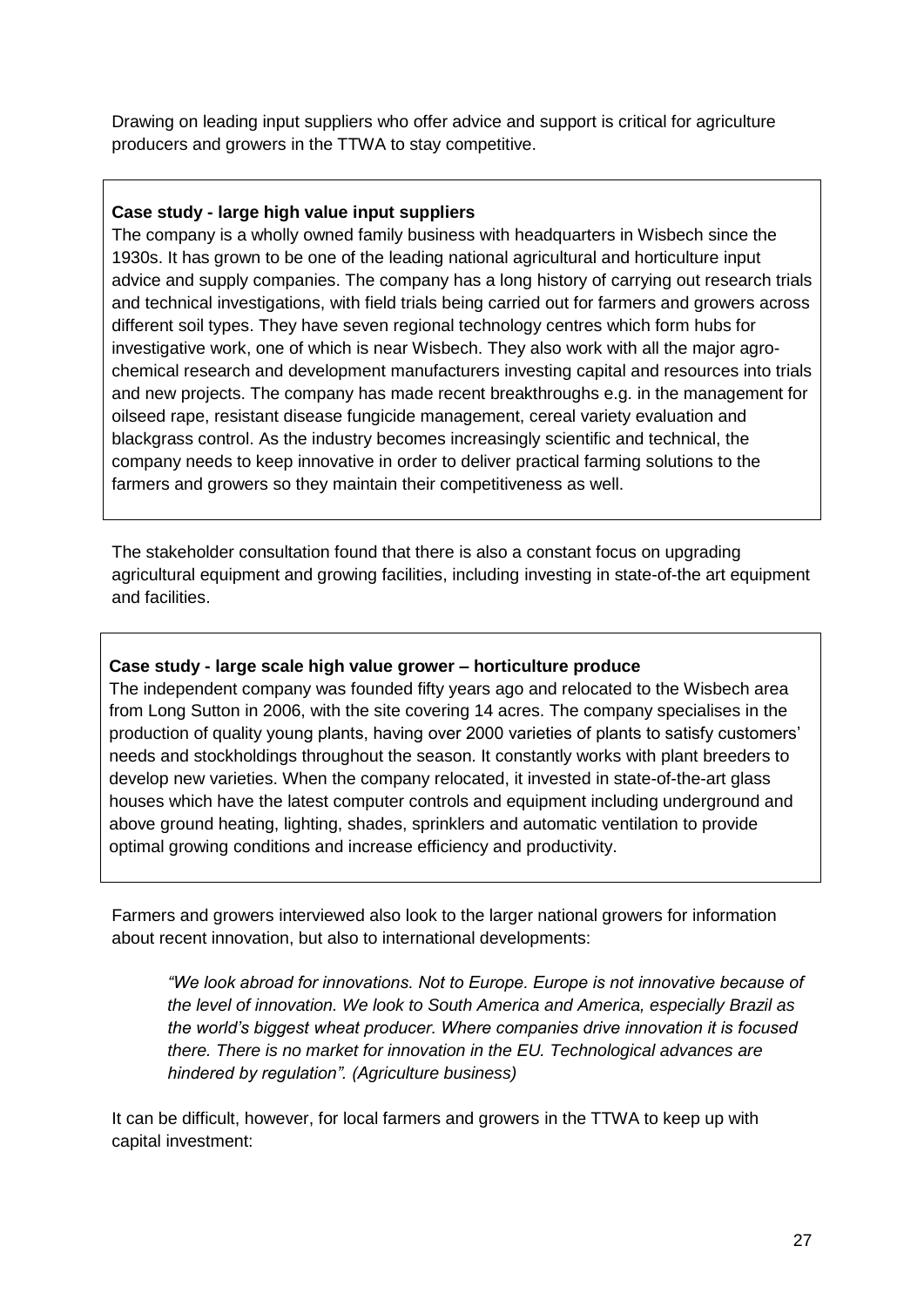Drawing on leading input suppliers who offer advice and support is critical for agriculture producers and growers in the TTWA to stay competitive.

#### **Case study - large high value input suppliers**

The company is a wholly owned family business with headquarters in Wisbech since the 1930s. It has grown to be one of the leading national agricultural and horticulture input advice and supply companies. The company has a long history of carrying out research trials and technical investigations, with field trials being carried out for farmers and growers across different soil types. They have seven regional technology centres which form hubs for investigative work, one of which is near Wisbech. They also work with all the major agrochemical research and development manufacturers investing capital and resources into trials and new projects. The company has made recent breakthroughs e.g. in the management for oilseed rape, resistant disease fungicide management, cereal variety evaluation and blackgrass control. As the industry becomes increasingly scientific and technical, the company needs to keep innovative in order to deliver practical farming solutions to the farmers and growers so they maintain their competitiveness as well.

The stakeholder consultation found that there is also a constant focus on upgrading agricultural equipment and growing facilities, including investing in state-of-the art equipment and facilities.

### **Case study - large scale high value grower – horticulture produce**

The independent company was founded fifty years ago and relocated to the Wisbech area from Long Sutton in 2006, with the site covering 14 acres. The company specialises in the production of quality young plants, having over 2000 varieties of plants to satisfy customers' needs and stockholdings throughout the season. It constantly works with plant breeders to develop new varieties. When the company relocated, it invested in state-of-the-art glass houses which have the latest computer controls and equipment including underground and above ground heating, lighting, shades, sprinklers and automatic ventilation to provide optimal growing conditions and increase efficiency and productivity.

Farmers and growers interviewed also look to the larger national growers for information about recent innovation, but also to international developments:

*"We look abroad for innovations. Not to Europe. Europe is not innovative because of the level of innovation. We look to South America and America, especially Brazil as the world's biggest wheat producer. Where companies drive innovation it is focused there. There is no market for innovation in the EU. Technological advances are hindered by regulation". (Agriculture business)*

It can be difficult, however, for local farmers and growers in the TTWA to keep up with capital investment: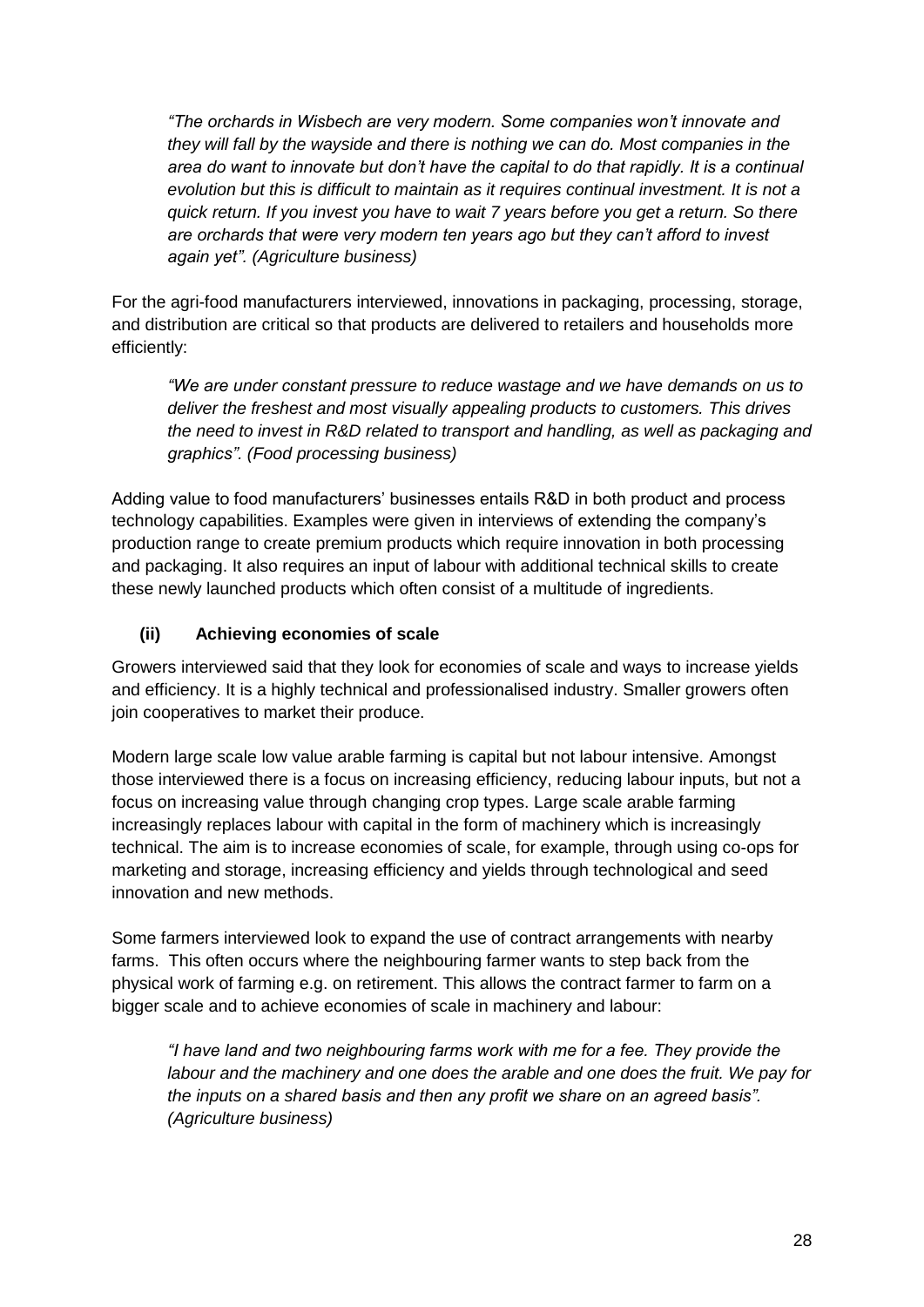*"The orchards in Wisbech are very modern. Some companies won't innovate and they will fall by the wayside and there is nothing we can do. Most companies in the area do want to innovate but don't have the capital to do that rapidly. It is a continual evolution but this is difficult to maintain as it requires continual investment. It is not a quick return. If you invest you have to wait 7 years before you get a return. So there are orchards that were very modern ten years ago but they can't afford to invest again yet". (Agriculture business)*

For the agri-food manufacturers interviewed, innovations in packaging, processing, storage, and distribution are critical so that products are delivered to retailers and households more efficiently:

*"We are under constant pressure to reduce wastage and we have demands on us to deliver the freshest and most visually appealing products to customers. This drives the need to invest in R&D related to transport and handling, as well as packaging and graphics". (Food processing business)*

Adding value to food manufacturers' businesses entails R&D in both product and process technology capabilities. Examples were given in interviews of extending the company's production range to create premium products which require innovation in both processing and packaging. It also requires an input of labour with additional technical skills to create these newly launched products which often consist of a multitude of ingredients.

### **(ii) Achieving economies of scale**

Growers interviewed said that they look for economies of scale and ways to increase yields and efficiency. It is a highly technical and professionalised industry. Smaller growers often join cooperatives to market their produce.

Modern large scale low value arable farming is capital but not labour intensive. Amongst those interviewed there is a focus on increasing efficiency, reducing labour inputs, but not a focus on increasing value through changing crop types. Large scale arable farming increasingly replaces labour with capital in the form of machinery which is increasingly technical. The aim is to increase economies of scale, for example, through using co-ops for marketing and storage, increasing efficiency and yields through technological and seed innovation and new methods.

Some farmers interviewed look to expand the use of contract arrangements with nearby farms. This often occurs where the neighbouring farmer wants to step back from the physical work of farming e.g. on retirement. This allows the contract farmer to farm on a bigger scale and to achieve economies of scale in machinery and labour:

*"I have land and two neighbouring farms work with me for a fee. They provide the labour and the machinery and one does the arable and one does the fruit. We pay for the inputs on a shared basis and then any profit we share on an agreed basis". (Agriculture business)*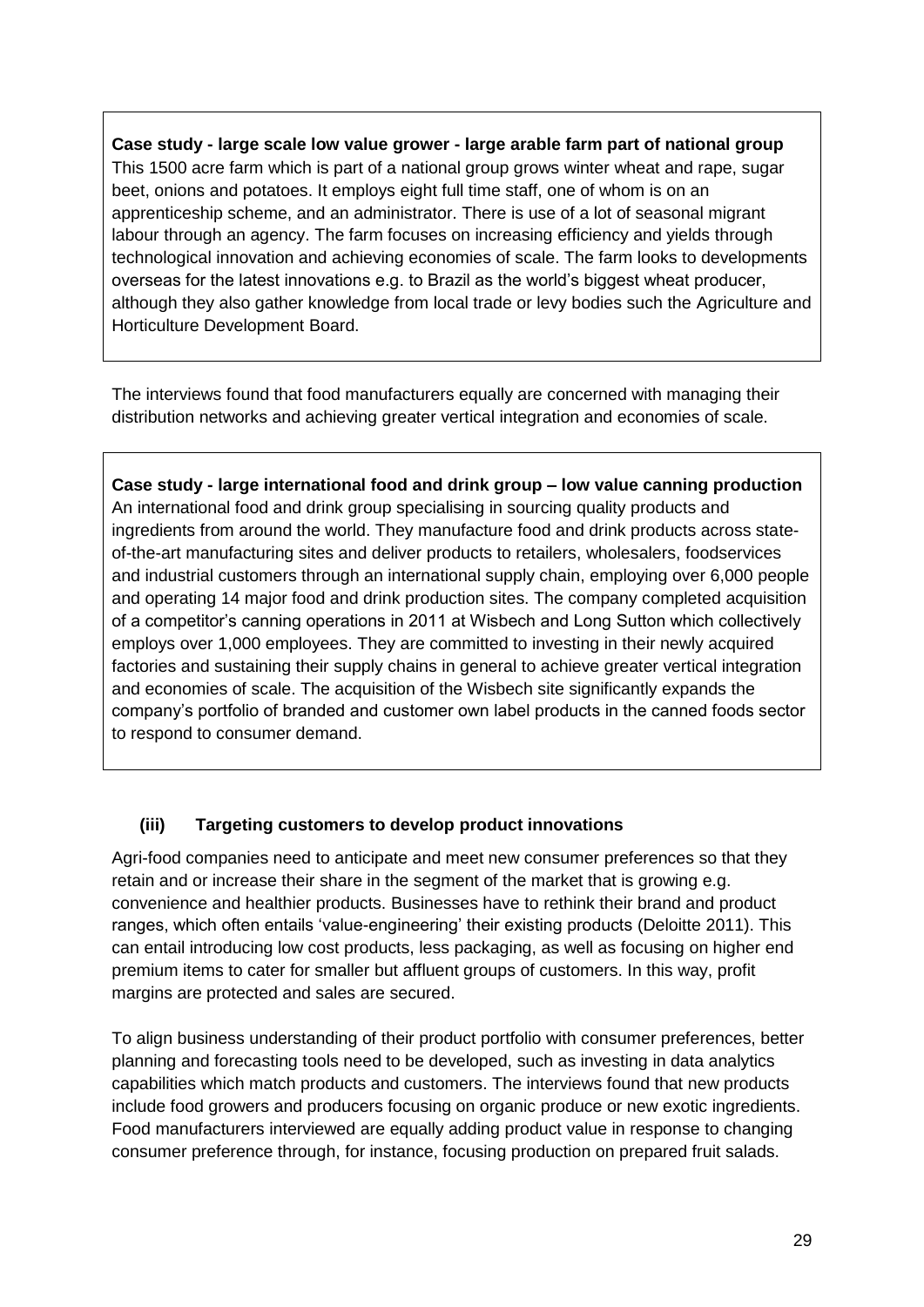**Case study - large scale low value grower - large arable farm part of national group** This 1500 acre farm which is part of a national group grows winter wheat and rape, sugar beet, onions and potatoes. It employs eight full time staff, one of whom is on an apprenticeship scheme, and an administrator. There is use of a lot of seasonal migrant labour through an agency. The farm focuses on increasing efficiency and yields through technological innovation and achieving economies of scale. The farm looks to developments overseas for the latest innovations e.g. to Brazil as the world's biggest wheat producer, although they also gather knowledge from local trade or levy bodies such the Agriculture and Horticulture Development Board.

The interviews found that food manufacturers equally are concerned with managing their distribution networks and achieving greater vertical integration and economies of scale.

**Case study - large international food and drink group – low value canning production**  An international food and drink group specialising in sourcing quality products and ingredients from around the world. They manufacture food and drink products across stateof-the-art manufacturing sites and deliver products to retailers, wholesalers, foodservices and industrial customers through an international supply chain, employing over 6,000 people and operating 14 major food and drink production sites. The company completed acquisition of a competitor's canning operations in 2011 at Wisbech and Long Sutton which collectively employs over 1,000 employees. They are committed to investing in their newly acquired factories and sustaining their supply chains in general to achieve greater vertical integration and economies of scale. The acquisition of the Wisbech site significantly expands the company's portfolio of branded and customer own label products in the canned foods sector to respond to consumer demand.

### **(iii) Targeting customers to develop product innovations**

Agri-food companies need to anticipate and meet new consumer preferences so that they retain and or increase their share in the segment of the market that is growing e.g. convenience and healthier products. Businesses have to rethink their brand and product ranges, which often entails 'value-engineering' their existing products (Deloitte 2011). This can entail introducing low cost products, less packaging, as well as focusing on higher end premium items to cater for smaller but affluent groups of customers. In this way, profit margins are protected and sales are secured.

To align business understanding of their product portfolio with consumer preferences, better planning and forecasting tools need to be developed, such as investing in data analytics capabilities which match products and customers. The interviews found that new products include food growers and producers focusing on organic produce or new exotic ingredients. Food manufacturers interviewed are equally adding product value in response to changing consumer preference through, for instance, focusing production on prepared fruit salads.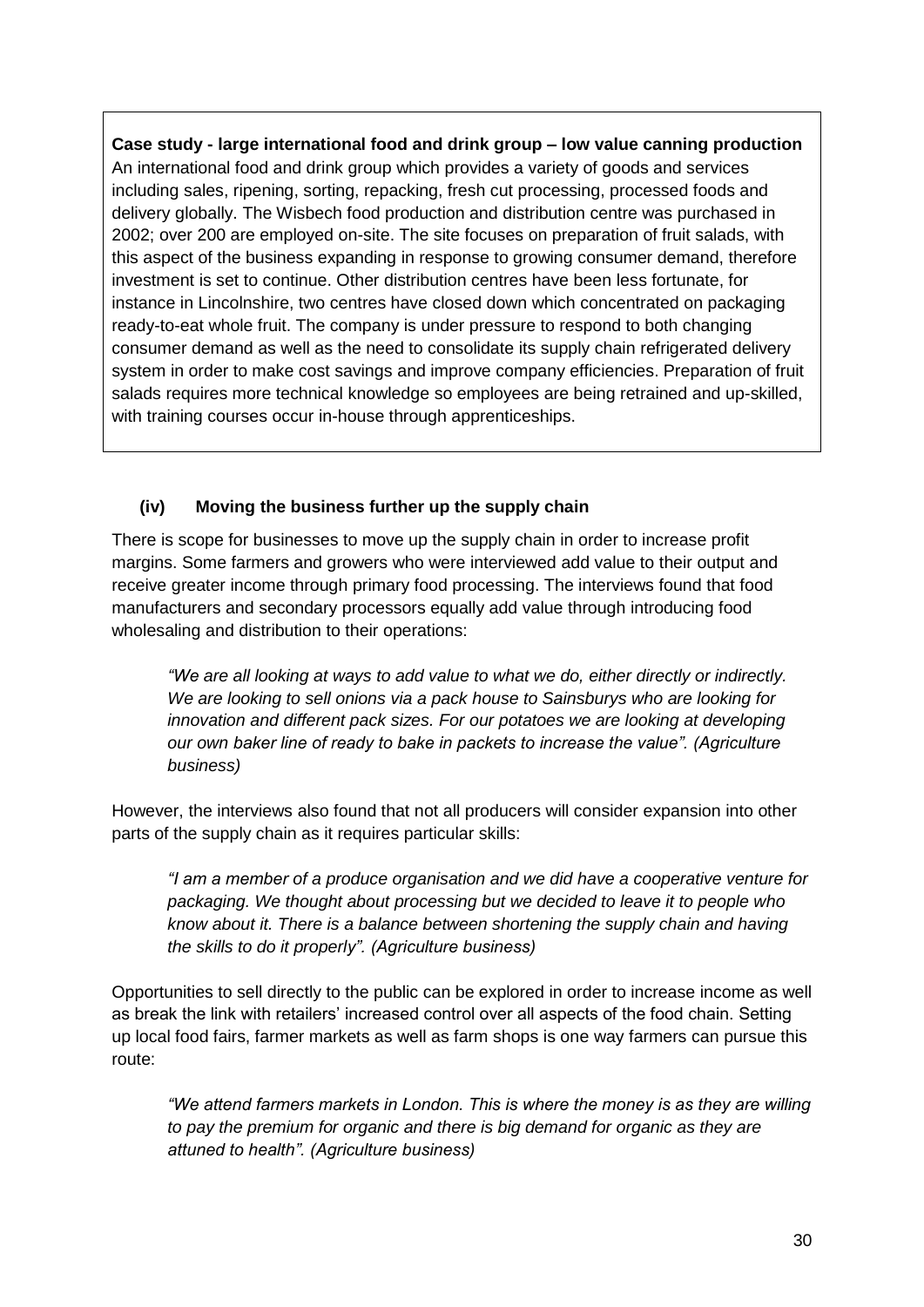**Case study - large international food and drink group – low value canning production**  An international food and drink group which provides a variety of goods and services including sales, ripening, sorting, repacking, fresh cut processing, processed foods and delivery globally. The Wisbech food production and distribution centre was purchased in 2002; over 200 are employed on-site. The site focuses on preparation of fruit salads, with this aspect of the business expanding in response to growing consumer demand, therefore investment is set to continue. Other distribution centres have been less fortunate, for instance in Lincolnshire, two centres have closed down which concentrated on packaging ready-to-eat whole fruit. The company is under pressure to respond to both changing consumer demand as well as the need to consolidate its supply chain refrigerated delivery system in order to make cost savings and improve company efficiencies. Preparation of fruit salads requires more technical knowledge so employees are being retrained and up-skilled, with training courses occur in-house through apprenticeships.

### **(iv) Moving the business further up the supply chain**

There is scope for businesses to move up the supply chain in order to increase profit margins. Some farmers and growers who were interviewed add value to their output and receive greater income through primary food processing. The interviews found that food manufacturers and secondary processors equally add value through introducing food wholesaling and distribution to their operations:

*"We are all looking at ways to add value to what we do, either directly or indirectly. We are looking to sell onions via a pack house to Sainsburys who are looking for innovation and different pack sizes. For our potatoes we are looking at developing our own baker line of ready to bake in packets to increase the value". (Agriculture business)*

However, the interviews also found that not all producers will consider expansion into other parts of the supply chain as it requires particular skills:

*"I am a member of a produce organisation and we did have a cooperative venture for packaging. We thought about processing but we decided to leave it to people who know about it. There is a balance between shortening the supply chain and having the skills to do it properly". (Agriculture business)*

Opportunities to sell directly to the public can be explored in order to increase income as well as break the link with retailers' increased control over all aspects of the food chain. Setting up local food fairs, farmer markets as well as farm shops is one way farmers can pursue this route:

*"We attend farmers markets in London. This is where the money is as they are willing to pay the premium for organic and there is big demand for organic as they are attuned to health". (Agriculture business)*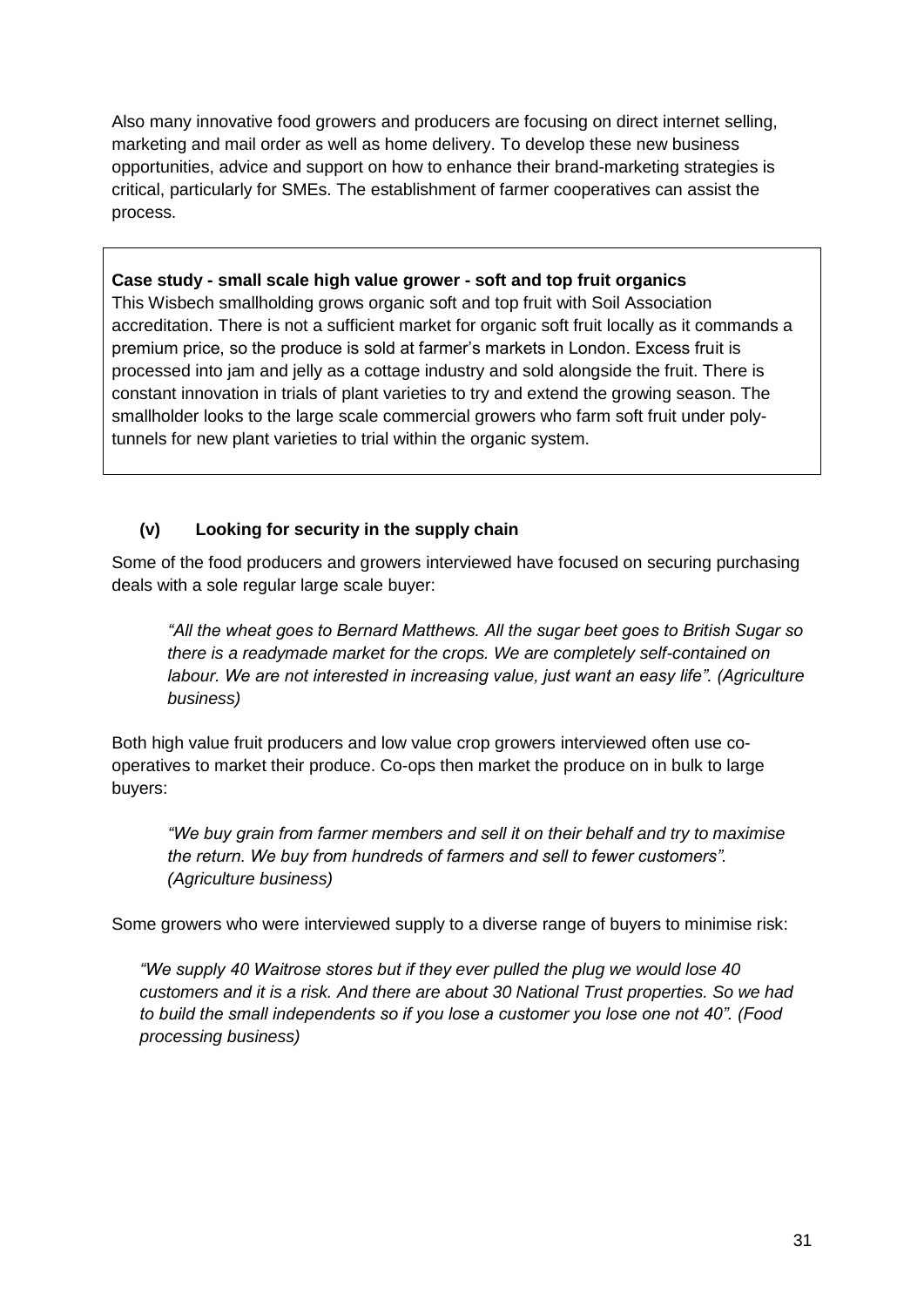Also many innovative food growers and producers are focusing on direct internet selling, marketing and mail order as well as home delivery. To develop these new business opportunities, advice and support on how to enhance their brand-marketing strategies is critical, particularly for SMEs. The establishment of farmer cooperatives can assist the process.

#### **Case study - small scale high value grower - soft and top fruit organics**

This Wisbech smallholding grows organic soft and top fruit with Soil Association accreditation. There is not a sufficient market for organic soft fruit locally as it commands a premium price, so the produce is sold at farmer's markets in London. Excess fruit is processed into jam and jelly as a cottage industry and sold alongside the fruit. There is constant innovation in trials of plant varieties to try and extend the growing season. The smallholder looks to the large scale commercial growers who farm soft fruit under polytunnels for new plant varieties to trial within the organic system.

### **(v) Looking for security in the supply chain**

Some of the food producers and growers interviewed have focused on securing purchasing deals with a sole regular large scale buyer:

*"All the wheat goes to Bernard Matthews. All the sugar beet goes to British Sugar so there is a readymade market for the crops. We are completely self-contained on labour. We are not interested in increasing value, just want an easy life". (Agriculture business)*

Both high value fruit producers and low value crop growers interviewed often use cooperatives to market their produce. Co-ops then market the produce on in bulk to large buyers:

*"We buy grain from farmer members and sell it on their behalf and try to maximise the return. We buy from hundreds of farmers and sell to fewer customers". (Agriculture business)*

Some growers who were interviewed supply to a diverse range of buyers to minimise risk:

*"We supply 40 Waitrose stores but if they ever pulled the plug we would lose 40 customers and it is a risk. And there are about 30 National Trust properties. So we had to build the small independents so if you lose a customer you lose one not 40". (Food processing business)*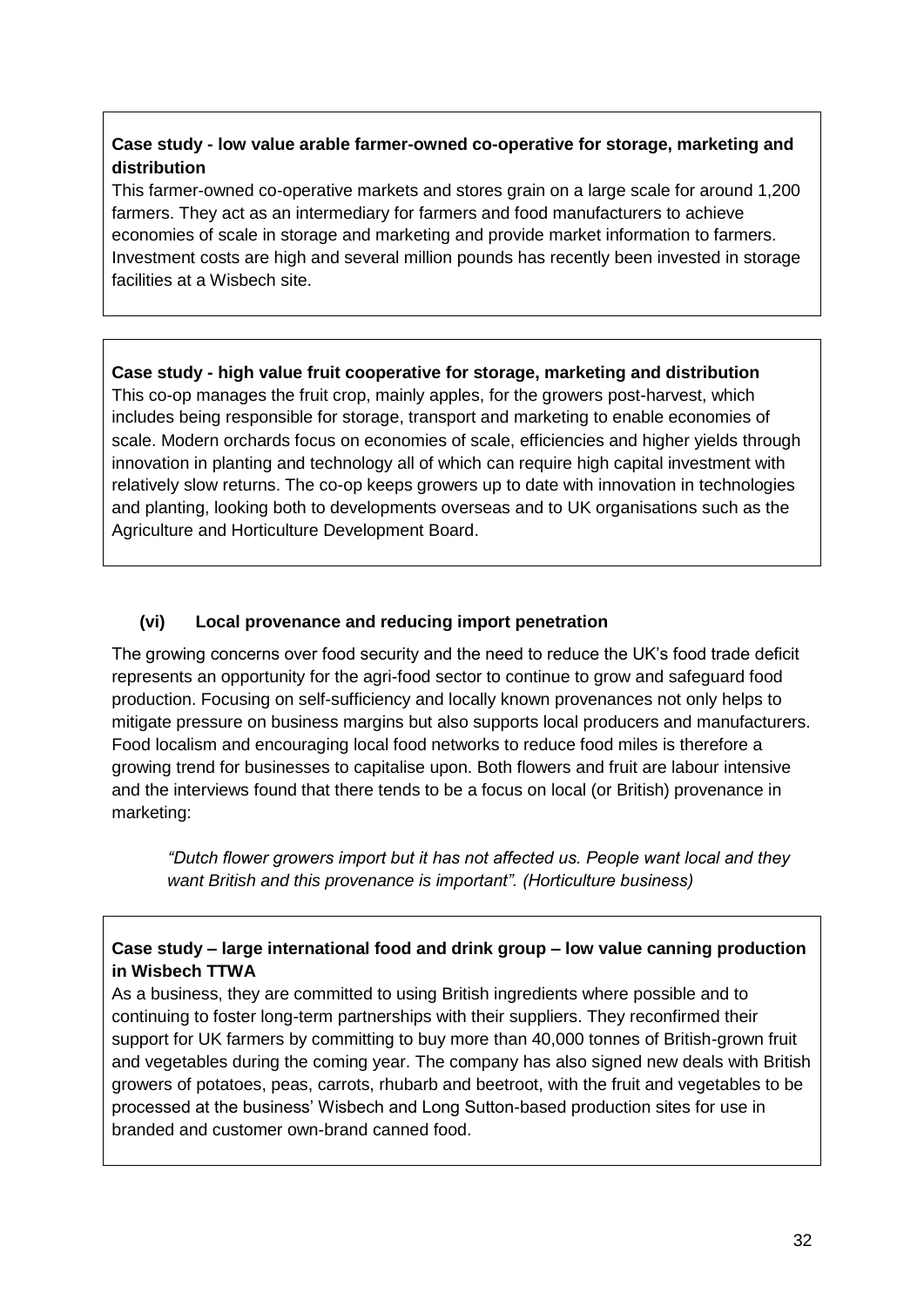### **Case study - low value arable farmer-owned co-operative for storage, marketing and distribution**

This farmer-owned co-operative markets and stores grain on a large scale for around 1,200 farmers. They act as an intermediary for farmers and food manufacturers to achieve economies of scale in storage and marketing and provide market information to farmers. Investment costs are high and several million pounds has recently been invested in storage facilities at a Wisbech site.

**Case study - high value fruit cooperative for storage, marketing and distribution** This co-op manages the fruit crop, mainly apples, for the growers post-harvest, which includes being responsible for storage, transport and marketing to enable economies of scale. Modern orchards focus on economies of scale, efficiencies and higher yields through innovation in planting and technology all of which can require high capital investment with relatively slow returns. The co-op keeps growers up to date with innovation in technologies and planting, looking both to developments overseas and to UK organisations such as the Agriculture and Horticulture Development Board.

### **(vi) Local provenance and reducing import penetration**

The growing concerns over food security and the need to reduce the UK's food trade deficit represents an opportunity for the agri-food sector to continue to grow and safeguard food production. Focusing on self-sufficiency and locally known provenances not only helps to mitigate pressure on business margins but also supports local producers and manufacturers. Food localism and encouraging local food networks to reduce food miles is therefore a growing trend for businesses to capitalise upon. Both flowers and fruit are labour intensive and the interviews found that there tends to be a focus on local (or British) provenance in marketing:

*"Dutch flower growers import but it has not affected us. People want local and they want British and this provenance is important". (Horticulture business)*

### **Case study – large international food and drink group – low value canning production in Wisbech TTWA**

As a business, they are committed to using British ingredients where possible and to continuing to foster long-term partnerships with their suppliers. They reconfirmed their support for UK farmers by committing to buy more than 40,000 tonnes of British-grown fruit and vegetables during the coming year. The company has also signed new deals with British growers of potatoes, peas, carrots, rhubarb and beetroot, with the fruit and vegetables to be processed at the business' Wisbech and Long Sutton-based production sites for use in branded and customer own-brand canned food.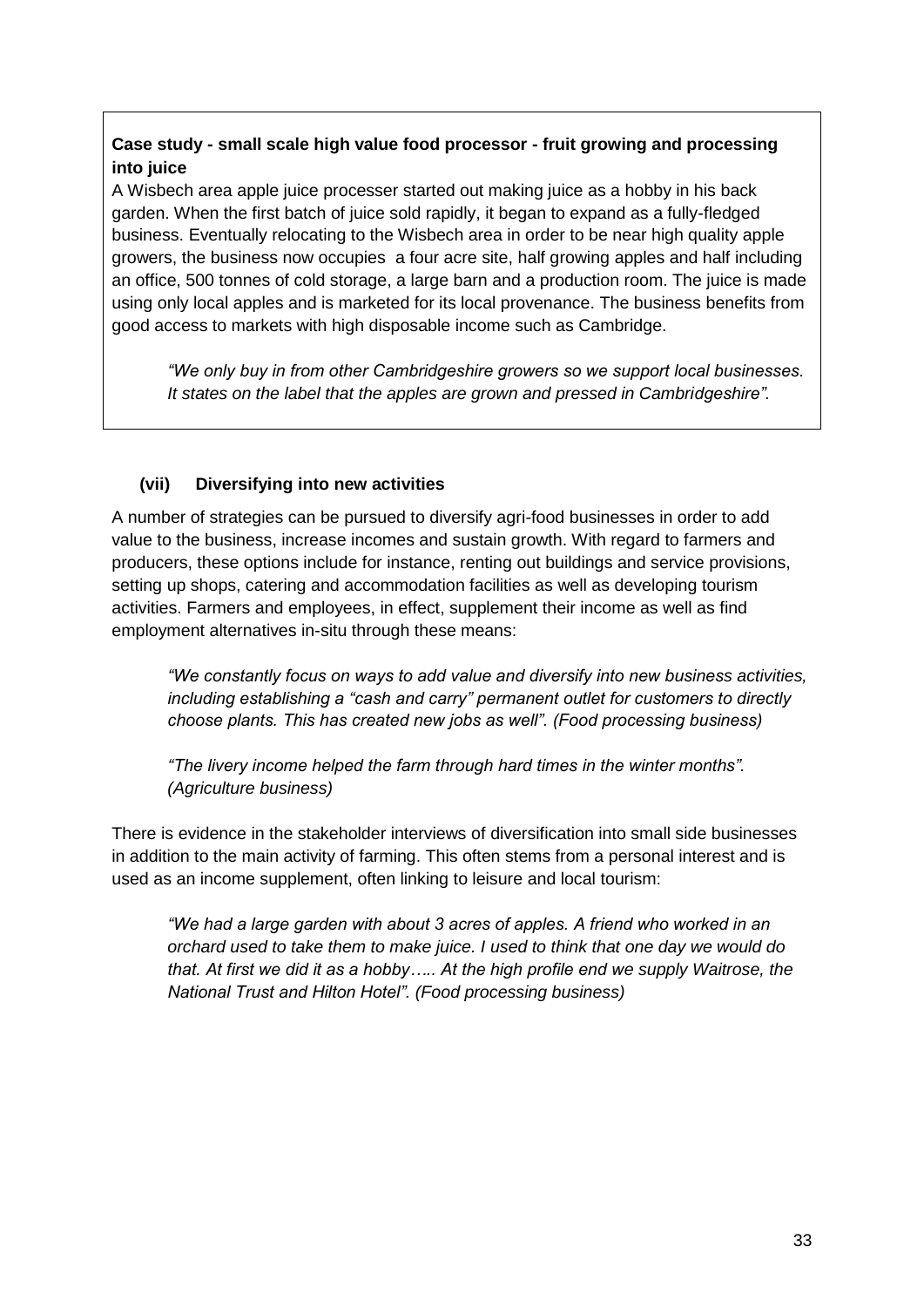### **Case study - small scale high value food processor - fruit growing and processing into juice**

A Wisbech area apple juice processer started out making juice as a hobby in his back garden. When the first batch of juice sold rapidly, it began to expand as a fully-fledged business. Eventually relocating to the Wisbech area in order to be near high quality apple growers, the business now occupies a four acre site, half growing apples and half including an office, 500 tonnes of cold storage, a large barn and a production room. The juice is made using only local apples and is marketed for its local provenance. The business benefits from good access to markets with high disposable income such as Cambridge.

*"We only buy in from other Cambridgeshire growers so we support local businesses. It states on the label that the apples are grown and pressed in Cambridgeshire".*

### **(vii) Diversifying into new activities**

A number of strategies can be pursued to diversify agri-food businesses in order to add value to the business, increase incomes and sustain growth. With regard to farmers and producers, these options include for instance, renting out buildings and service provisions, setting up shops, catering and accommodation facilities as well as developing tourism activities. Farmers and employees, in effect, supplement their income as well as find employment alternatives in-situ through these means:

*"We constantly focus on ways to add value and diversify into new business activities, including establishing a "cash and carry" permanent outlet for customers to directly choose plants. This has created new jobs as well". (Food processing business)*

*"The livery income helped the farm through hard times in the winter months". (Agriculture business)*

There is evidence in the stakeholder interviews of diversification into small side businesses in addition to the main activity of farming. This often stems from a personal interest and is used as an income supplement, often linking to leisure and local tourism:

*"We had a large garden with about 3 acres of apples. A friend who worked in an orchard used to take them to make juice. I used to think that one day we would do that. At first we did it as a hobby….. At the high profile end we supply Waitrose, the National Trust and Hilton Hotel". (Food processing business)*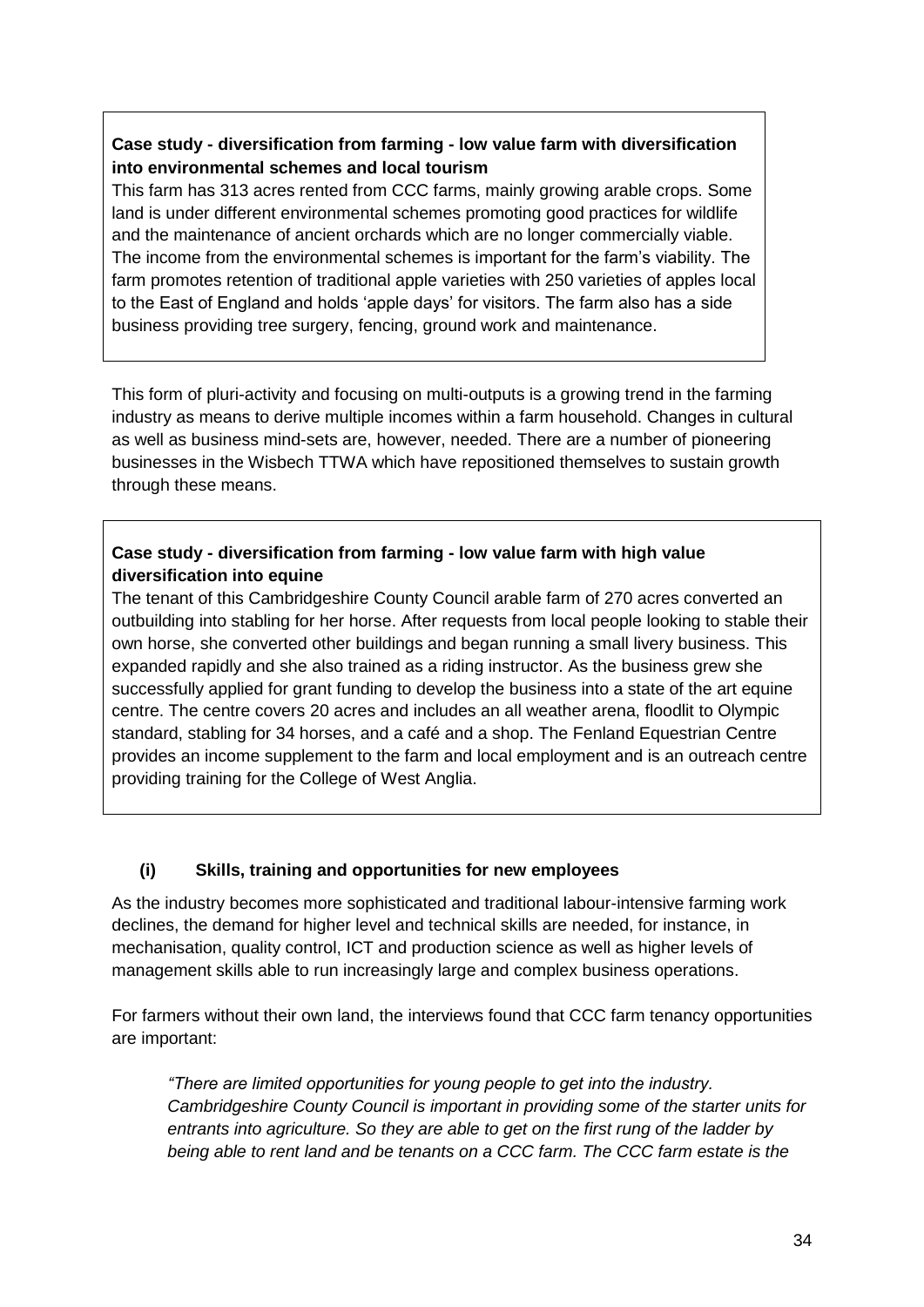### **Case study - diversification from farming - low value farm with diversification into environmental schemes and local tourism**

This farm has 313 acres rented from CCC farms, mainly growing arable crops. Some land is under different environmental schemes promoting good practices for wildlife and the maintenance of ancient orchards which are no longer commercially viable. The income from the environmental schemes is important for the farm's viability. The farm promotes retention of traditional apple varieties with 250 varieties of apples local to the East of England and holds 'apple days' for visitors. The farm also has a side business providing tree surgery, fencing, ground work and maintenance.

This form of pluri-activity and focusing on multi-outputs is a growing trend in the farming industry as means to derive multiple incomes within a farm household. Changes in cultural as well as business mind-sets are, however, needed. There are a number of pioneering businesses in the Wisbech TTWA which have repositioned themselves to sustain growth through these means.

### **Case study - diversification from farming - low value farm with high value diversification into equine**

The tenant of this Cambridgeshire County Council arable farm of 270 acres converted an outbuilding into stabling for her horse. After requests from local people looking to stable their own horse, she converted other buildings and began running a small livery business. This expanded rapidly and she also trained as a riding instructor. As the business grew she successfully applied for grant funding to develop the business into a state of the art equine centre. The centre covers 20 acres and includes an all weather arena, floodlit to Olympic standard, stabling for 34 horses, and a café and a shop. The Fenland Equestrian Centre provides an income supplement to the farm and local employment and is an outreach centre providing training for the College of West Anglia.

### **(i) Skills, training and opportunities for new employees**

As the industry becomes more sophisticated and traditional labour-intensive farming work declines, the demand for higher level and technical skills are needed, for instance, in mechanisation, quality control, ICT and production science as well as higher levels of management skills able to run increasingly large and complex business operations.

For farmers without their own land, the interviews found that CCC farm tenancy opportunities are important:

*"There are limited opportunities for young people to get into the industry. Cambridgeshire County Council is important in providing some of the starter units for entrants into agriculture. So they are able to get on the first rung of the ladder by being able to rent land and be tenants on a CCC farm. The CCC farm estate is the*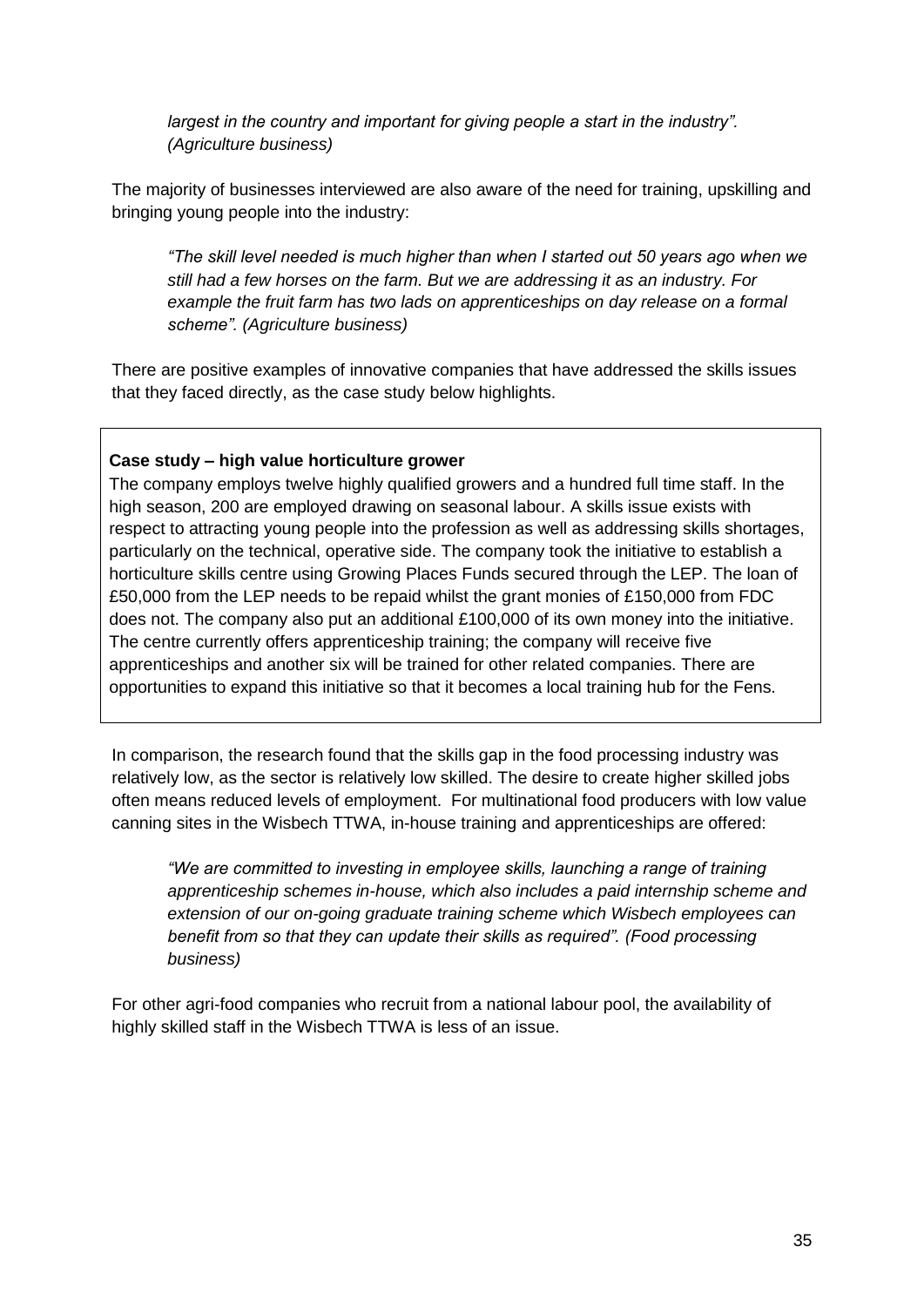*largest in the country and important for giving people a start in the industry". (Agriculture business)*

The majority of businesses interviewed are also aware of the need for training, upskilling and bringing young people into the industry:

*"The skill level needed is much higher than when I started out 50 years ago when we still had a few horses on the farm. But we are addressing it as an industry. For example the fruit farm has two lads on apprenticeships on day release on a formal scheme". (Agriculture business)*

There are positive examples of innovative companies that have addressed the skills issues that they faced directly, as the case study below highlights.

#### **Case study – high value horticulture grower**

The company employs twelve highly qualified growers and a hundred full time staff. In the high season, 200 are employed drawing on seasonal labour. A skills issue exists with respect to attracting young people into the profession as well as addressing skills shortages, particularly on the technical, operative side. The company took the initiative to establish a horticulture skills centre using Growing Places Funds secured through the LEP. The loan of £50,000 from the LEP needs to be repaid whilst the grant monies of £150,000 from FDC does not. The company also put an additional £100,000 of its own money into the initiative. The centre currently offers apprenticeship training; the company will receive five apprenticeships and another six will be trained for other related companies. There are opportunities to expand this initiative so that it becomes a local training hub for the Fens.

In comparison, the research found that the skills gap in the food processing industry was relatively low, as the sector is relatively low skilled. The desire to create higher skilled jobs often means reduced levels of employment. For multinational food producers with low value canning sites in the Wisbech TTWA, in-house training and apprenticeships are offered:

*"We are committed to investing in employee skills, launching a range of training apprenticeship schemes in-house, which also includes a paid internship scheme and extension of our on-going graduate training scheme which Wisbech employees can benefit from so that they can update their skills as required". (Food processing business)*

For other agri-food companies who recruit from a national labour pool, the availability of highly skilled staff in the Wisbech TTWA is less of an issue.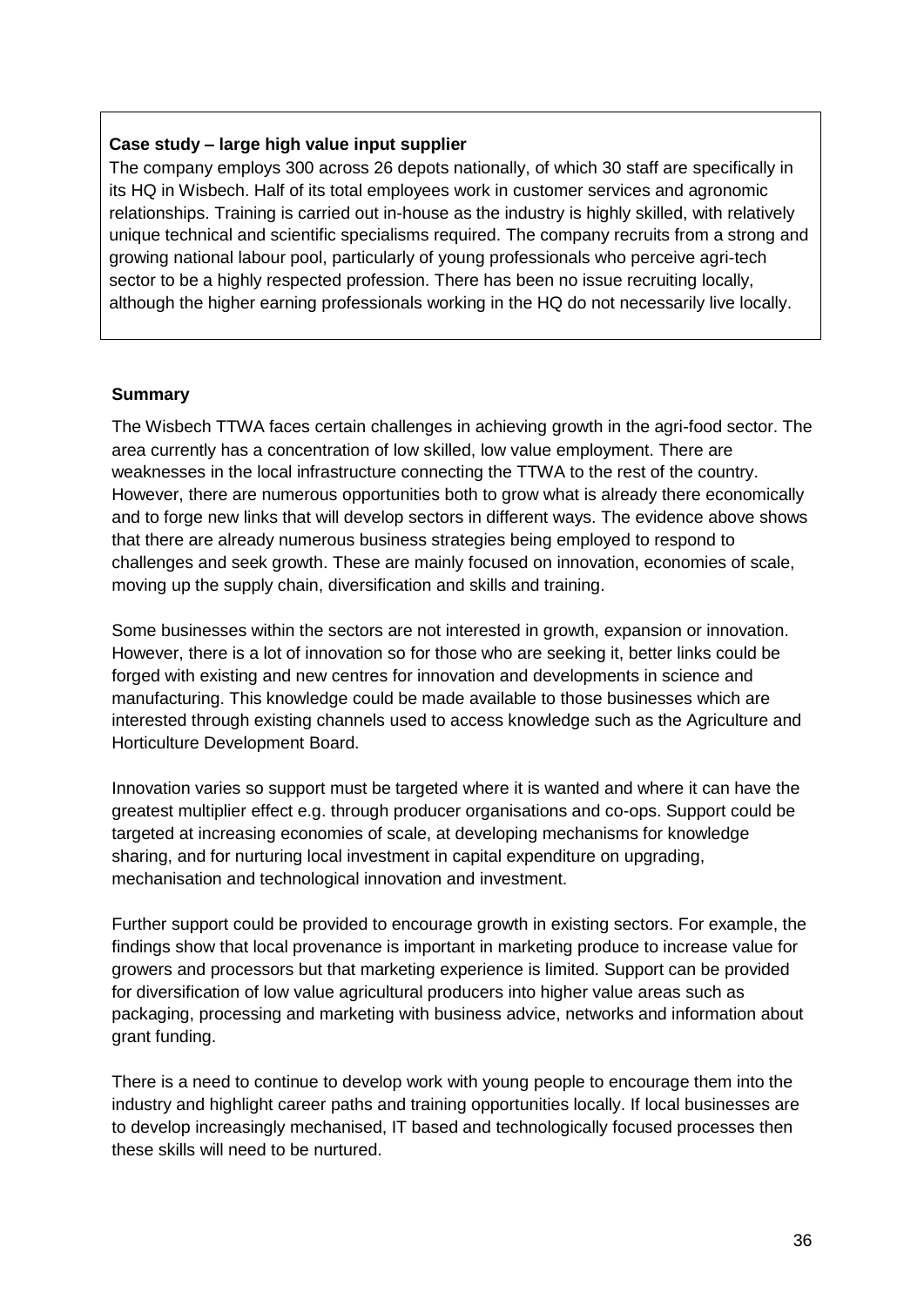#### **Case study – large high value input supplier**

The company employs 300 across 26 depots nationally, of which 30 staff are specifically in its HQ in Wisbech. Half of its total employees work in customer services and agronomic relationships. Training is carried out in-house as the industry is highly skilled, with relatively unique technical and scientific specialisms required. The company recruits from a strong and growing national labour pool, particularly of young professionals who perceive agri-tech sector to be a highly respected profession. There has been no issue recruiting locally, although the higher earning professionals working in the HQ do not necessarily live locally.

### **Summary**

The Wisbech TTWA faces certain challenges in achieving growth in the agri-food sector. The area currently has a concentration of low skilled, low value employment. There are weaknesses in the local infrastructure connecting the TTWA to the rest of the country. However, there are numerous opportunities both to grow what is already there economically and to forge new links that will develop sectors in different ways. The evidence above shows that there are already numerous business strategies being employed to respond to challenges and seek growth. These are mainly focused on innovation, economies of scale, moving up the supply chain, diversification and skills and training.

Some businesses within the sectors are not interested in growth, expansion or innovation. However, there is a lot of innovation so for those who are seeking it, better links could be forged with existing and new centres for innovation and developments in science and manufacturing. This knowledge could be made available to those businesses which are interested through existing channels used to access knowledge such as the Agriculture and Horticulture Development Board.

Innovation varies so support must be targeted where it is wanted and where it can have the greatest multiplier effect e.g. through producer organisations and co-ops. Support could be targeted at increasing economies of scale, at developing mechanisms for knowledge sharing, and for nurturing local investment in capital expenditure on upgrading, mechanisation and technological innovation and investment.

Further support could be provided to encourage growth in existing sectors. For example, the findings show that local provenance is important in marketing produce to increase value for growers and processors but that marketing experience is limited. Support can be provided for diversification of low value agricultural producers into higher value areas such as packaging, processing and marketing with business advice, networks and information about grant funding.

There is a need to continue to develop work with young people to encourage them into the industry and highlight career paths and training opportunities locally. If local businesses are to develop increasingly mechanised, IT based and technologically focused processes then these skills will need to be nurtured.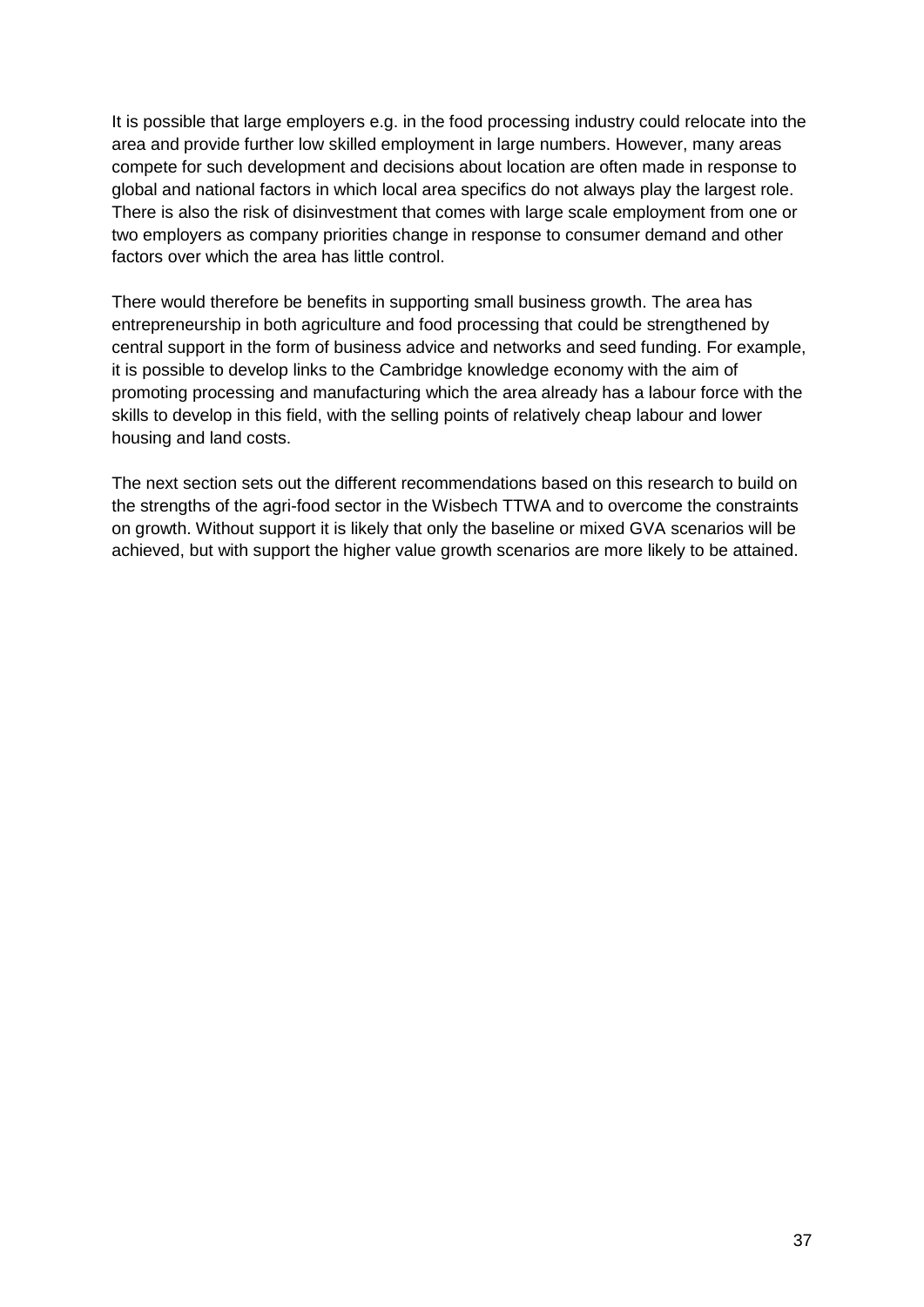It is possible that large employers e.g. in the food processing industry could relocate into the area and provide further low skilled employment in large numbers. However, many areas compete for such development and decisions about location are often made in response to global and national factors in which local area specifics do not always play the largest role. There is also the risk of disinvestment that comes with large scale employment from one or two employers as company priorities change in response to consumer demand and other factors over which the area has little control.

There would therefore be benefits in supporting small business growth. The area has entrepreneurship in both agriculture and food processing that could be strengthened by central support in the form of business advice and networks and seed funding. For example, it is possible to develop links to the Cambridge knowledge economy with the aim of promoting processing and manufacturing which the area already has a labour force with the skills to develop in this field, with the selling points of relatively cheap labour and lower housing and land costs.

The next section sets out the different recommendations based on this research to build on the strengths of the agri-food sector in the Wisbech TTWA and to overcome the constraints on growth. Without support it is likely that only the baseline or mixed GVA scenarios will be achieved, but with support the higher value growth scenarios are more likely to be attained.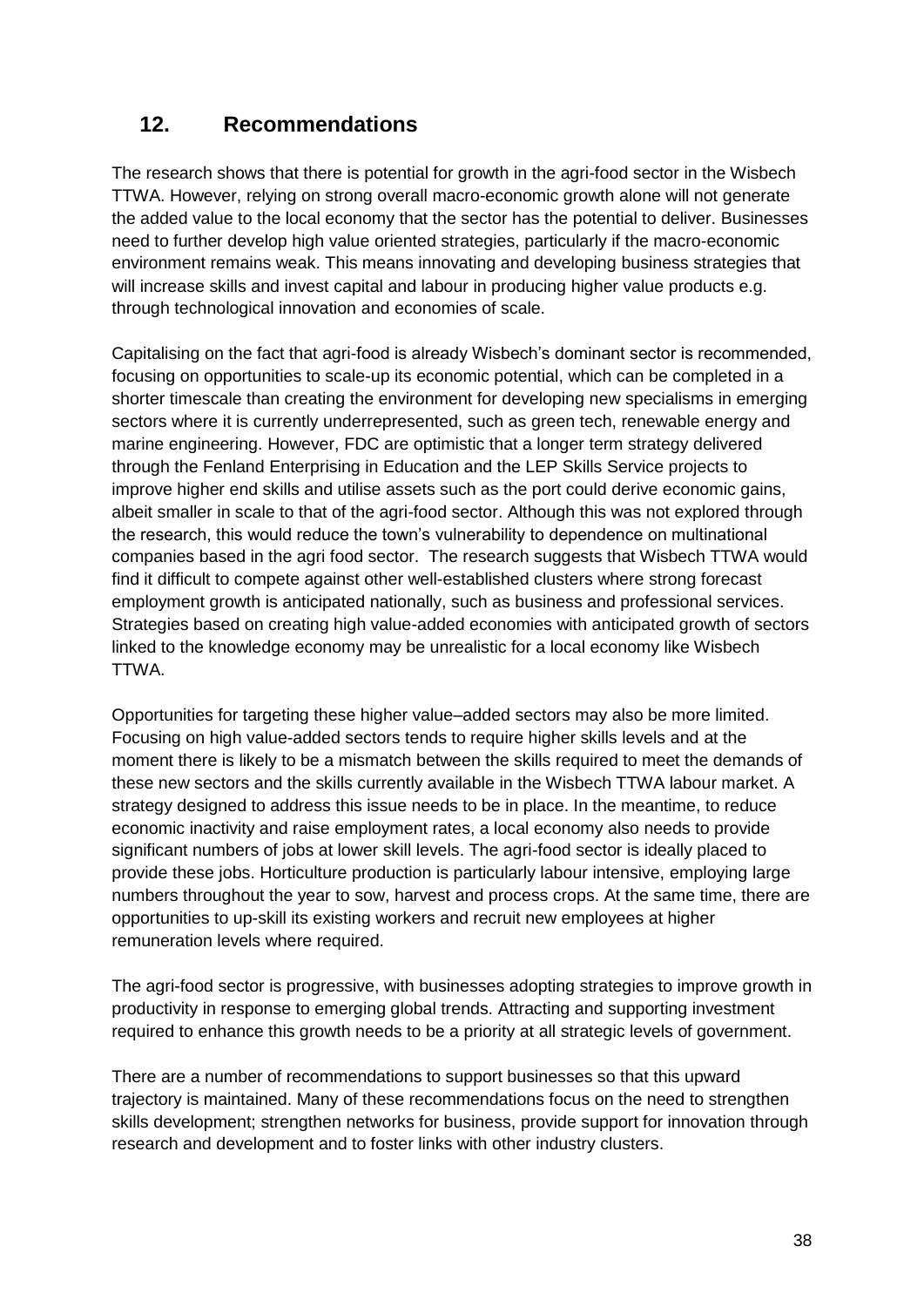# **12. Recommendations**

The research shows that there is potential for growth in the agri-food sector in the Wisbech TTWA. However, relying on strong overall macro-economic growth alone will not generate the added value to the local economy that the sector has the potential to deliver. Businesses need to further develop high value oriented strategies, particularly if the macro-economic environment remains weak. This means innovating and developing business strategies that will increase skills and invest capital and labour in producing higher value products e.g. through technological innovation and economies of scale.

Capitalising on the fact that agri-food is already Wisbech's dominant sector is recommended, focusing on opportunities to scale-up its economic potential, which can be completed in a shorter timescale than creating the environment for developing new specialisms in emerging sectors where it is currently underrepresented, such as green tech, renewable energy and marine engineering. However, FDC are optimistic that a longer term strategy delivered through the Fenland Enterprising in Education and the LEP Skills Service projects to improve higher end skills and utilise assets such as the port could derive economic gains, albeit smaller in scale to that of the agri-food sector. Although this was not explored through the research, this would reduce the town's vulnerability to dependence on multinational companies based in the agri food sector. The research suggests that Wisbech TTWA would find it difficult to compete against other well-established clusters where strong forecast employment growth is anticipated nationally, such as business and professional services. Strategies based on creating high value-added economies with anticipated growth of sectors linked to the knowledge economy may be unrealistic for a local economy like Wisbech TTWA.

Opportunities for targeting these higher value–added sectors may also be more limited. Focusing on high value-added sectors tends to require higher skills levels and at the moment there is likely to be a mismatch between the skills required to meet the demands of these new sectors and the skills currently available in the Wisbech TTWA labour market. A strategy designed to address this issue needs to be in place. In the meantime, to reduce economic inactivity and raise employment rates, a local economy also needs to provide significant numbers of jobs at lower skill levels. The agri-food sector is ideally placed to provide these jobs. Horticulture production is particularly labour intensive, employing large numbers throughout the year to sow, harvest and process crops. At the same time, there are opportunities to up-skill its existing workers and recruit new employees at higher remuneration levels where required.

The agri-food sector is progressive, with businesses adopting strategies to improve growth in productivity in response to emerging global trends. Attracting and supporting investment required to enhance this growth needs to be a priority at all strategic levels of government.

There are a number of recommendations to support businesses so that this upward trajectory is maintained. Many of these recommendations focus on the need to strengthen skills development; strengthen networks for business, provide support for innovation through research and development and to foster links with other industry clusters.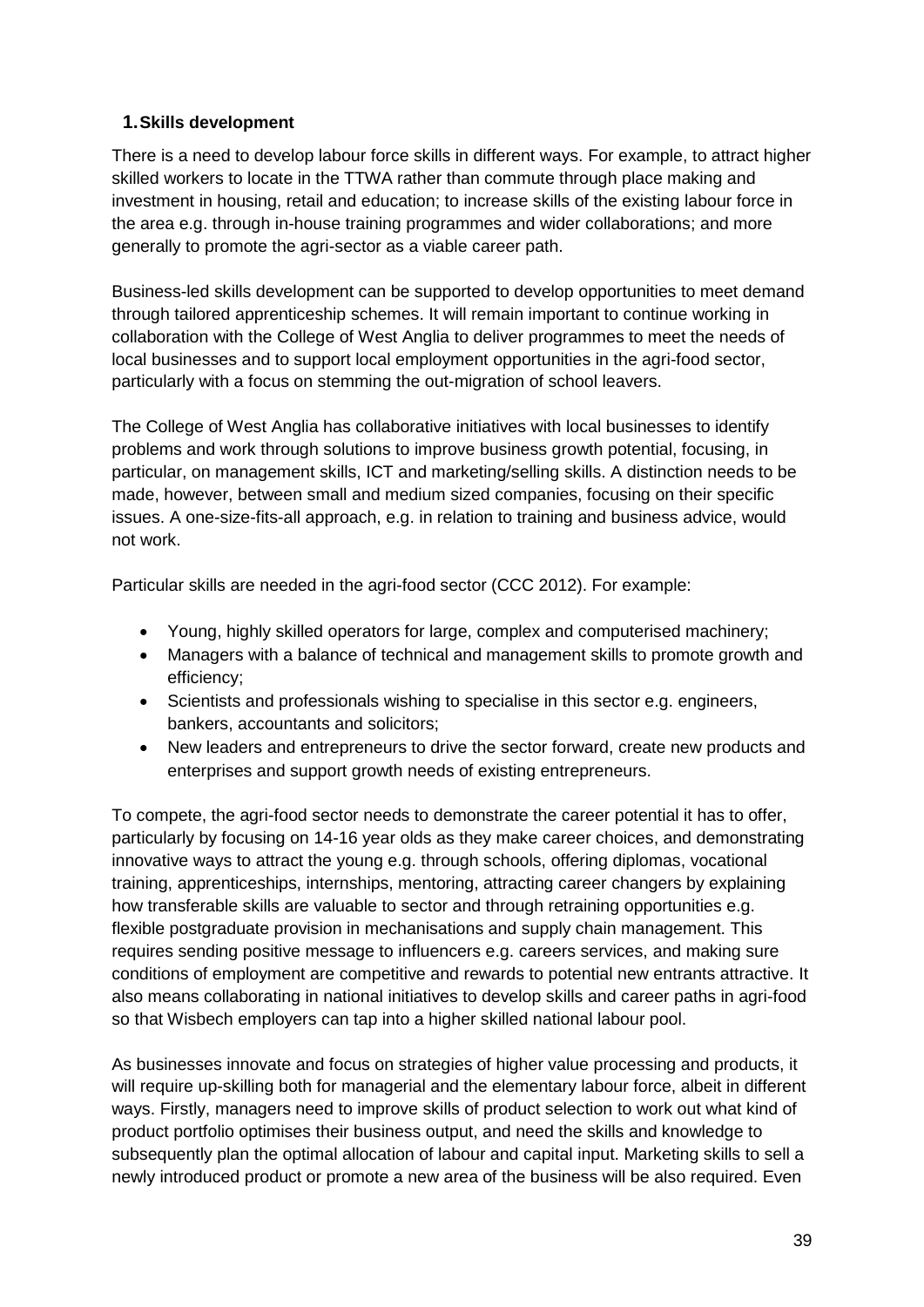### **1.Skills development**

There is a need to develop labour force skills in different ways. For example, to attract higher skilled workers to locate in the TTWA rather than commute through place making and investment in housing, retail and education; to increase skills of the existing labour force in the area e.g. through in-house training programmes and wider collaborations; and more generally to promote the agri-sector as a viable career path.

Business-led skills development can be supported to develop opportunities to meet demand through tailored apprenticeship schemes. It will remain important to continue working in collaboration with the College of West Anglia to deliver programmes to meet the needs of local businesses and to support local employment opportunities in the agri-food sector, particularly with a focus on stemming the out-migration of school leavers.

The College of West Anglia has collaborative initiatives with local businesses to identify problems and work through solutions to improve business growth potential, focusing, in particular, on management skills, ICT and marketing/selling skills. A distinction needs to be made, however, between small and medium sized companies, focusing on their specific issues. A one-size-fits-all approach, e.g. in relation to training and business advice, would not work.

Particular skills are needed in the agri-food sector (CCC 2012). For example:

- Young, highly skilled operators for large, complex and computerised machinery;
- Managers with a balance of technical and management skills to promote growth and efficiency;
- Scientists and professionals wishing to specialise in this sector e.g. engineers, bankers, accountants and solicitors;
- New leaders and entrepreneurs to drive the sector forward, create new products and enterprises and support growth needs of existing entrepreneurs.

To compete, the agri-food sector needs to demonstrate the career potential it has to offer, particularly by focusing on 14-16 year olds as they make career choices, and demonstrating innovative ways to attract the young e.g. through schools, offering diplomas, vocational training, apprenticeships, internships, mentoring, attracting career changers by explaining how transferable skills are valuable to sector and through retraining opportunities e.g. flexible postgraduate provision in mechanisations and supply chain management. This requires sending positive message to influencers e.g. careers services, and making sure conditions of employment are competitive and rewards to potential new entrants attractive. It also means collaborating in national initiatives to develop skills and career paths in agri-food so that Wisbech employers can tap into a higher skilled national labour pool.

As businesses innovate and focus on strategies of higher value processing and products, it will require up-skilling both for managerial and the elementary labour force, albeit in different ways. Firstly, managers need to improve skills of product selection to work out what kind of product portfolio optimises their business output, and need the skills and knowledge to subsequently plan the optimal allocation of labour and capital input. Marketing skills to sell a newly introduced product or promote a new area of the business will be also required. Even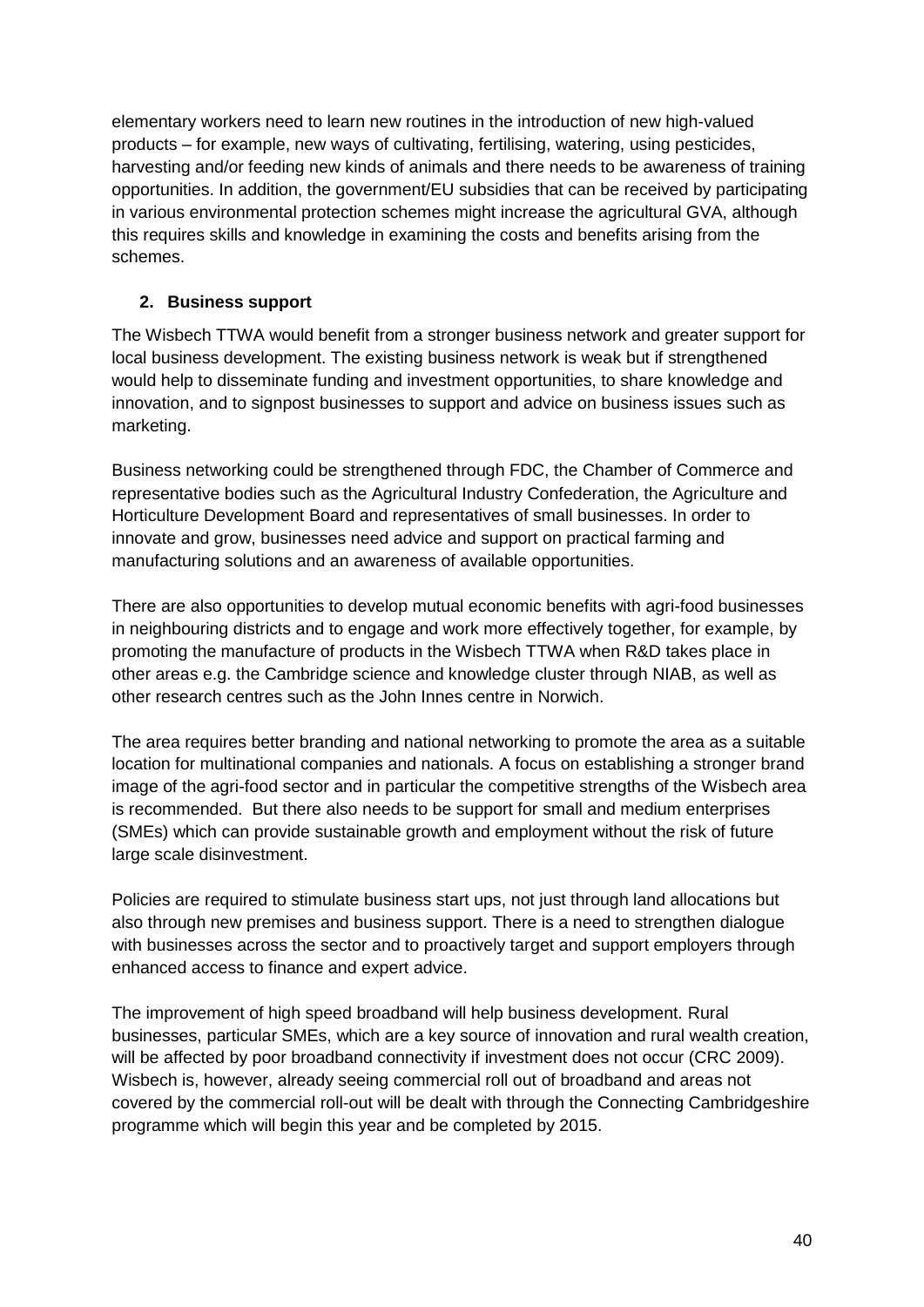elementary workers need to learn new routines in the introduction of new high-valued products – for example, new ways of cultivating, fertilising, watering, using pesticides, harvesting and/or feeding new kinds of animals and there needs to be awareness of training opportunities. In addition, the government/EU subsidies that can be received by participating in various environmental protection schemes might increase the agricultural GVA, although this requires skills and knowledge in examining the costs and benefits arising from the schemes.

### **2. Business support**

The Wisbech TTWA would benefit from a stronger business network and greater support for local business development. The existing business network is weak but if strengthened would help to disseminate funding and investment opportunities, to share knowledge and innovation, and to signpost businesses to support and advice on business issues such as marketing.

Business networking could be strengthened through FDC, the Chamber of Commerce and representative bodies such as the Agricultural Industry Confederation, the Agriculture and Horticulture Development Board and representatives of small businesses. In order to innovate and grow, businesses need advice and support on practical farming and manufacturing solutions and an awareness of available opportunities.

There are also opportunities to develop mutual economic benefits with agri-food businesses in neighbouring districts and to engage and work more effectively together, for example, by promoting the manufacture of products in the Wisbech TTWA when R&D takes place in other areas e.g. the Cambridge science and knowledge cluster through NIAB, as well as other research centres such as the John Innes centre in Norwich.

The area requires better branding and national networking to promote the area as a suitable location for multinational companies and nationals. A focus on establishing a stronger brand image of the agri-food sector and in particular the competitive strengths of the Wisbech area is recommended. But there also needs to be support for small and medium enterprises (SMEs) which can provide sustainable growth and employment without the risk of future large scale disinvestment.

Policies are required to stimulate business start ups, not just through land allocations but also through new premises and business support. There is a need to strengthen dialogue with businesses across the sector and to proactively target and support employers through enhanced access to finance and expert advice.

The improvement of high speed broadband will help business development. Rural businesses, particular SMEs, which are a key source of innovation and rural wealth creation, will be affected by poor broadband connectivity if investment does not occur (CRC 2009). Wisbech is, however, already seeing commercial roll out of broadband and areas not covered by the commercial roll-out will be dealt with through the Connecting Cambridgeshire programme which will begin this year and be completed by 2015.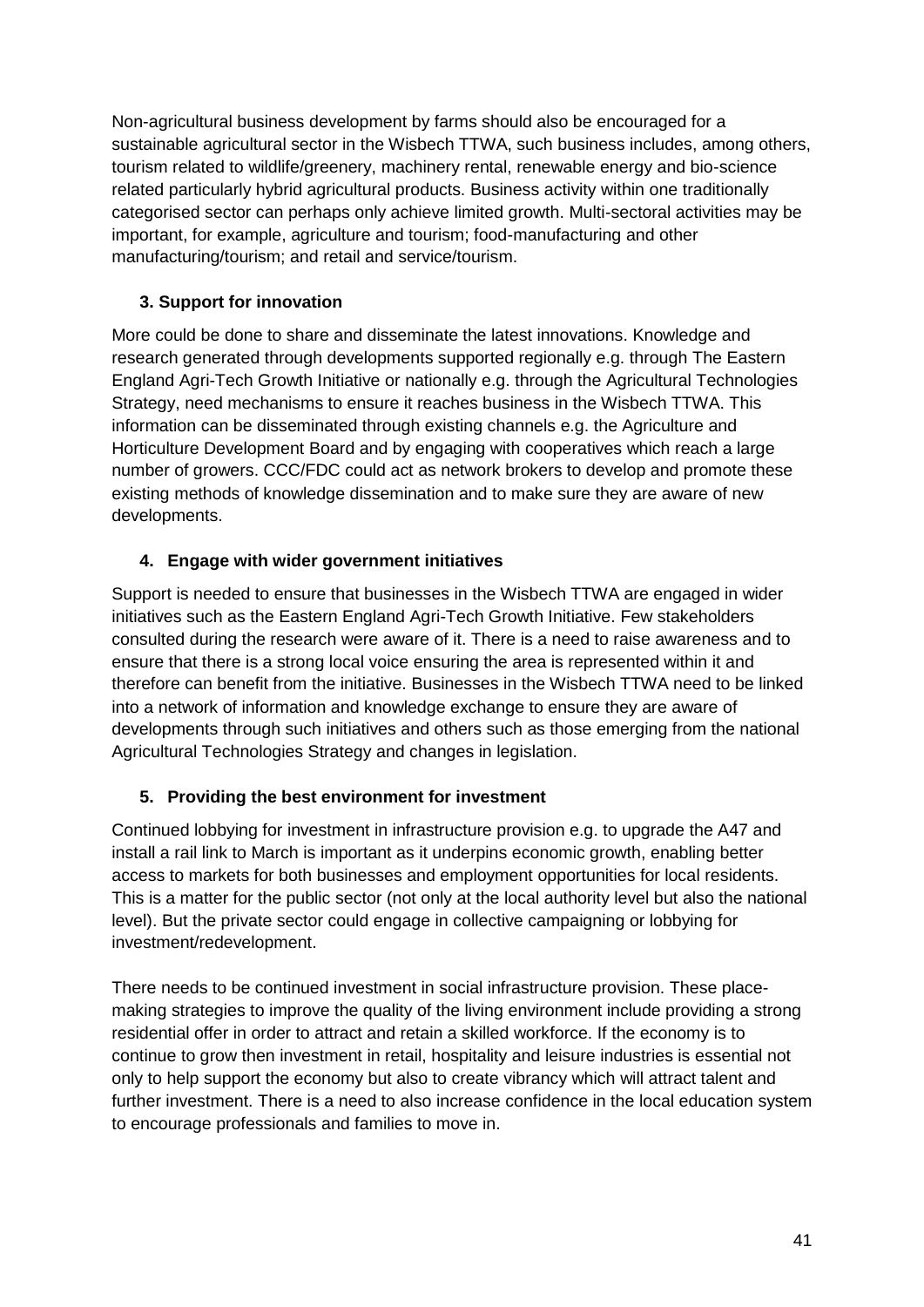Non-agricultural business development by farms should also be encouraged for a sustainable agricultural sector in the Wisbech TTWA, such business includes, among others, tourism related to wildlife/greenery, machinery rental, renewable energy and bio-science related particularly hybrid agricultural products. Business activity within one traditionally categorised sector can perhaps only achieve limited growth. Multi-sectoral activities may be important, for example, agriculture and tourism; food-manufacturing and other manufacturing/tourism; and retail and service/tourism.

### **3. Support for innovation**

More could be done to share and disseminate the latest innovations. Knowledge and research generated through developments supported regionally e.g. through The Eastern England Agri-Tech Growth Initiative or nationally e.g. through the Agricultural Technologies Strategy, need mechanisms to ensure it reaches business in the Wisbech TTWA. This information can be disseminated through existing channels e.g. the Agriculture and Horticulture Development Board and by engaging with cooperatives which reach a large number of growers. CCC/FDC could act as network brokers to develop and promote these existing methods of knowledge dissemination and to make sure they are aware of new developments.

### **4. Engage with wider government initiatives**

Support is needed to ensure that businesses in the Wisbech TTWA are engaged in wider initiatives such as the Eastern England Agri-Tech Growth Initiative. Few stakeholders consulted during the research were aware of it. There is a need to raise awareness and to ensure that there is a strong local voice ensuring the area is represented within it and therefore can benefit from the initiative. Businesses in the Wisbech TTWA need to be linked into a network of information and knowledge exchange to ensure they are aware of developments through such initiatives and others such as those emerging from the national Agricultural Technologies Strategy and changes in legislation.

### **5. Providing the best environment for investment**

Continued lobbying for investment in infrastructure provision e.g. to upgrade the A47 and install a rail link to March is important as it underpins economic growth, enabling better access to markets for both businesses and employment opportunities for local residents. This is a matter for the public sector (not only at the local authority level but also the national level). But the private sector could engage in collective campaigning or lobbying for investment/redevelopment.

There needs to be continued investment in social infrastructure provision. These placemaking strategies to improve the quality of the living environment include providing a strong residential offer in order to attract and retain a skilled workforce. If the economy is to continue to grow then investment in retail, hospitality and leisure industries is essential not only to help support the economy but also to create vibrancy which will attract talent and further investment. There is a need to also increase confidence in the local education system to encourage professionals and families to move in.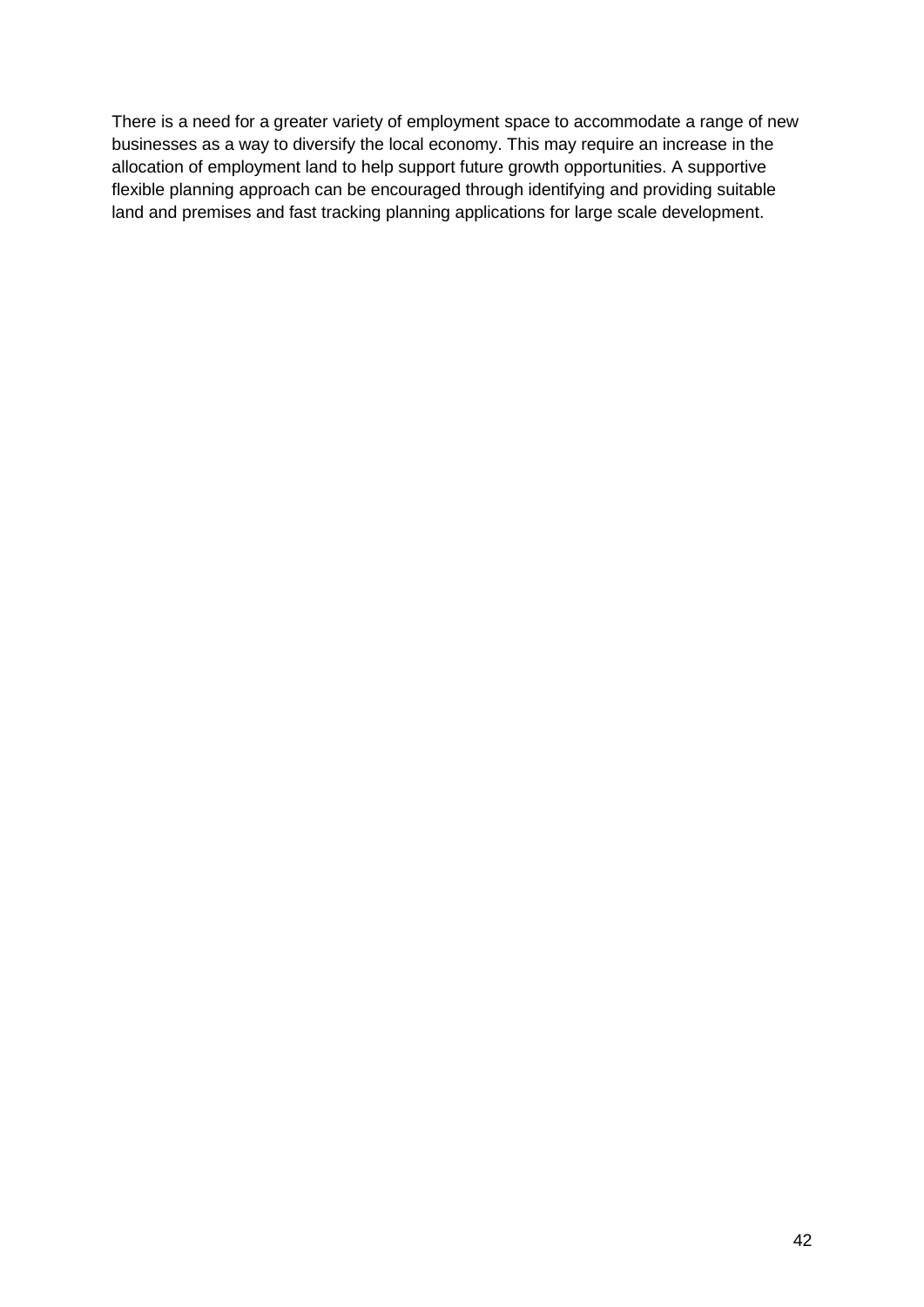There is a need for a greater variety of employment space to accommodate a range of new businesses as a way to diversify the local economy. This may require an increase in the allocation of employment land to help support future growth opportunities. A supportive flexible planning approach can be encouraged through identifying and providing suitable land and premises and fast tracking planning applications for large scale development.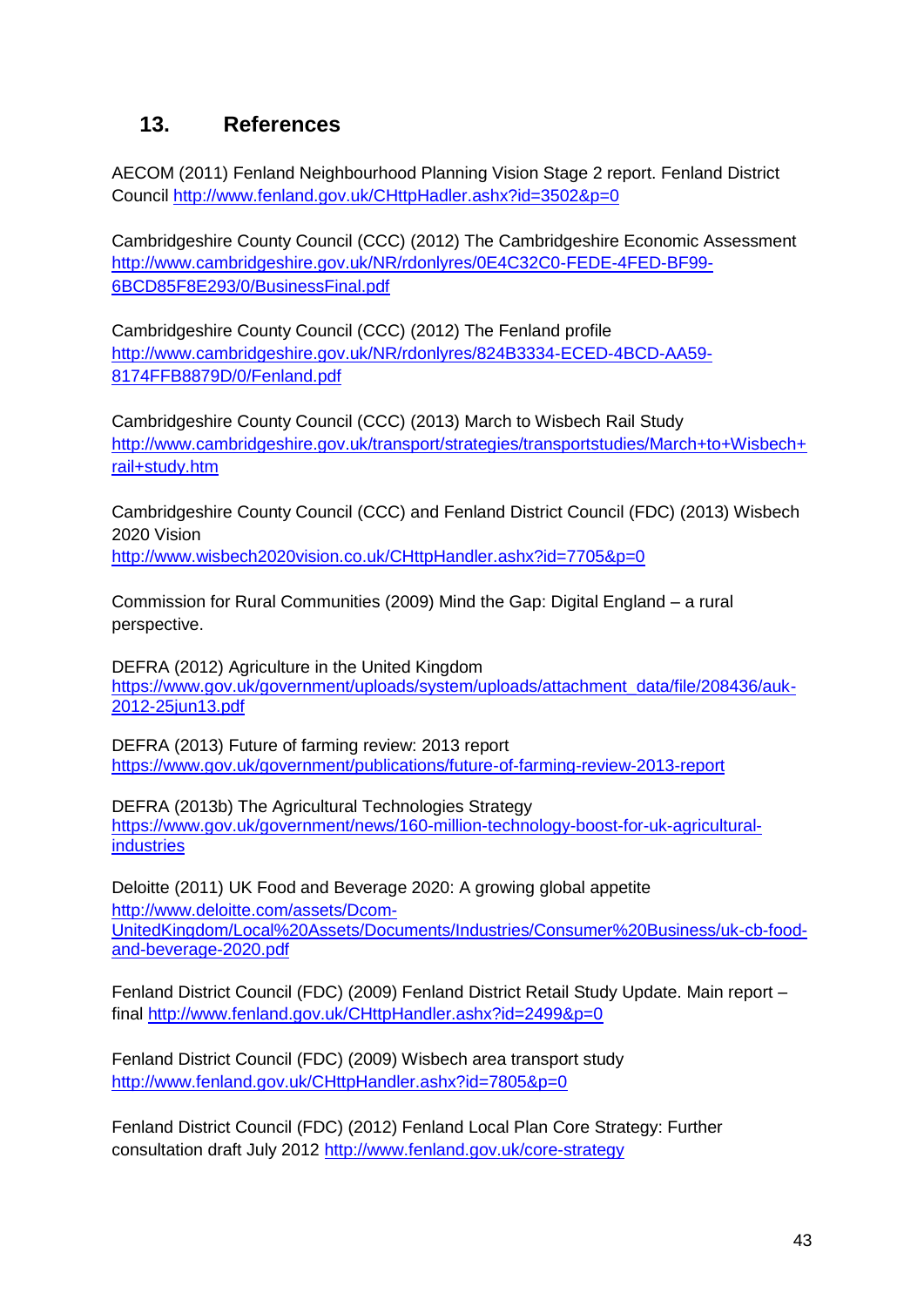# **13. References**

AECOM (2011) Fenland Neighbourhood Planning Vision Stage 2 report. Fenland District Council<http://www.fenland.gov.uk/CHttpHadler.ashx?id=3502&p=0>

Cambridgeshire County Council (CCC) (2012) The Cambridgeshire Economic Assessment [http://www.cambridgeshire.gov.uk/NR/rdonlyres/0E4C32C0-FEDE-4FED-BF99-](http://www.cambridgeshire.gov.uk/NR/rdonlyres/0E4C32C0-FEDE-4FED-BF99-6BCD85F8E293/0/BusinessFinal.pdf) [6BCD85F8E293/0/BusinessFinal.pdf](http://www.cambridgeshire.gov.uk/NR/rdonlyres/0E4C32C0-FEDE-4FED-BF99-6BCD85F8E293/0/BusinessFinal.pdf)

Cambridgeshire County Council (CCC) (2012) The Fenland profile [http://www.cambridgeshire.gov.uk/NR/rdonlyres/824B3334-ECED-4BCD-AA59-](http://www.cambridgeshire.gov.uk/NR/rdonlyres/824B3334-ECED-4BCD-AA59-8174FFB8879D/0/Fenland.pdf) [8174FFB8879D/0/Fenland.pdf](http://www.cambridgeshire.gov.uk/NR/rdonlyres/824B3334-ECED-4BCD-AA59-8174FFB8879D/0/Fenland.pdf)

Cambridgeshire County Council (CCC) (2013) March to Wisbech Rail Study [http://www.cambridgeshire.gov.uk/transport/strategies/transportstudies/March+to+Wisbech+](http://www.cambridgeshire.gov.uk/transport/strategies/transportstudies/March+to+Wisbech+rail+study.htm) [rail+study.htm](http://www.cambridgeshire.gov.uk/transport/strategies/transportstudies/March+to+Wisbech+rail+study.htm)

Cambridgeshire County Council (CCC) and Fenland District Council (FDC) (2013) Wisbech 2020 Vision

<http://www.wisbech2020vision.co.uk/CHttpHandler.ashx?id=7705&p=0>

Commission for Rural Communities (2009) Mind the Gap: Digital England – a rural perspective.

DEFRA (2012) Agriculture in the United Kingdom [https://www.gov.uk/government/uploads/system/uploads/attachment\\_data/file/208436/auk-](https://www.gov.uk/government/uploads/system/uploads/attachment_data/file/208436/auk-2012-25jun13.pdf)[2012-25jun13.pdf](https://www.gov.uk/government/uploads/system/uploads/attachment_data/file/208436/auk-2012-25jun13.pdf)

DEFRA (2013) Future of farming review: 2013 report <https://www.gov.uk/government/publications/future-of-farming-review-2013-report>

DEFRA (2013b) The Agricultural Technologies Strategy [https://www.gov.uk/government/news/160-million-technology-boost-for-uk-agricultural](https://www.gov.uk/government/news/160-million-technology-boost-for-uk-agricultural-industries)[industries](https://www.gov.uk/government/news/160-million-technology-boost-for-uk-agricultural-industries)

Deloitte (2011) UK Food and Beverage 2020: A growing global appetite [http://www.deloitte.com/assets/Dcom-](http://www.deloitte.com/assets/Dcom-UnitedKingdom/Local%20Assets/Documents/Industries/Consumer%20Business/uk-cb-food-and-beverage-2020.pdf)[UnitedKingdom/Local%20Assets/Documents/Industries/Consumer%20Business/uk-cb-food](http://www.deloitte.com/assets/Dcom-UnitedKingdom/Local%20Assets/Documents/Industries/Consumer%20Business/uk-cb-food-and-beverage-2020.pdf)[and-beverage-2020.pdf](http://www.deloitte.com/assets/Dcom-UnitedKingdom/Local%20Assets/Documents/Industries/Consumer%20Business/uk-cb-food-and-beverage-2020.pdf)

Fenland District Council (FDC) (2009) Fenland District Retail Study Update. Main report – final<http://www.fenland.gov.uk/CHttpHandler.ashx?id=2499&p=0>

Fenland District Council (FDC) (2009) Wisbech area transport study <http://www.fenland.gov.uk/CHttpHandler.ashx?id=7805&p=0>

Fenland District Council (FDC) (2012) Fenland Local Plan Core Strategy: Further consultation draft July 2012<http://www.fenland.gov.uk/core-strategy>